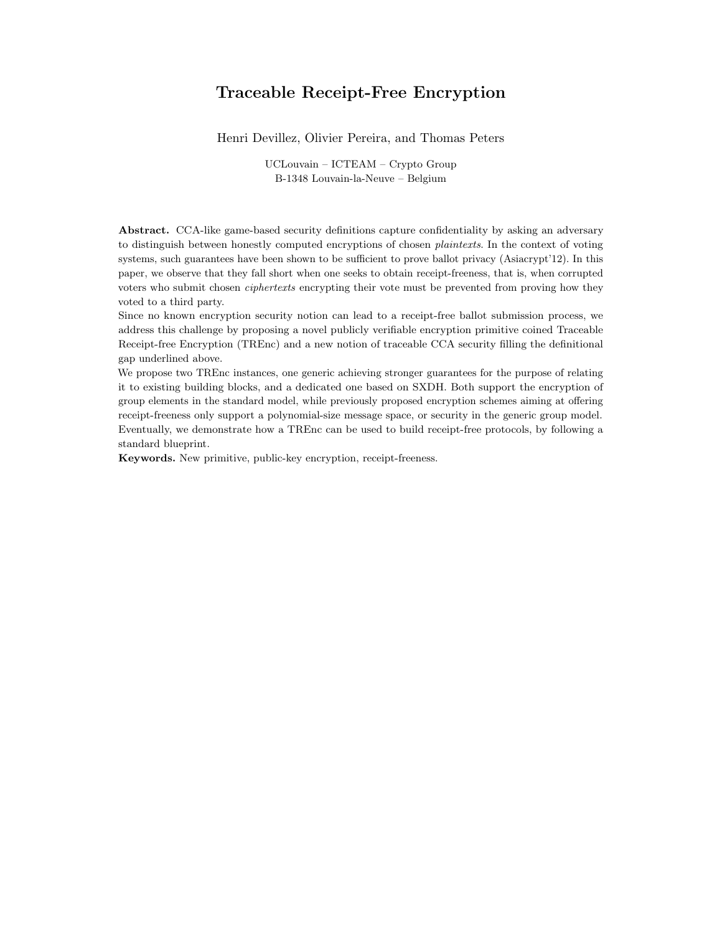# <span id="page-0-1"></span><span id="page-0-0"></span>Traceable Receipt-Free Encryption

Henri Devillez, Olivier Pereira, and Thomas Peters

UCLouvain – ICTEAM – Crypto Group B-1348 Louvain-la-Neuve – Belgium

Abstract. CCA-like game-based security definitions capture confidentiality by asking an adversary to distinguish between honestly computed encryptions of chosen *plaintexts*. In the context of voting systems, such guarantees have been shown to be sufficient to prove ballot privacy (Asiacrypt'12). In this paper, we observe that they fall short when one seeks to obtain receipt-freeness, that is, when corrupted voters who submit chosen *ciphertexts* encrypting their vote must be prevented from proving how they voted to a third party.

Since no known encryption security notion can lead to a receipt-free ballot submission process, we address this challenge by proposing a novel publicly verifiable encryption primitive coined Traceable Receipt-free Encryption (TREnc) and a new notion of traceable CCA security filling the definitional gap underlined above.

We propose two TREnc instances, one generic achieving stronger guarantees for the purpose of relating it to existing building blocks, and a dedicated one based on SXDH. Both support the encryption of group elements in the standard model, while previously proposed encryption schemes aiming at offering receipt-freeness only support a polynomial-size message space, or security in the generic group model. Eventually, we demonstrate how a TREnc can be used to build receipt-free protocols, by following a standard blueprint.

Keywords. New primitive, public-key encryption, receipt-freeness.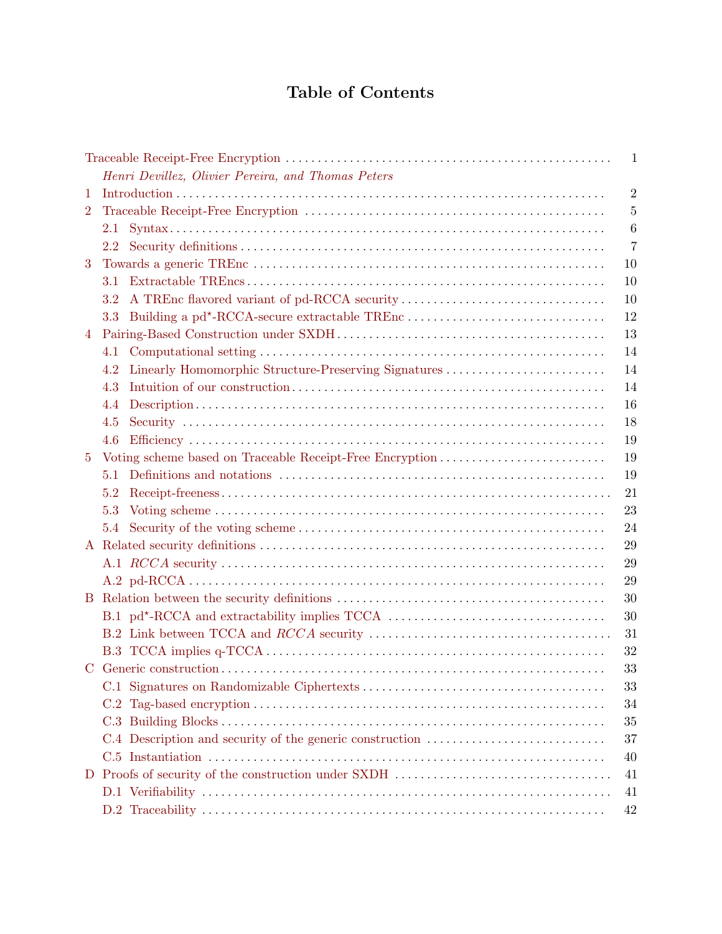# Table of Contents

|                |                                                             | $\mathbf 1$      |
|----------------|-------------------------------------------------------------|------------------|
|                | Henri Devillez, Olivier Pereira, and Thomas Peters          |                  |
| 1              |                                                             | $\overline{2}$   |
| $\overline{2}$ |                                                             | 5                |
|                | 2.1                                                         | $\boldsymbol{6}$ |
|                | 2.2                                                         | $\overline{7}$   |
| 3              |                                                             | 10               |
|                | 3.1                                                         | 10               |
|                | $3.2\,$                                                     | 10               |
|                | $3.3\,$                                                     | 12               |
| 4              |                                                             | 13               |
|                | 4.1                                                         | 14               |
|                | Linearly Homomorphic Structure-Preserving Signatures<br>4.2 | 14               |
|                | 4.3                                                         | 14               |
|                | 4.4                                                         | 16               |
|                | 4.5                                                         | 18               |
|                | 4.6                                                         | 19               |
| $\overline{5}$ | Voting scheme based on Traceable Receipt-Free Encryption    | 19               |
|                | 5.1                                                         | 19               |
|                | 5.2                                                         | 21               |
|                | 5.3                                                         | 23               |
|                | 5.4                                                         | 24               |
|                |                                                             | 29               |
|                |                                                             | 29               |
|                |                                                             | 29               |
| B              |                                                             | 30               |
|                |                                                             | 30               |
|                |                                                             | 31               |
|                |                                                             | 32               |
| $\rm C$        |                                                             | 33               |
|                |                                                             | 33               |
|                | $\mathrm{C.2}^-$                                            | 34               |
|                |                                                             | 35               |
|                | C.4 Description and security of the generic construction    | 37               |
|                |                                                             |                  |
|                |                                                             | 40               |
| D              |                                                             | 41               |
|                |                                                             | 41               |
|                |                                                             | 42               |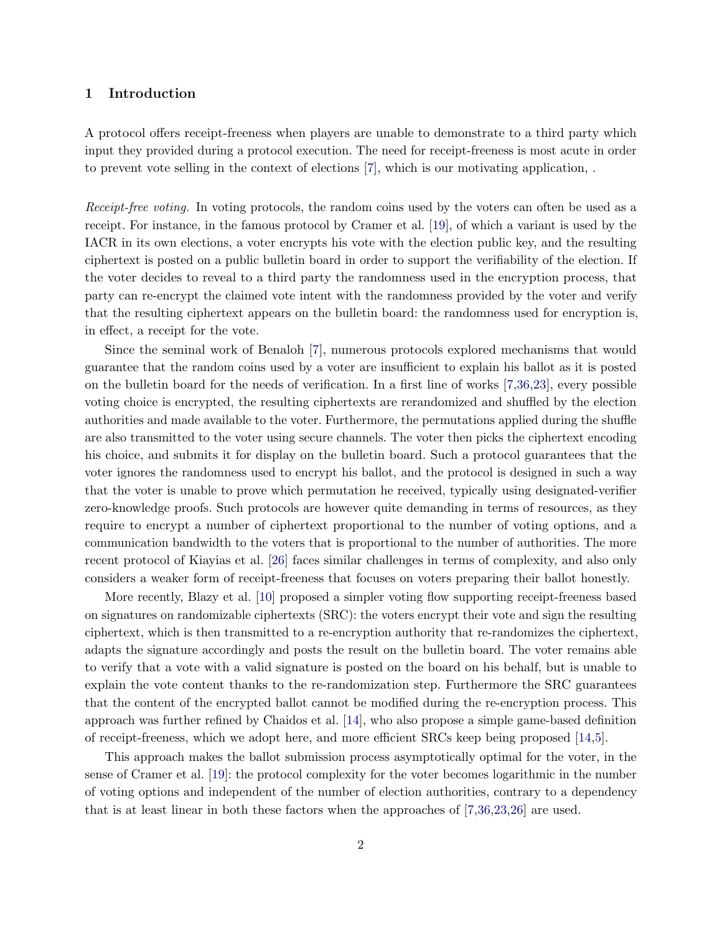# <span id="page-3-0"></span>1 Introduction

A protocol offers receipt-freeness when players are unable to demonstrate to a third party which input they provided during a protocol execution. The need for receipt-freeness is most acute in order to prevent vote selling in the context of elections [\[7\]](#page-28-0), which is our motivating application, .

Receipt-free voting. In voting protocols, the random coins used by the voters can often be used as a receipt. For instance, in the famous protocol by Cramer et al. [\[19\]](#page-28-1), of which a variant is used by the IACR in its own elections, a voter encrypts his vote with the election public key, and the resulting ciphertext is posted on a public bulletin board in order to support the verifiability of the election. If the voter decides to reveal to a third party the randomness used in the encryption process, that party can re-encrypt the claimed vote intent with the randomness provided by the voter and verify that the resulting ciphertext appears on the bulletin board: the randomness used for encryption is, in effect, a receipt for the vote.

Since the seminal work of Benaloh [\[7\]](#page-28-0), numerous protocols explored mechanisms that would guarantee that the random coins used by a voter are insufficient to explain his ballot as it is posted on the bulletin board for the needs of verification. In a first line of works [\[7](#page-28-0)[,36](#page-29-0)[,23\]](#page-29-1), every possible voting choice is encrypted, the resulting ciphertexts are rerandomized and shuffled by the election authorities and made available to the voter. Furthermore, the permutations applied during the shuffle are also transmitted to the voter using secure channels. The voter then picks the ciphertext encoding his choice, and submits it for display on the bulletin board. Such a protocol guarantees that the voter ignores the randomness used to encrypt his ballot, and the protocol is designed in such a way that the voter is unable to prove which permutation he received, typically using designated-verifier zero-knowledge proofs. Such protocols are however quite demanding in terms of resources, as they require to encrypt a number of ciphertext proportional to the number of voting options, and a communication bandwidth to the voters that is proportional to the number of authorities. The more recent protocol of Kiayias et al. [\[26\]](#page-29-2) faces similar challenges in terms of complexity, and also only considers a weaker form of receipt-freeness that focuses on voters preparing their ballot honestly.

More recently, Blazy et al. [\[10\]](#page-28-2) proposed a simpler voting flow supporting receipt-freeness based on signatures on randomizable ciphertexts (SRC): the voters encrypt their vote and sign the resulting ciphertext, which is then transmitted to a re-encryption authority that re-randomizes the ciphertext, adapts the signature accordingly and posts the result on the bulletin board. The voter remains able to verify that a vote with a valid signature is posted on the board on his behalf, but is unable to explain the vote content thanks to the re-randomization step. Furthermore the SRC guarantees that the content of the encrypted ballot cannot be modified during the re-encryption process. This approach was further refined by Chaidos et al. [\[14\]](#page-28-3), who also propose a simple game-based definition of receipt-freeness, which we adopt here, and more efficient SRCs keep being proposed [\[14,](#page-28-3)[5\]](#page-28-4).

This approach makes the ballot submission process asymptotically optimal for the voter, in the sense of Cramer et al. [\[19\]](#page-28-1): the protocol complexity for the voter becomes logarithmic in the number of voting options and independent of the number of election authorities, contrary to a dependency that is at least linear in both these factors when the approaches of [\[7,](#page-28-0)[36,](#page-29-0)[23,](#page-29-1)[26\]](#page-29-2) are used.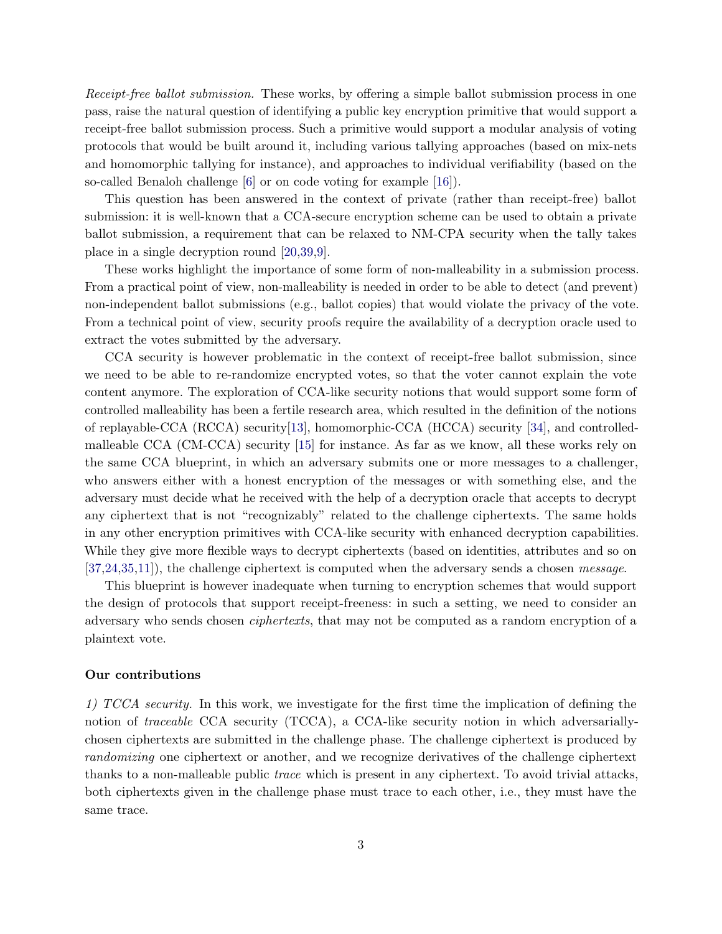Receipt-free ballot submission. These works, by offering a simple ballot submission process in one pass, raise the natural question of identifying a public key encryption primitive that would support a receipt-free ballot submission process. Such a primitive would support a modular analysis of voting protocols that would be built around it, including various tallying approaches (based on mix-nets and homomorphic tallying for instance), and approaches to individual verifiability (based on the so-called Benaloh challenge [\[6\]](#page-28-5) or on code voting for example [\[16\]](#page-28-6)).

This question has been answered in the context of private (rather than receipt-free) ballot submission: it is well-known that a CCA-secure encryption scheme can be used to obtain a private ballot submission, a requirement that can be relaxed to NM-CPA security when the tally takes place in a single decryption round [\[20,](#page-28-7)[39,](#page-29-3)[9\]](#page-28-8).

These works highlight the importance of some form of non-malleability in a submission process. From a practical point of view, non-malleability is needed in order to be able to detect (and prevent) non-independent ballot submissions (e.g., ballot copies) that would violate the privacy of the vote. From a technical point of view, security proofs require the availability of a decryption oracle used to extract the votes submitted by the adversary.

CCA security is however problematic in the context of receipt-free ballot submission, since we need to be able to re-randomize encrypted votes, so that the voter cannot explain the vote content anymore. The exploration of CCA-like security notions that would support some form of controlled malleability has been a fertile research area, which resulted in the definition of the notions of replayable-CCA (RCCA) security[\[13\]](#page-28-9), homomorphic-CCA (HCCA) security [\[34\]](#page-29-4), and controlledmalleable CCA (CM-CCA) security [\[15\]](#page-28-10) for instance. As far as we know, all these works rely on the same CCA blueprint, in which an adversary submits one or more messages to a challenger, who answers either with a honest encryption of the messages or with something else, and the adversary must decide what he received with the help of a decryption oracle that accepts to decrypt any ciphertext that is not "recognizably" related to the challenge ciphertexts. The same holds in any other encryption primitives with CCA-like security with enhanced decryption capabilities. While they give more flexible ways to decrypt ciphertexts (based on identities, attributes and so on [\[37,](#page-29-5)[24,](#page-29-6)[35,](#page-29-7)[11\]](#page-28-11)), the challenge ciphertext is computed when the adversary sends a chosen message.

This blueprint is however inadequate when turning to encryption schemes that would support the design of protocols that support receipt-freeness: in such a setting, we need to consider an adversary who sends chosen ciphertexts, that may not be computed as a random encryption of a plaintext vote.

### Our contributions

1) TCCA security. In this work, we investigate for the first time the implication of defining the notion of traceable CCA security (TCCA), a CCA-like security notion in which adversariallychosen ciphertexts are submitted in the challenge phase. The challenge ciphertext is produced by randomizing one ciphertext or another, and we recognize derivatives of the challenge ciphertext thanks to a non-malleable public trace which is present in any ciphertext. To avoid trivial attacks, both ciphertexts given in the challenge phase must trace to each other, i.e., they must have the same trace.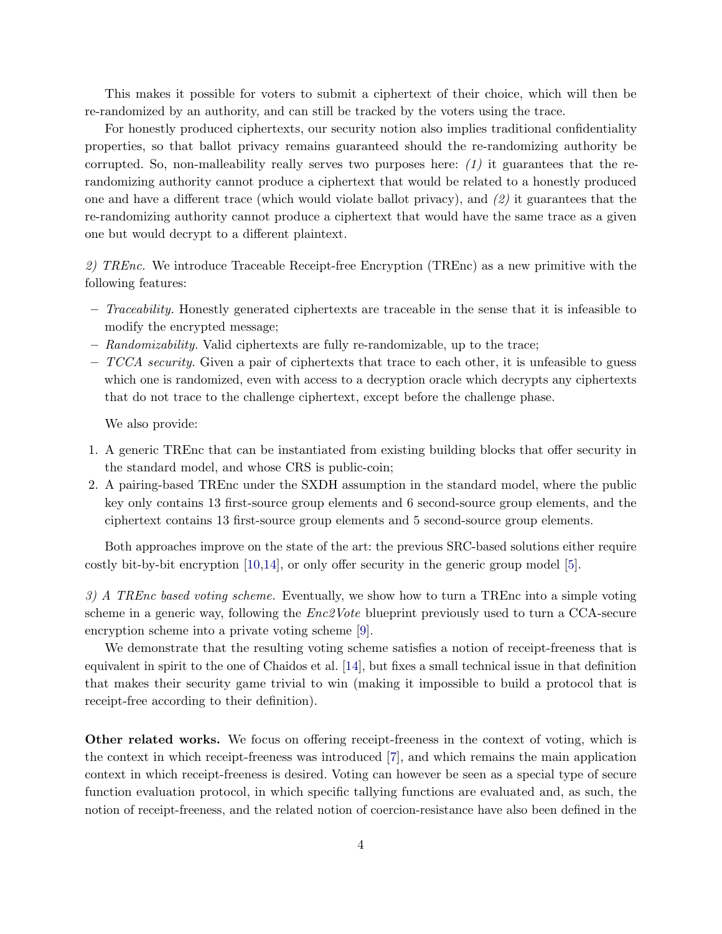This makes it possible for voters to submit a ciphertext of their choice, which will then be re-randomized by an authority, and can still be tracked by the voters using the trace.

For honestly produced ciphertexts, our security notion also implies traditional confidentiality properties, so that ballot privacy remains guaranteed should the re-randomizing authority be corrupted. So, non-malleability really serves two purposes here:  $(1)$  it guarantees that the rerandomizing authority cannot produce a ciphertext that would be related to a honestly produced one and have a different trace (which would violate ballot privacy), and  $(2)$  it guarantees that the re-randomizing authority cannot produce a ciphertext that would have the same trace as a given one but would decrypt to a different plaintext.

2) TREnc. We introduce Traceable Receipt-free Encryption (TREnc) as a new primitive with the following features:

- Traceability. Honestly generated ciphertexts are traceable in the sense that it is infeasible to modify the encrypted message;
- Randomizability. Valid ciphertexts are fully re-randomizable, up to the trace;
- $TCCA$  security. Given a pair of ciphertexts that trace to each other, it is unfeasible to guess which one is randomized, even with access to a decryption oracle which decrypts any ciphertexts that do not trace to the challenge ciphertext, except before the challenge phase.

We also provide:

- 1. A generic TREnc that can be instantiated from existing building blocks that offer security in the standard model, and whose CRS is public-coin;
- 2. A pairing-based TREnc under the SXDH assumption in the standard model, where the public key only contains 13 first-source group elements and 6 second-source group elements, and the ciphertext contains 13 first-source group elements and 5 second-source group elements.

Both approaches improve on the state of the art: the previous SRC-based solutions either require costly bit-by-bit encryption [\[10,](#page-28-2)[14\]](#page-28-3), or only offer security in the generic group model [\[5\]](#page-28-4).

3) A TREnc based voting scheme. Eventually, we show how to turn a TREnc into a simple voting scheme in a generic way, following the  $Enc2Vote$  blueprint previously used to turn a CCA-secure encryption scheme into a private voting scheme [\[9\]](#page-28-8).

We demonstrate that the resulting voting scheme satisfies a notion of receipt-freeness that is equivalent in spirit to the one of Chaidos et al. [\[14\]](#page-28-3), but fixes a small technical issue in that definition that makes their security game trivial to win (making it impossible to build a protocol that is receipt-free according to their definition).

Other related works. We focus on offering receipt-freeness in the context of voting, which is the context in which receipt-freeness was introduced [\[7\]](#page-28-0), and which remains the main application context in which receipt-freeness is desired. Voting can however be seen as a special type of secure function evaluation protocol, in which specific tallying functions are evaluated and, as such, the notion of receipt-freeness, and the related notion of coercion-resistance have also been defined in the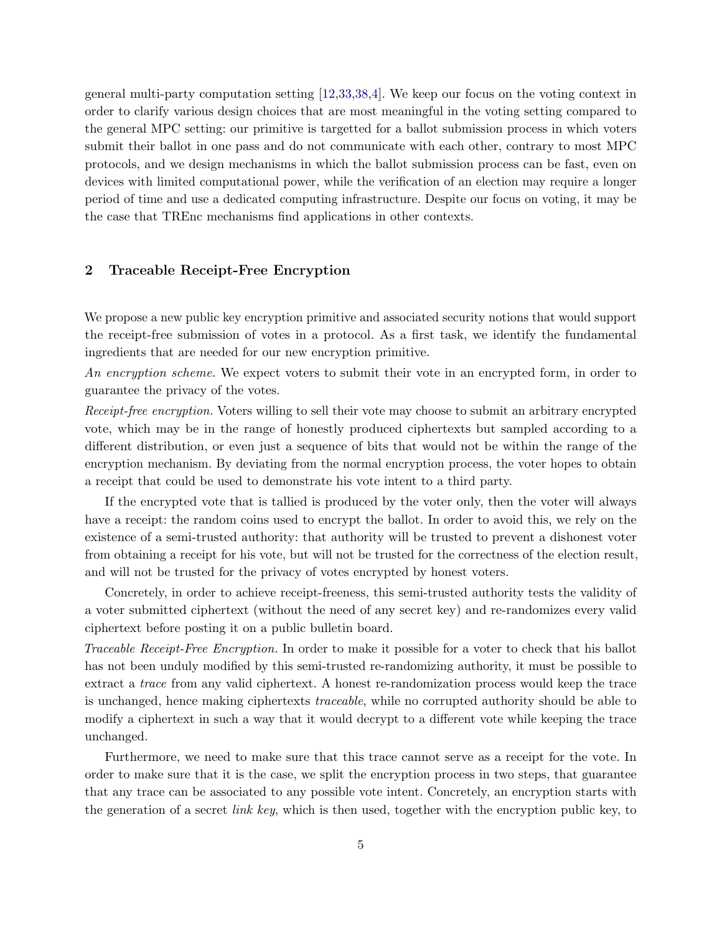general multi-party computation setting [\[12](#page-28-12)[,33](#page-29-8)[,38](#page-29-9)[,4\]](#page-28-13). We keep our focus on the voting context in order to clarify various design choices that are most meaningful in the voting setting compared to the general MPC setting: our primitive is targetted for a ballot submission process in which voters submit their ballot in one pass and do not communicate with each other, contrary to most MPC protocols, and we design mechanisms in which the ballot submission process can be fast, even on devices with limited computational power, while the verification of an election may require a longer period of time and use a dedicated computing infrastructure. Despite our focus on voting, it may be the case that TREnc mechanisms find applications in other contexts.

# <span id="page-6-0"></span>2 Traceable Receipt-Free Encryption

We propose a new public key encryption primitive and associated security notions that would support the receipt-free submission of votes in a protocol. As a first task, we identify the fundamental ingredients that are needed for our new encryption primitive.

An encryption scheme. We expect voters to submit their vote in an encrypted form, in order to guarantee the privacy of the votes.

Receipt-free encryption. Voters willing to sell their vote may choose to submit an arbitrary encrypted vote, which may be in the range of honestly produced ciphertexts but sampled according to a different distribution, or even just a sequence of bits that would not be within the range of the encryption mechanism. By deviating from the normal encryption process, the voter hopes to obtain a receipt that could be used to demonstrate his vote intent to a third party.

If the encrypted vote that is tallied is produced by the voter only, then the voter will always have a receipt: the random coins used to encrypt the ballot. In order to avoid this, we rely on the existence of a semi-trusted authority: that authority will be trusted to prevent a dishonest voter from obtaining a receipt for his vote, but will not be trusted for the correctness of the election result, and will not be trusted for the privacy of votes encrypted by honest voters.

Concretely, in order to achieve receipt-freeness, this semi-trusted authority tests the validity of a voter submitted ciphertext (without the need of any secret key) and re-randomizes every valid ciphertext before posting it on a public bulletin board.

Traceable Receipt-Free Encryption. In order to make it possible for a voter to check that his ballot has not been unduly modified by this semi-trusted re-randomizing authority, it must be possible to extract a trace from any valid ciphertext. A honest re-randomization process would keep the trace is unchanged, hence making ciphertexts traceable, while no corrupted authority should be able to modify a ciphertext in such a way that it would decrypt to a different vote while keeping the trace unchanged.

Furthermore, we need to make sure that this trace cannot serve as a receipt for the vote. In order to make sure that it is the case, we split the encryption process in two steps, that guarantee that any trace can be associated to any possible vote intent. Concretely, an encryption starts with the generation of a secret *link key*, which is then used, together with the encryption public key, to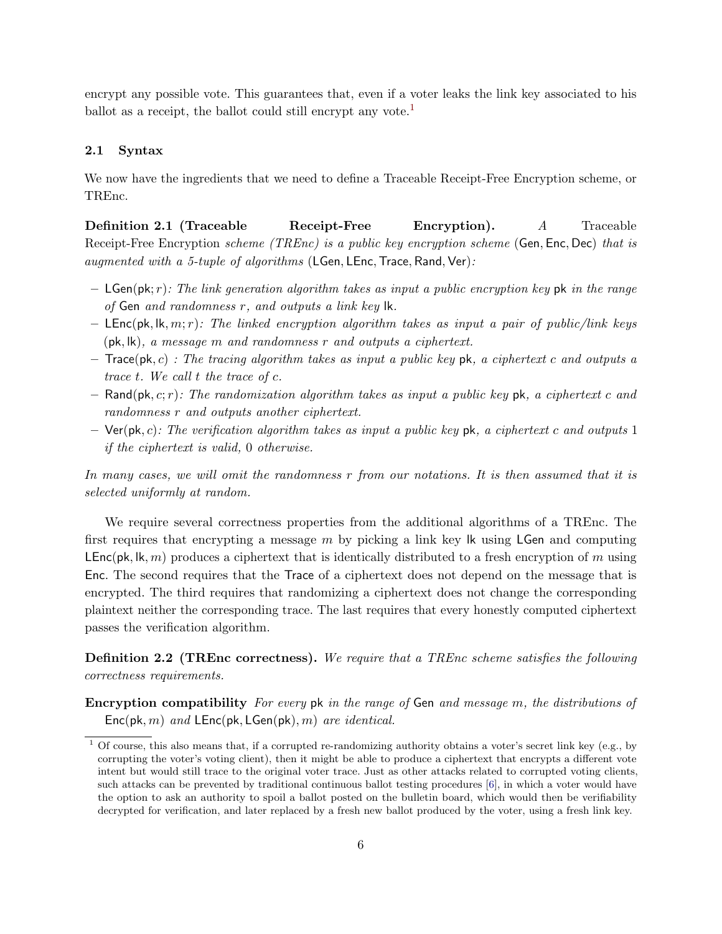encrypt any possible vote. This guarantees that, even if a voter leaks the link key associated to his ballot as a receipt, the ballot could still encrypt any vote.<sup>[1](#page-0-1)</sup>

### <span id="page-7-0"></span>2.1 Syntax

We now have the ingredients that we need to define a Traceable Receipt-Free Encryption scheme, or TREnc.

Definition 2.1 (Traceable Receipt-Free Encryption). A Traceable Receipt-Free Encryption scheme (TREnc) is a public key encryption scheme (Gen, Enc, Dec) that is augmented with a 5-tuple of algorithms ( $LGen,LEnc, Trace, Rand, Ver)$ :

- $-$  LGen(pk; r): The link generation algorithm takes as input a public encryption key pk in the range of Gen and randomness r, and outputs a link key lk.
- LEnc(pk,  $\vert k, m; r \rangle$ : The linked encryption algorithm takes as input a pair of public/link keys (pk, lk), a message m and randomness r and outputs a ciphertext.
- $-$  Trace(pk, c): The tracing algorithm takes as input a public key pk, a ciphertext c and outputs a trace t. We call t the trace of c.
- $-$  Rand(pk, c; r): The randomization algorithm takes as input a public key pk, a ciphertext c and randomness r and outputs another ciphertext.
- $-$  Ver(pk, c): The verification algorithm takes as input a public key pk, a ciphertext c and outputs 1 if the ciphertext is valid, 0 otherwise.

In many cases, we will omit the randomness r from our notations. It is then assumed that it is selected uniformly at random.

We require several correctness properties from the additional algorithms of a TREnc. The first requires that encrypting a message  $m$  by picking a link key lk using LGen and computing  $\mathsf{LEnc}(\mathsf{pk}, \mathsf{lk}, m)$  produces a ciphertext that is identically distributed to a fresh encryption of m using Enc. The second requires that the Trace of a ciphertext does not depend on the message that is encrypted. The third requires that randomizing a ciphertext does not change the corresponding plaintext neither the corresponding trace. The last requires that every honestly computed ciphertext passes the verification algorithm.

<span id="page-7-1"></span>Definition 2.2 (TREnc correctness). We require that a TREnc scheme satisfies the following correctness requirements.

Encryption compatibility For every pk in the range of Gen and message m, the distributions of  $Enc(\mathsf{pk}, m)$  and  $LEnc(\mathsf{pk}, LGen(\mathsf{pk}), m)$  are identical.

 $1$  Of course, this also means that, if a corrupted re-randomizing authority obtains a voter's secret link key (e.g., by corrupting the voter's voting client), then it might be able to produce a ciphertext that encrypts a different vote intent but would still trace to the original voter trace. Just as other attacks related to corrupted voting clients, such attacks can be prevented by traditional continuous ballot testing procedures [\[6\]](#page-28-5), in which a voter would have the option to ask an authority to spoil a ballot posted on the bulletin board, which would then be verifiability decrypted for verification, and later replaced by a fresh new ballot produced by the voter, using a fresh link key.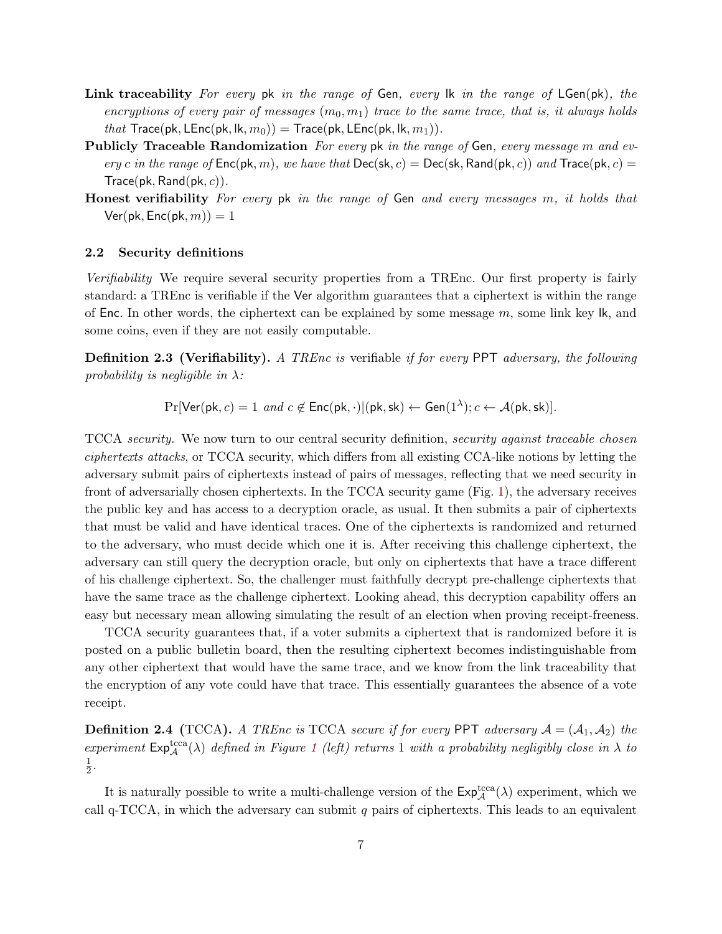- Link traceability For every pk in the range of Gen, every  $\mathsf{lk}$  in the range of LGen(pk), the encryptions of every pair of messages  $(m_0, m_1)$  trace to the same trace, that is, it always holds that Trace(pk, LEnc(pk, lk,  $m_0$ )) = Trace(pk, LEnc(pk, lk,  $m_1$ )).
- Publicly Traceable Randomization For every pk in the range of Gen, every message m and every c in the range of  $Enc(\mathsf{pk}, m)$ , we have that  $Dec(\mathsf{sk}, c) = Dec(\mathsf{sk}, Rand(\mathsf{pk}, c))$  and  $Trace(\mathsf{pk}, c) =$  $Trace(pk, Rand(pk, c)$ .
- Honest verifiability For every pk in the range of Gen and every messages m, it holds that  $Ver(pk, Enc(pk, m)) = 1$

#### <span id="page-8-0"></span>2.2 Security definitions

Verifiability We require several security properties from a TREnc. Our first property is fairly standard: a TREnc is verifiable if the Ver algorithm guarantees that a ciphertext is within the range of Enc. In other words, the ciphertext can be explained by some message  $m$ , some link key lk, and some coins, even if they are not easily computable.

<span id="page-8-2"></span>Definition 2.3 (Verifiability). A TREnc is verifiable if for every PPT adversary, the following probability is negligible in  $\lambda$ :

 $Pr[Ver(pk, c) = 1 \text{ and } c \notin Enc(pk, \cdot) | (pk, sk) \leftarrow Gen(1^{\lambda}); c \leftarrow \mathcal{A}(pk, sk)].$ 

TCCA security. We now turn to our central security definition, security against traceable chosen ciphertexts attacks, or TCCA security, which differs from all existing CCA-like notions by letting the adversary submit pairs of ciphertexts instead of pairs of messages, reflecting that we need security in front of adversarially chosen ciphertexts. In the TCCA security game (Fig. [1\)](#page-9-0), the adversary receives the public key and has access to a decryption oracle, as usual. It then submits a pair of ciphertexts that must be valid and have identical traces. One of the ciphertexts is randomized and returned to the adversary, who must decide which one it is. After receiving this challenge ciphertext, the adversary can still query the decryption oracle, but only on ciphertexts that have a trace different of his challenge ciphertext. So, the challenger must faithfully decrypt pre-challenge ciphertexts that have the same trace as the challenge ciphertext. Looking ahead, this decryption capability offers an easy but necessary mean allowing simulating the result of an election when proving receipt-freeness.

TCCA security guarantees that, if a voter submits a ciphertext that is randomized before it is posted on a public bulletin board, then the resulting ciphertext becomes indistinguishable from any other ciphertext that would have the same trace, and we know from the link traceability that the encryption of any vote could have that trace. This essentially guarantees the absence of a vote receipt.

<span id="page-8-1"></span>**Definition 2.4 (TCCA).** A TREnc is TCCA secure if for every PPT adversary  $A = (A_1, A_2)$  the experiment  $\text{Exp}_{\mathcal{A}}^{\text{tcca}}(\lambda)$  defined in Figure [1](#page-9-0) (left) returns 1 with a probability negligibly close in  $\lambda$  to 1  $\frac{1}{2}$ .

It is naturally possible to write a multi-challenge version of the  $Exp_{\mathcal{A}}^{tcca}(\lambda)$  experiment, which we call q-TCCA, in which the adversary can submit  $q$  pairs of ciphertexts. This leads to an equivalent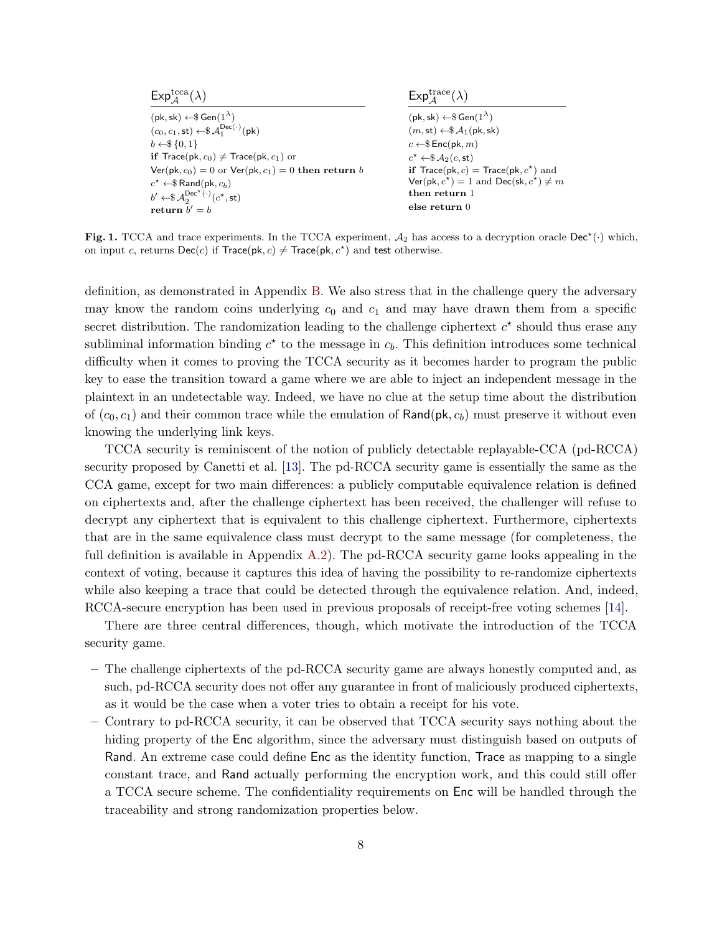| $Exp_{\Lambda}^{tcca}(\lambda)$                                                       | $Exp_{A}^{\text{trace}}(\lambda)$                                                |
|---------------------------------------------------------------------------------------|----------------------------------------------------------------------------------|
| $(\mathsf{pk}, \mathsf{sk}) \leftarrow \$ \mathsf{Gen}(1^{\lambda})$                  | $(\mathsf{pk}, \mathsf{sk}) \leftarrow \$ \mathsf{Gen}(1^{\lambda})$             |
| $(c_0, c_1, \mathsf{st}) \leftarrow \mathsf{A}_1^{\mathsf{Dec}(\cdot)}(\mathsf{pk})$  | $(m, st) \leftarrow \$\mathcal{A}_1(\text{pk}, sk)$                              |
| $b \leftarrow \$ \{0, 1\}$                                                            | $c \leftarrow \$$ Enc(pk, m)                                                     |
| <b>if</b> $Trace(pk, c_0) \neq Trace(pk, c_1)$ or                                     | $c^* \leftarrow \$ \mathcal{A}_2(c, st)$                                         |
| $\text{Ver}(\text{pk}, c_0) = 0$ or $\text{Ver}(\text{pk}, c_1) = 0$ then return b    | if $Trace(pk, c) = Trace(pk, c^*)$ and                                           |
| $c^* \leftarrow \$$ Rand(pk, $c_h$ )                                                  | $\textsf{Ver}(\textsf{pk}, c^*) = 1$ and $\textsf{Dec}(\textsf{sk}, c^*) \neq m$ |
| $b' \leftarrow \$\mathcal{A}_2^{\mathsf{Dec}^{\star}(\cdot)}(c^{\star}, \mathsf{st})$ | then return 1                                                                    |
| return $b'=b$                                                                         | else return 0                                                                    |

<span id="page-9-0"></span>Fig. 1. TCCA and trace experiments. In the TCCA experiment,  $A_2$  has access to a decryption oracle Dec<sup>\*</sup>( $\cdot$ ) which, on input c, returns  $\mathsf{Dec}(c)$  if  $\mathsf{Trace}(\mathsf{pk}, c) \neq \mathsf{Trace}(\mathsf{pk}, c^*)$  and test otherwise.

definition, as demonstrated in Appendix [B.](#page-31-0) We also stress that in the challenge query the adversary may know the random coins underlying  $c_0$  and  $c_1$  and may have drawn them from a specific secret distribution. The randomization leading to the challenge ciphertext  $c^*$  should thus erase any subliminal information binding  $c^*$  to the message in  $c_b$ . This definition introduces some technical difficulty when it comes to proving the TCCA security as it becomes harder to program the public key to ease the transition toward a game where we are able to inject an independent message in the plaintext in an undetectable way. Indeed, we have no clue at the setup time about the distribution of  $(c_0, c_1)$  and their common trace while the emulation of Rand(pk,  $c_b$ ) must preserve it without even knowing the underlying link keys.

TCCA security is reminiscent of the notion of publicly detectable replayable-CCA (pd-RCCA) security proposed by Canetti et al. [\[13\]](#page-28-9). The pd-RCCA security game is essentially the same as the CCA game, except for two main differences: a publicly computable equivalence relation is defined on ciphertexts and, after the challenge ciphertext has been received, the challenger will refuse to decrypt any ciphertext that is equivalent to this challenge ciphertext. Furthermore, ciphertexts that are in the same equivalence class must decrypt to the same message (for completeness, the full definition is available in Appendix [A.2\)](#page-30-2). The pd-RCCA security game looks appealing in the context of voting, because it captures this idea of having the possibility to re-randomize ciphertexts while also keeping a trace that could be detected through the equivalence relation. And, indeed, RCCA-secure encryption has been used in previous proposals of receipt-free voting schemes [\[14\]](#page-28-3).

There are three central differences, though, which motivate the introduction of the TCCA security game.

- The challenge ciphertexts of the pd-RCCA security game are always honestly computed and, as such, pd-RCCA security does not offer any guarantee in front of maliciously produced ciphertexts, as it would be the case when a voter tries to obtain a receipt for his vote.
- Contrary to pd-RCCA security, it can be observed that TCCA security says nothing about the hiding property of the **Enc** algorithm, since the adversary must distinguish based on outputs of Rand. An extreme case could define Enc as the identity function, Trace as mapping to a single constant trace, and Rand actually performing the encryption work, and this could still offer a TCCA secure scheme. The confidentiality requirements on Enc will be handled through the traceability and strong randomization properties below.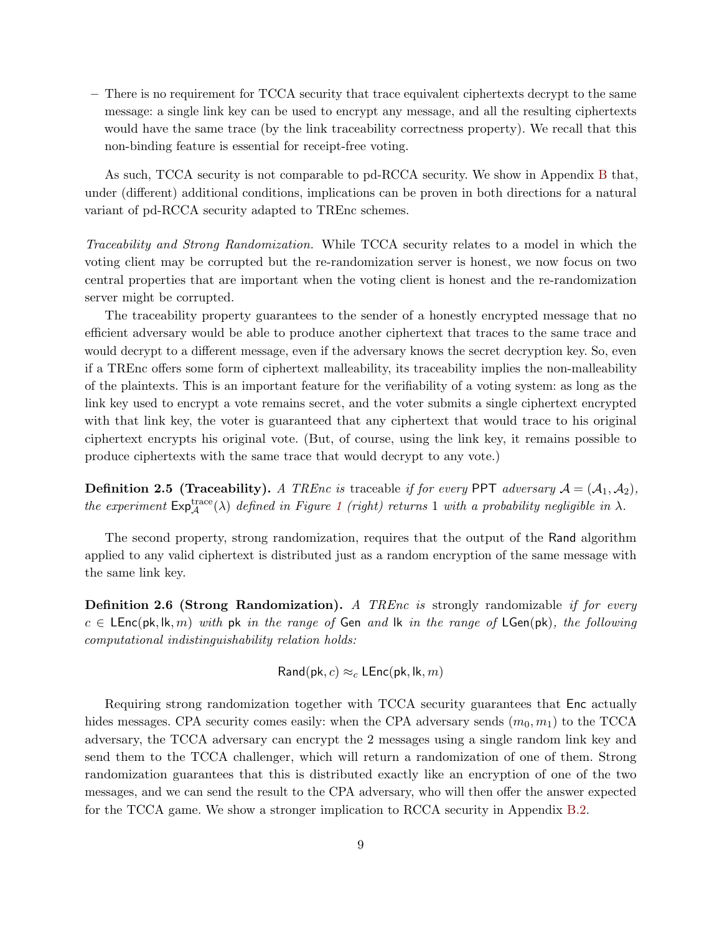– There is no requirement for TCCA security that trace equivalent ciphertexts decrypt to the same message: a single link key can be used to encrypt any message, and all the resulting ciphertexts would have the same trace (by the link traceability correctness property). We recall that this non-binding feature is essential for receipt-free voting.

As such, TCCA security is not comparable to pd-RCCA security. We show in Appendix [B](#page-31-0) that, under (different) additional conditions, implications can be proven in both directions for a natural variant of pd-RCCA security adapted to TREnc schemes.

Traceability and Strong Randomization. While TCCA security relates to a model in which the voting client may be corrupted but the re-randomization server is honest, we now focus on two central properties that are important when the voting client is honest and the re-randomization server might be corrupted.

The traceability property guarantees to the sender of a honestly encrypted message that no efficient adversary would be able to produce another ciphertext that traces to the same trace and would decrypt to a different message, even if the adversary knows the secret decryption key. So, even if a TREnc offers some form of ciphertext malleability, its traceability implies the non-malleability of the plaintexts. This is an important feature for the verifiability of a voting system: as long as the link key used to encrypt a vote remains secret, and the voter submits a single ciphertext encrypted with that link key, the voter is guaranteed that any ciphertext that would trace to his original ciphertext encrypts his original vote. (But, of course, using the link key, it remains possible to produce ciphertexts with the same trace that would decrypt to any vote.)

<span id="page-10-1"></span>**Definition 2.5 (Traceability).** A TREnc is traceable if for every PPT adversary  $A = (A_1, A_2)$ , the experiment  $Exp_{\mathcal{A}}^{trace}(\lambda)$  defined in Figure [1](#page-9-0) (right) returns 1 with a probability negligible in  $\lambda$ .

The second property, strong randomization, requires that the output of the Rand algorithm applied to any valid ciphertext is distributed just as a random encryption of the same message with the same link key.

<span id="page-10-0"></span>**Definition 2.6 (Strong Randomization).** A TREnc is strongly randomizable if for every  $c \in \mathsf{LEnc}(pk, lk, m)$  with pk in the range of Gen and lk in the range of  $\mathsf{LGen}(pk)$ , the following computational indistinguishability relation holds:

$$
\mathsf{Rand}(\mathsf{pk}, c) \approx_c \mathsf{LEnc}(\mathsf{pk}, \mathsf{lk}, m)
$$

Requiring strong randomization together with TCCA security guarantees that Enc actually hides messages. CPA security comes easily: when the CPA adversary sends  $(m_0, m_1)$  to the TCCA adversary, the TCCA adversary can encrypt the 2 messages using a single random link key and send them to the TCCA challenger, which will return a randomization of one of them. Strong randomization guarantees that this is distributed exactly like an encryption of one of the two messages, and we can send the result to the CPA adversary, who will then offer the answer expected for the TCCA game. We show a stronger implication to RCCA security in Appendix [B.2.](#page-32-0)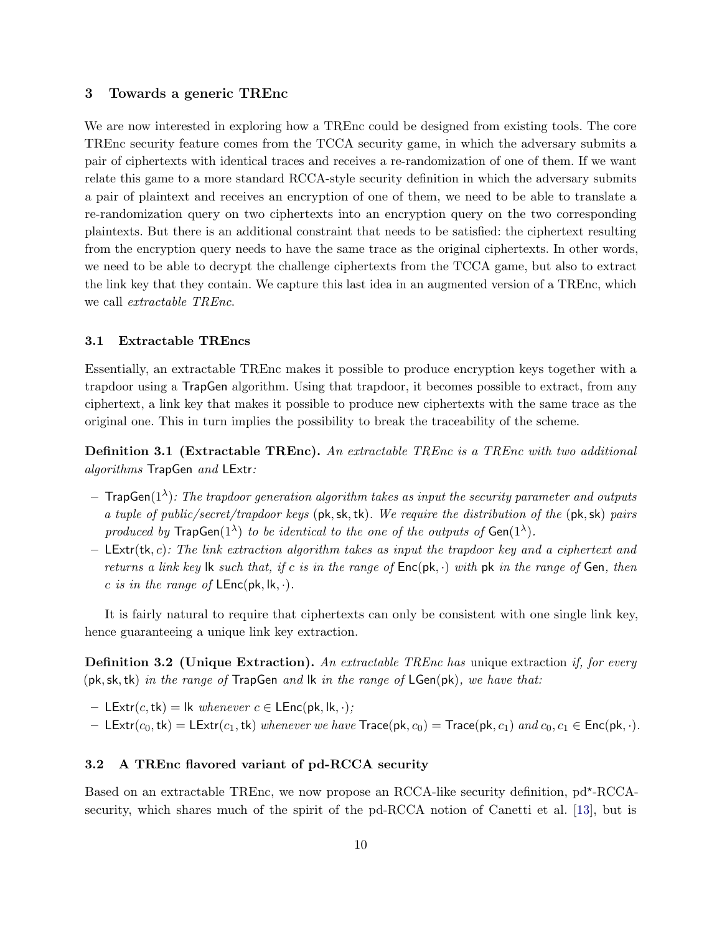# <span id="page-11-0"></span>3 Towards a generic TREnc

We are now interested in exploring how a TREnc could be designed from existing tools. The core TREnc security feature comes from the TCCA security game, in which the adversary submits a pair of ciphertexts with identical traces and receives a re-randomization of one of them. If we want relate this game to a more standard RCCA-style security definition in which the adversary submits a pair of plaintext and receives an encryption of one of them, we need to be able to translate a re-randomization query on two ciphertexts into an encryption query on the two corresponding plaintexts. But there is an additional constraint that needs to be satisfied: the ciphertext resulting from the encryption query needs to have the same trace as the original ciphertexts. In other words, we need to be able to decrypt the challenge ciphertexts from the TCCA game, but also to extract the link key that they contain. We capture this last idea in an augmented version of a TREnc, which we call extractable TREnc.

### <span id="page-11-1"></span>3.1 Extractable TREncs

Essentially, an extractable TREnc makes it possible to produce encryption keys together with a trapdoor using a TrapGen algorithm. Using that trapdoor, it becomes possible to extract, from any ciphertext, a link key that makes it possible to produce new ciphertexts with the same trace as the original one. This in turn implies the possibility to break the traceability of the scheme.

<span id="page-11-3"></span>Definition 3.1 (Extractable TREnc). An extractable TREnc is a TREnc with two additional algorithms TrapGen and LExtr:

- $-$  TrapGen(1<sup> $\lambda$ </sup>): The trapdoor generation algorithm takes as input the security parameter and outputs a tuple of public/secret/trapdoor keys (pk, sk, tk). We require the distribution of the (pk, sk) pairs produced by  $\mathsf{TrapGen}(1^\lambda)$  to be identical to the one of the outputs of  $\mathsf{Gen}(1^\lambda)$ .
- $-$  LExtr(tk, c): The link extraction algorithm takes as input the trapdoor key and a ciphertext and returns a link key lk such that, if c is in the range of  $Enc(pk, \cdot)$  with pk in the range of Gen, then c is in the range of  $LEnc(pk, lk, \cdot)$ .

It is fairly natural to require that ciphertexts can only be consistent with one single link key, hence guaranteeing a unique link key extraction.

**Definition 3.2 (Unique Extraction).** An extractable TREnc has unique extraction if, for every  $(pk, sk, tk)$  in the range of TrapGen and lk in the range of  $LGen(pk)$ , we have that:

– LExtr(c, tk) = lk whenever  $c \in$  LEnc(pk, lk, ·);

– LExtr(c<sub>0</sub>,tk) = LExtr(c<sub>1</sub>,tk) whenever we have Trace(pk, c<sub>0</sub>) = Trace(pk, c<sub>1</sub>) and c<sub>0</sub>, c<sub>1</sub>  $\in$  Enc(pk, ·).

# <span id="page-11-2"></span>3.2 A TREnc flavored variant of pd-RCCA security

Based on an extractable TREnc, we now propose an RCCA-like security definition, pd<sup>\*</sup>-RCCA-security, which shares much of the spirit of the pd-RCCA notion of Canetti et al. [\[13\]](#page-28-9), but is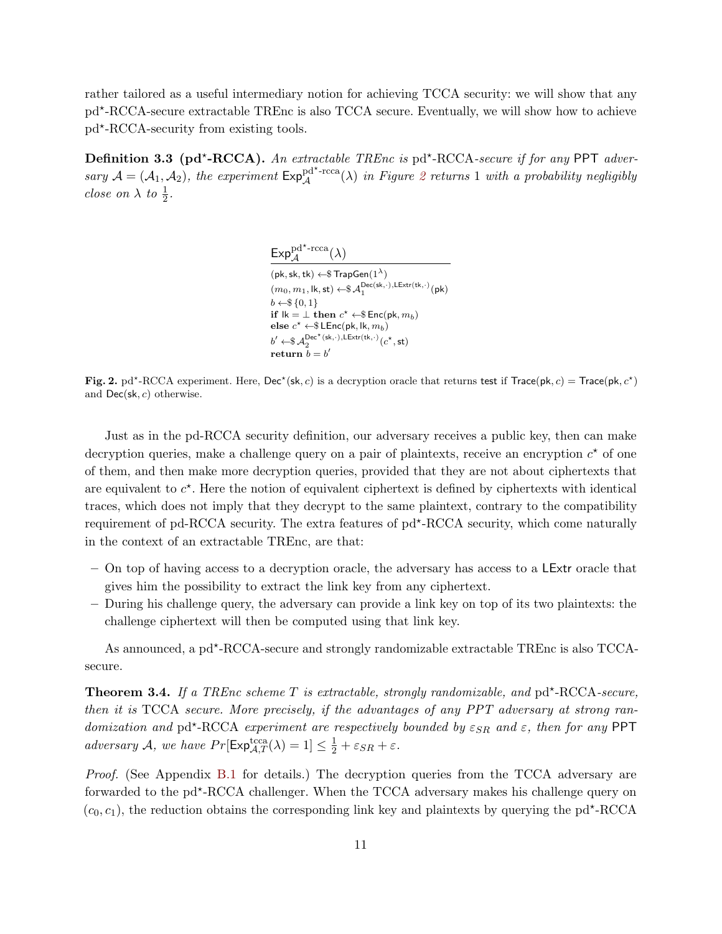rather tailored as a useful intermediary notion for achieving TCCA security: we will show that any pd? -RCCA-secure extractable TREnc is also TCCA secure. Eventually, we will show how to achieve pd? -RCCA-security from existing tools.

**Definition 3.3 (pd<sup>\*</sup>-RCCA).** An extractable TREnc is pd<sup>\*</sup>-RCCA-secure if for any PPT adversary  $A = (A_1, A_2)$  $A = (A_1, A_2)$  $A = (A_1, A_2)$ , the experiment  $Exp_A^{pd \star -rcca}(\lambda)$  in Figure 2 returns 1 with a probability negligibly close on  $\lambda$  to  $\frac{1}{2}$ .

> $\mathsf{Exp}^{\mathrm{pd}^\star\text{-rcca}}_\mathcal{A}(\lambda)$  $(\mathsf{pk},\mathsf{sk},\mathsf{tk}) \leftarrow \$\mathsf{TrapGen}(1^\lambda)$  $(m_0, m_1, \mathsf{lk}, \mathsf{st}) \leftarrow \text{\$A}_1^{\mathsf{Dec}(\mathsf{sk}, \cdot), \mathsf{LEXtr}(\mathsf{tk}, \cdot)}(\mathsf{pk})$  $b \leftarrow \$ \{0, 1\}$ if  $lk = \bot$  then  $c^* \leftarrow \$ \mathsf{Enc}(\mathsf{pk}, m_b)$ else  $c^* \leftarrow \$$  LEnc $(\textsf{pk}, \textsf{lk}, m_b)$  $b' \leftarrow \$\mathcal{A}_2^{\mathsf{Dec}^{\star}(\mathsf{sk},\cdot),\mathsf{LExtr}(\mathsf{tk},\cdot)}(c^{\star},\mathsf{st})$  $\mathbf{return } \, \bar{b} = b'$

<span id="page-12-0"></span>Fig. 2. pd<sup>\*</sup>-RCCA experiment. Here, Dec<sup>\*</sup>(sk, c) is a decryption oracle that returns test if  $Trace(pk, c) = Trace(pk, c^*)$ and  $Dec(\mathsf{sk}, c)$  otherwise.

Just as in the pd-RCCA security definition, our adversary receives a public key, then can make decryption queries, make a challenge query on a pair of plaintexts, receive an encryption  $c^*$  of one of them, and then make more decryption queries, provided that they are not about ciphertexts that are equivalent to  $c^*$ . Here the notion of equivalent ciphertext is defined by ciphertexts with identical traces, which does not imply that they decrypt to the same plaintext, contrary to the compatibility requirement of pd-RCCA security. The extra features of pd<sup>\*</sup>-RCCA security, which come naturally in the context of an extractable TREnc, are that:

- On top of having access to a decryption oracle, the adversary has access to a LExtr oracle that gives him the possibility to extract the link key from any ciphertext.
- During his challenge query, the adversary can provide a link key on top of its two plaintexts: the challenge ciphertext will then be computed using that link key.

As announced, a pd<sup>\*</sup>-RCCA-secure and strongly randomizable extractable TREnc is also TCCAsecure.

**Theorem 3.4.** If a TREnc scheme  $T$  is extractable, strongly randomizable, and  $pd^*$ -RCCA-secure, then it is TCCA secure. More precisely, if the advantages of any PPT adversary at strong randomization and pd\*-RCCA experiment are respectively bounded by  $\varepsilon_{SR}$  and  $\varepsilon$ , then for any PPT adversary A, we have  $Pr[\text{Exp}^{\text{tcca}}_{\mathcal{A},T}(\lambda) = 1] \leq \frac{1}{2} + \varepsilon_{SR} + \varepsilon$ .

Proof. (See Appendix [B.1](#page-31-2) for details.) The decryption queries from the TCCA adversary are forwarded to the pd<sup>\*</sup>-RCCA challenger. When the TCCA adversary makes his challenge query on  $(c_0, c_1)$ , the reduction obtains the corresponding link key and plaintexts by querying the pd\*-RCCA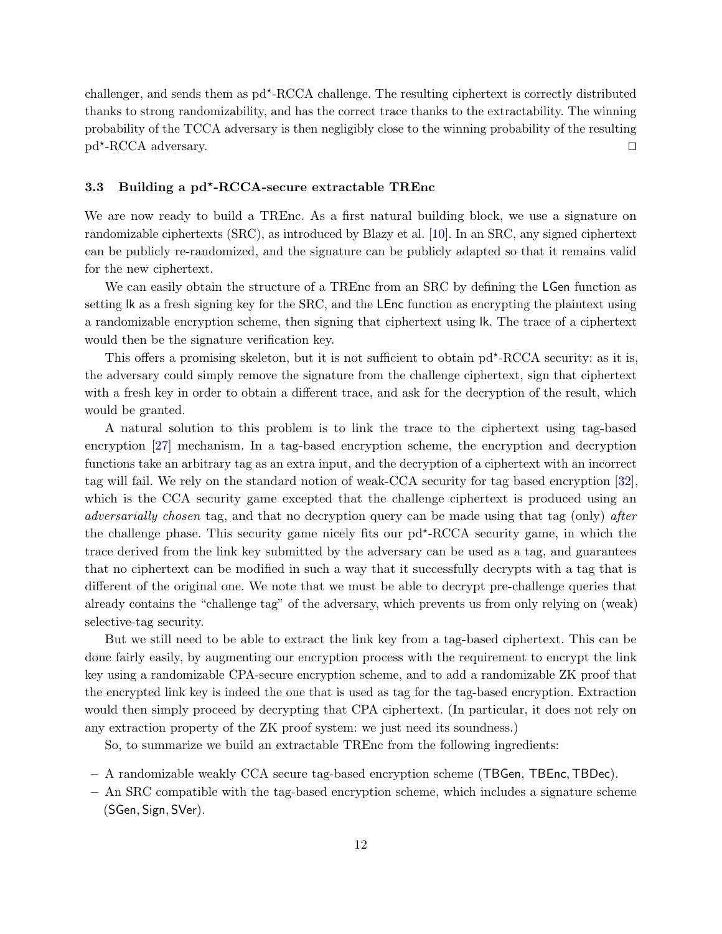challenger, and sends them as pd\*-RCCA challenge. The resulting ciphertext is correctly distributed thanks to strong randomizability, and has the correct trace thanks to the extractability. The winning probability of the TCCA adversary is then negligibly close to the winning probability of the resulting pd\*-RCCA adversary.

# <span id="page-13-0"></span>3.3 Building a pd<sup>\*</sup>-RCCA-secure extractable TREnc

We are now ready to build a TREnc. As a first natural building block, we use a signature on randomizable ciphertexts (SRC), as introduced by Blazy et al. [\[10\]](#page-28-2). In an SRC, any signed ciphertext can be publicly re-randomized, and the signature can be publicly adapted so that it remains valid for the new ciphertext.

We can easily obtain the structure of a TREnc from an SRC by defining the LGen function as setting lk as a fresh signing key for the SRC, and the LEnc function as encrypting the plaintext using a randomizable encryption scheme, then signing that ciphertext using lk. The trace of a ciphertext would then be the signature verification key.

This offers a promising skeleton, but it is not sufficient to obtain  $pd^*$ -RCCA security: as it is, the adversary could simply remove the signature from the challenge ciphertext, sign that ciphertext with a fresh key in order to obtain a different trace, and ask for the decryption of the result, which would be granted.

A natural solution to this problem is to link the trace to the ciphertext using tag-based encryption [\[27\]](#page-29-10) mechanism. In a tag-based encryption scheme, the encryption and decryption functions take an arbitrary tag as an extra input, and the decryption of a ciphertext with an incorrect tag will fail. We rely on the standard notion of weak-CCA security for tag based encryption [\[32\]](#page-29-11), which is the CCA security game excepted that the challenge ciphertext is produced using an adversarially chosen tag, and that no decryption query can be made using that tag (only) after the challenge phase. This security game nicely fits our pd\*-RCCA security game, in which the trace derived from the link key submitted by the adversary can be used as a tag, and guarantees that no ciphertext can be modified in such a way that it successfully decrypts with a tag that is different of the original one. We note that we must be able to decrypt pre-challenge queries that already contains the "challenge tag" of the adversary, which prevents us from only relying on (weak) selective-tag security.

But we still need to be able to extract the link key from a tag-based ciphertext. This can be done fairly easily, by augmenting our encryption process with the requirement to encrypt the link key using a randomizable CPA-secure encryption scheme, and to add a randomizable ZK proof that the encrypted link key is indeed the one that is used as tag for the tag-based encryption. Extraction would then simply proceed by decrypting that CPA ciphertext. (In particular, it does not rely on any extraction property of the ZK proof system: we just need its soundness.)

So, to summarize we build an extractable TREnc from the following ingredients:

- A randomizable weakly CCA secure tag-based encryption scheme (TBGen, TBEnc,TBDec).
- An SRC compatible with the tag-based encryption scheme, which includes a signature scheme (SGen, Sign, SVer).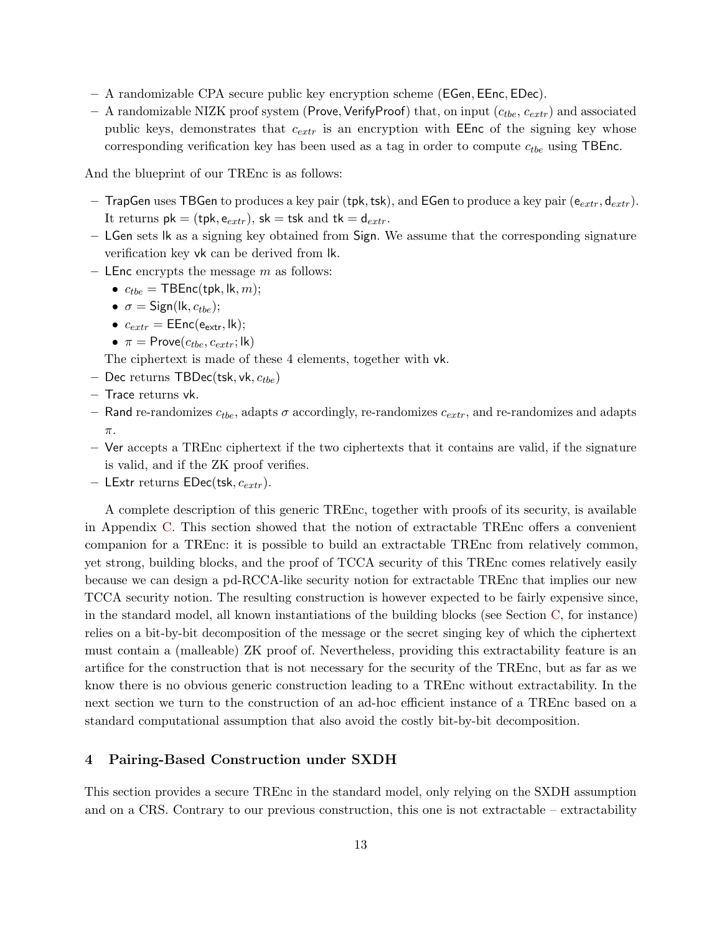- A randomizable CPA secure public key encryption scheme (EGen, EEnc, EDec).
- A randomizable NIZK proof system (Prove, VerifyProof) that, on input  $(c_{the}, c_{extr})$  and associated public keys, demonstrates that  $c_{extr}$  is an encryption with EEnc of the signing key whose corresponding verification key has been used as a tag in order to compute  $c_{the}$  using TBEnc.

And the blueprint of our TREnc is as follows:

- TrapGen uses TBGen to produces a key pair (tpk, tsk), and EGen to produce a key pair  $(e_{extr}, d_{extr})$ . It returns  $pk = (tpk, e_{extr})$ , sk = tsk and tk =  $d_{extr}$ .
- LGen sets lk as a signing key obtained from Sign. We assume that the corresponding signature verification key vk can be derived from lk.
- LEnc encrypts the message  $m$  as follows:
	- $c_{the}$  = TBEnc(tpk, lk, m);
	- $\sigma =$  Sign(lk,  $c_{the}$ );
	- $c_{extr} = \text{EEnc}(e_{extr}, lk);$
	- $\pi = \text{Prove}(c_{the}, c_{extr}; \text{lk})$

The ciphertext is made of these 4 elements, together with vk.

- Dec returns TBDec(tsk, vk,  $c_{the}$ )
- Trace returns vk.
- Rand re-randomizes  $c_{the}$ , adapts  $\sigma$  accordingly, re-randomizes  $c_{extr}$ , and re-randomizes and adapts π.
- Ver accepts a TREnc ciphertext if the two ciphertexts that it contains are valid, if the signature is valid, and if the ZK proof verifies.
- LExtr returns EDec(tsk,  $c_{extr}$ ).

A complete description of this generic TREnc, together with proofs of its security, is available in Appendix [C.](#page-34-0) This section showed that the notion of extractable TREnc offers a convenient companion for a TREnc: it is possible to build an extractable TREnc from relatively common, yet strong, building blocks, and the proof of TCCA security of this TREnc comes relatively easily because we can design a pd-RCCA-like security notion for extractable TREnc that implies our new TCCA security notion. The resulting construction is however expected to be fairly expensive since, in the standard model, all known instantiations of the building blocks (see Section [C,](#page-34-0) for instance) relies on a bit-by-bit decomposition of the message or the secret singing key of which the ciphertext must contain a (malleable) ZK proof of. Nevertheless, providing this extractability feature is an artifice for the construction that is not necessary for the security of the TREnc, but as far as we know there is no obvious generic construction leading to a TREnc without extractability. In the next section we turn to the construction of an ad-hoc efficient instance of a TREnc based on a standard computational assumption that also avoid the costly bit-by-bit decomposition.

# <span id="page-14-0"></span>4 Pairing-Based Construction under SXDH

This section provides a secure TREnc in the standard model, only relying on the SXDH assumption and on a CRS. Contrary to our previous construction, this one is not extractable – extractability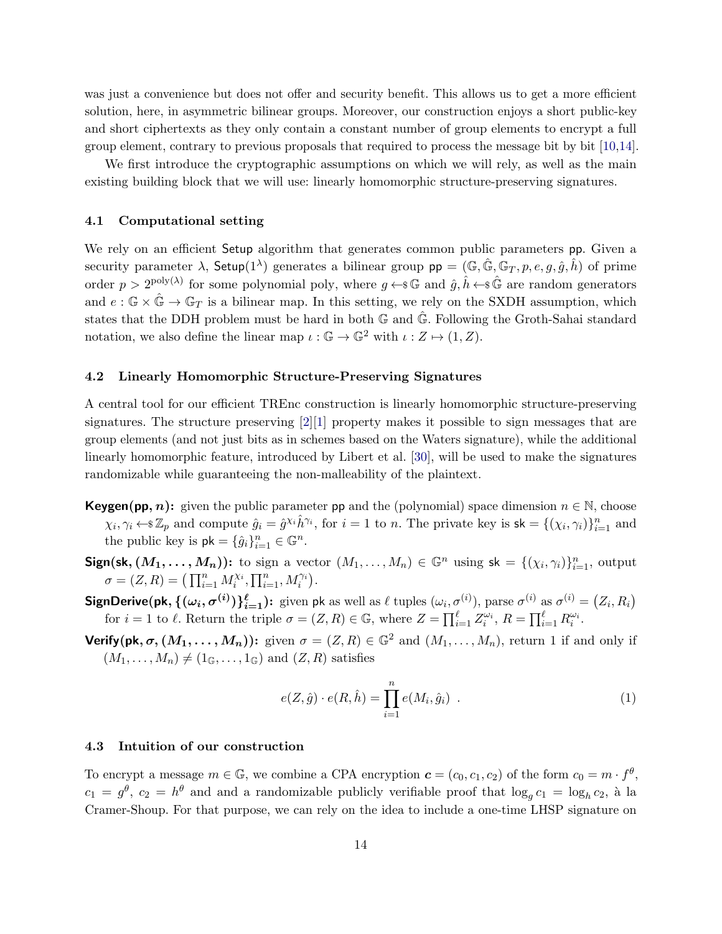was just a convenience but does not offer and security benefit. This allows us to get a more efficient solution, here, in asymmetric bilinear groups. Moreover, our construction enjoys a short public-key and short ciphertexts as they only contain a constant number of group elements to encrypt a full group element, contrary to previous proposals that required to process the message bit by bit [\[10](#page-28-2)[,14\]](#page-28-3).

We first introduce the cryptographic assumptions on which we will rely, as well as the main existing building block that we will use: linearly homomorphic structure-preserving signatures.

### <span id="page-15-0"></span>4.1 Computational setting

We rely on an efficient **Setup** algorithm that generates common public parameters **pp**. Given a security parameter  $\lambda$ , Setup(1<sup> $\lambda$ </sup>) generates a bilinear group  $pp = (\mathbb{G}, \hat{\mathbb{G}}, \mathbb{G}_T, p, e, g, \hat{g}, \hat{h})$  of prime order  $p > 2^{\text{poly}(\lambda)}$  for some polynomial poly, where  $g \leftarrow \mathcal{G}$  and  $\hat{g}, \hat{h} \leftarrow \hat{\mathcal{G}}$  are random generators and  $e : \mathbb{G} \times \hat{\mathbb{G}} \to \mathbb{G}_T$  is a bilinear map. In this setting, we rely on the SXDH assumption, which states that the DDH problem must be hard in both  $\mathbb{G}$  and  $\hat{\mathbb{G}}$ . Following the Groth-Sahai standard notation, we also define the linear map  $\iota : \mathbb{G} \to \mathbb{G}^2$  with  $\iota : Z \mapsto (1, Z)$ .

# <span id="page-15-1"></span>4.2 Linearly Homomorphic Structure-Preserving Signatures

A central tool for our efficient TREnc construction is linearly homomorphic structure-preserving signatures. The structure preserving  $[2][1]$  $[2][1]$  property makes it possible to sign messages that are group elements (and not just bits as in schemes based on the Waters signature), while the additional linearly homomorphic feature, introduced by Libert et al. [\[30\]](#page-29-12), will be used to make the signatures randomizable while guaranteeing the non-malleability of the plaintext.

- **Keygen(pp, n):** given the public parameter pp and the (polynomial) space dimension  $n \in \mathbb{N}$ , choose  $\chi_i, \gamma_i \leftarrow \mathcal{Z}_p$  and compute  $\hat{g}_i = \hat{g}^{\chi_i} \hat{h}^{\gamma_i}$ , for  $i = 1$  to n. The private key is  $\mathsf{sk} = \{(\chi_i, \gamma_i)\}_{i=1}^n$  and the public key is  $pk = {\hat{g}_i}_{i=1}^n \in \mathbb{G}^n$ .
- $Sign(sk, (M_1, \ldots, M_n))$ : to sign a vector  $(M_1, \ldots, M_n) \in \mathbb{G}^n$  using  $sk = \{(\chi_i, \gamma_i)\}_{i=1}^n$ , output  $\sigma = (Z, R) = (\prod_{i=1}^{n} M_i^{\chi_i}, \prod_{i=1}^{n}, M_i^{\gamma_i}).$
- **SignDerive(pk,**  $\{(\omega_i, \sigma^{(i)})\}_{i=1}^{\ell}$ ): given pk as well as  $\ell$  tuples  $(\omega_i, \sigma^{(i)})$ , parse  $\sigma^{(i)}$  as  $\sigma^{(i)} = (Z_i, R_i)$ for  $i = 1$  to  $\ell$ . Return the triple  $\sigma = (Z, R) \in \mathbb{G}$ , where  $Z = \prod_{i=1}^{\ell} Z_i^{\omega_i}$ ,  $R = \prod_{i=1}^{\ell} R_i^{\omega_i}$ .
- **Verify(pk,**  $\sigma$ **,**  $(M_1, \ldots, M_n)$ **):** given  $\sigma = (Z, R) \in \mathbb{G}^2$  and  $(M_1, \ldots, M_n)$ , return 1 if and only if  $(M_1, \ldots, M_n) \neq (1_{\mathbb{G}}, \ldots, 1_{\mathbb{G}})$  and  $(Z, R)$  satisfies

$$
e(Z, \hat{g}) \cdot e(R, \hat{h}) = \prod_{i=1}^{n} e(M_i, \hat{g}_i) .
$$
 (1)

### <span id="page-15-2"></span>4.3 Intuition of our construction

To encrypt a message  $m \in \mathbb{G}$ , we combine a CPA encryption  $\boldsymbol{c} = (c_0, c_1, c_2)$  of the form  $c_0 = m \cdot f^{\theta}$ ,  $c_1 = g^{\theta}, c_2 = h^{\theta}$  and and a randomizable publicly verifiable proof that  $\log_g c_1 = \log_h c_2$ , à la Cramer-Shoup. For that purpose, we can rely on the idea to include a one-time LHSP signature on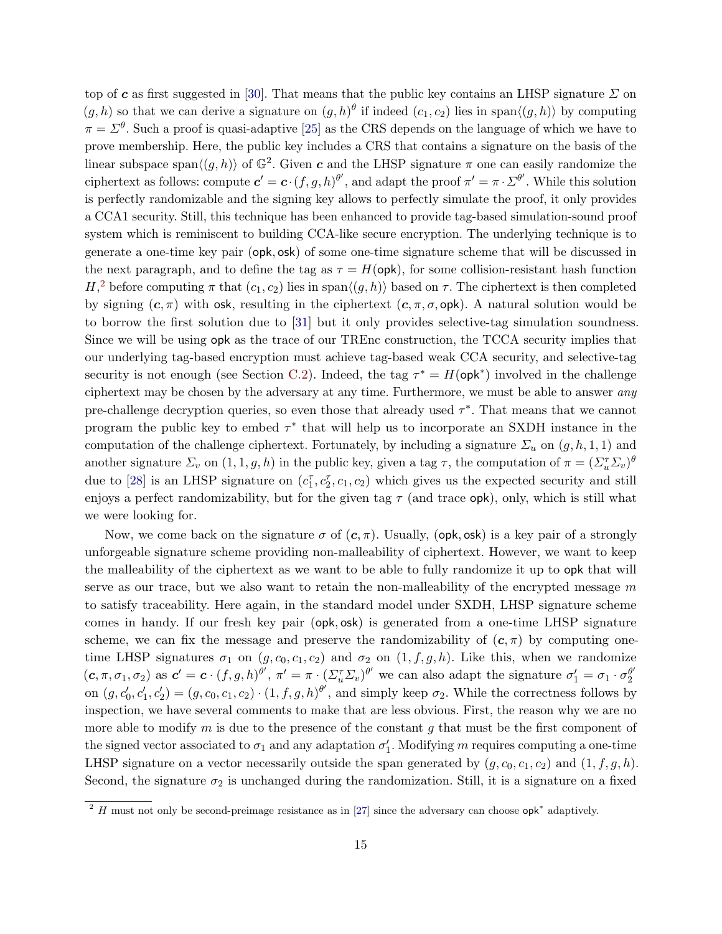top of c as first suggested in [\[30\]](#page-29-12). That means that the public key contains an LHSP signature  $\Sigma$  on  $(g, h)$  so that we can derive a signature on  $(g, h)^\theta$  if indeed  $(c_1, c_2)$  lies in span $\langle (g, h) \rangle$  by computing  $\pi = \Sigma^{\theta}$ . Such a proof is quasi-adaptive [\[25\]](#page-29-13) as the CRS depends on the language of which we have to prove membership. Here, the public key includes a CRS that contains a signature on the basis of the linear subspace span $\langle (g, h) \rangle$  of  $\mathbb{G}^2$ . Given c and the LHSP signature  $\pi$  one can easily randomize the ciphertext as follows: compute  $c' = c \cdot (f, g, h)$ <sup> $\theta'$ </sup>, and adapt the proof  $\pi' = \pi \cdot \Sigma^{\theta'}$ . While this solution is perfectly randomizable and the signing key allows to perfectly simulate the proof, it only provides a CCA1 security. Still, this technique has been enhanced to provide tag-based simulation-sound proof system which is reminiscent to building CCA-like secure encryption. The underlying technique is to generate a one-time key pair (opk, osk) of some one-time signature scheme that will be discussed in the next paragraph, and to define the tag as  $\tau = H(\mathsf{opk})$ , for some collision-resistant hash function  $H<sup>2</sup>$  $H<sup>2</sup>$  $H<sup>2</sup>$  before computing  $\pi$  that  $(c_1, c_2)$  lies in span $\langle (g, h) \rangle$  based on  $\tau$ . The ciphertext is then completed by signing  $(c, \pi)$  with osk, resulting in the ciphertext  $(c, \pi, \sigma,$  opk). A natural solution would be to borrow the first solution due to [\[31\]](#page-29-14) but it only provides selective-tag simulation soundness. Since we will be using opk as the trace of our TREnc construction, the TCCA security implies that our underlying tag-based encryption must achieve tag-based weak CCA security, and selective-tag security is not enough (see Section [C.2\)](#page-35-0). Indeed, the tag  $\tau^* = H(\mathsf{opk}^*)$  involved in the challenge ciphertext may be chosen by the adversary at any time. Furthermore, we must be able to answer any pre-challenge decryption queries, so even those that already used  $\tau^*$ . That means that we cannot program the public key to embed  $\tau^*$  that will help us to incorporate an SXDH instance in the computation of the challenge ciphertext. Fortunately, by including a signature  $\Sigma_u$  on  $(g, h, 1, 1)$  and another signature  $\Sigma_v$  on  $(1,1,g,h)$  in the public key, given a tag  $\tau$ , the computation of  $\pi = (\Sigma_u^{\tau} \Sigma_v)^{\theta}$ due to [\[28\]](#page-29-15) is an LHSP signature on  $(c_1^{\tau}, c_2^{\tau}, c_1, c_2)$  which gives us the expected security and still enjoys a perfect randomizability, but for the given tag  $\tau$  (and trace opk), only, which is still what we were looking for.

Now, we come back on the signature  $\sigma$  of  $(c, \pi)$ . Usually, (opk, osk) is a key pair of a strongly unforgeable signature scheme providing non-malleability of ciphertext. However, we want to keep the malleability of the ciphertext as we want to be able to fully randomize it up to opk that will serve as our trace, but we also want to retain the non-malleability of the encrypted message  $m$ to satisfy traceability. Here again, in the standard model under SXDH, LHSP signature scheme comes in handy. If our fresh key pair (opk, osk) is generated from a one-time LHSP signature scheme, we can fix the message and preserve the randomizability of  $(c, \pi)$  by computing onetime LHSP signatures  $\sigma_1$  on  $(g, c_0, c_1, c_2)$  and  $\sigma_2$  on  $(1, f, g, h)$ . Like this, when we randomize  $(c, \pi, \sigma_1, \sigma_2)$  as  $c' = c \cdot (f, g, h)^{\theta'}$ ,  $\pi' = \pi \cdot (\Sigma_u^{\tau} \Sigma_v)^{\theta'}$  we can also adapt the signature  $\sigma'_1 = \sigma_1 \cdot \sigma_2^{\theta'}$  $(e, \pi, o_1, o_2)$  as  $e = e \cdot (f, g, h)$ ,  $\pi = \pi \cdot (2_u 2_v)$  we can also adapt the signature  $o_1 = o_1 \cdot o_2$ <br>on  $(g, c'_0, c'_1, c'_2) = (g, c_0, c_1, c_2) \cdot (1, f, g, h)^{\theta'}$ , and simply keep  $\sigma_2$ . While the correctness follows by inspection, we have several comments to make that are less obvious. First, the reason why we are no more able to modify m is due to the presence of the constant q that must be the first component of the signed vector associated to  $\sigma_1$  and any adaptation  $\sigma'_1$ . Modifying m requires computing a one-time LHSP signature on a vector necessarily outside the span generated by  $(g, c_0, c_1, c_2)$  and  $(1, f, g, h)$ . Second, the signature  $\sigma_2$  is unchanged during the randomization. Still, it is a signature on a fixed

<sup>&</sup>lt;sup>2</sup> H must not only be second-preimage resistance as in [\[27\]](#page-29-10) since the adversary can choose  $\mathsf{opk}^*$  adaptively.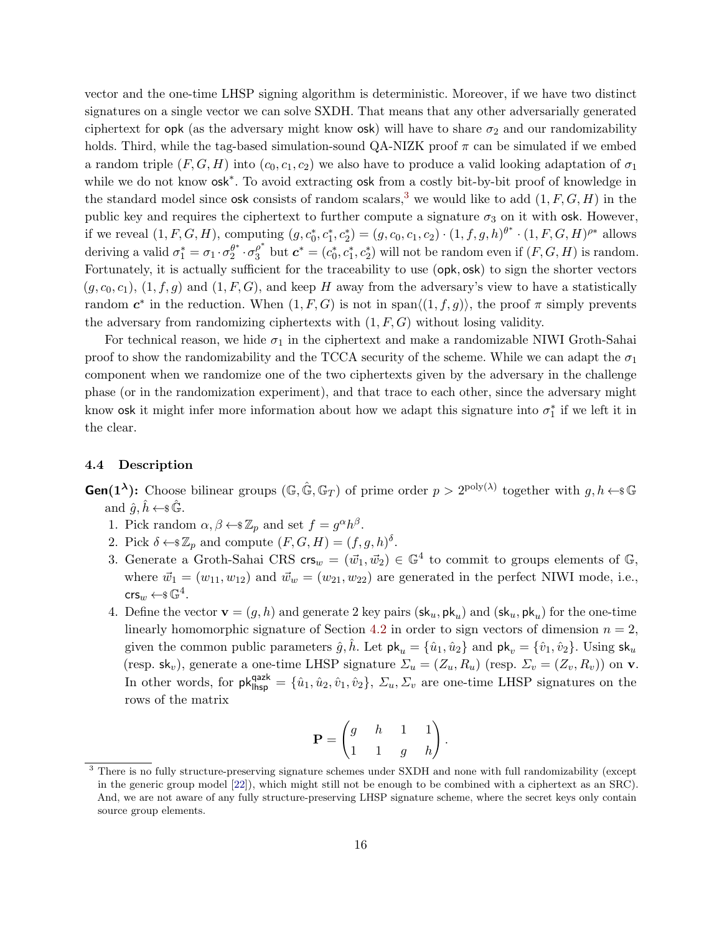vector and the one-time LHSP signing algorithm is deterministic. Moreover, if we have two distinct signatures on a single vector we can solve SXDH. That means that any other adversarially generated ciphertext for opk (as the adversary might know osk) will have to share  $\sigma_2$  and our randomizability holds. Third, while the tag-based simulation-sound  $QA-NIZK$  proof  $\pi$  can be simulated if we embed a random triple  $(F, G, H)$  into  $(c_0, c_1, c_2)$  we also have to produce a valid looking adaptation of  $\sigma_1$ while we do not know osk<sup>\*</sup>. To avoid extracting osk from a costly bit-by-bit proof of knowledge in the standard model since osk consists of random scalars,<sup>[3](#page-0-1)</sup> we would like to add  $(1, F, G, H)$  in the public key and requires the ciphertext to further compute a signature  $\sigma_3$  on it with osk. However, if we reveal  $(1, F, G, H)$ , computing  $(g, c_0^*, c_1^*, c_2^*) = (g, c_0, c_1, c_2) \cdot (1, f, g, h)^{\theta^*} \cdot (1, F, G, H)^{\rho^*}$  allows deriving a valid  $\sigma_1^* = \sigma_1 \cdot \sigma_2^{\theta^*}$  $\frac{\theta^*}{2} \cdot \sigma_3^{\rho^*}$  $g_3^{\rho^*}$  but  $c^* = (c_0^*, c_1^*, c_2^*)$  will not be random even if  $(F, G, H)$  is random. Fortunately, it is actually sufficient for the traceability to use (opk, osk) to sign the shorter vectors  $(g, c_0, c_1), (1, f, g)$  and  $(1, F, G)$ , and keep H away from the adversary's view to have a statistically random  $c^*$  in the reduction. When  $(1, F, G)$  is not in span $\langle (1, f, g) \rangle$ , the proof  $\pi$  simply prevents the adversary from randomizing ciphertexts with  $(1, F, G)$  without losing validity.

For technical reason, we hide  $\sigma_1$  in the ciphertext and make a randomizable NIWI Groth-Sahai proof to show the randomizability and the TCCA security of the scheme. While we can adapt the  $\sigma_1$ component when we randomize one of the two ciphertexts given by the adversary in the challenge phase (or in the randomization experiment), and that trace to each other, since the adversary might know osk it might infer more information about how we adapt this signature into  $\sigma_1^*$  if we left it in the clear.

# <span id="page-17-0"></span>4.4 Description

**Gen(1<sup>** $\lambda$ **</sup>):** Choose bilinear groups ( $\mathbb{G}, \hat{\mathbb{G}}, \mathbb{G}_T$ ) of prime order  $p > 2^{\text{poly}(\lambda)}$  together with  $g, h \leftarrow \mathbb{G}$ and  $\hat{q}, \hat{h} \leftarrow \hat{\mathbb{G}}$ .

- 1. Pick random  $\alpha, \beta \leftarrow \mathscr{Z}_p$  and set  $f = g^{\alpha} h^{\beta}$ .
- 2. Pick  $\delta \leftarrow \mathscr{Z}_p$  and compute  $(F, G, H) = (f, g, h)^{\delta}$ .
- 3. Generate a Groth-Sahai CRS  $\mathsf{crs}_w = (\vec{w}_1, \vec{w}_2) \in \mathbb{G}^4$  to commit to groups elements of  $\mathbb{G}$ , where  $\vec{w}_1 = (w_{11}, w_{12})$  and  $\vec{w}_w = (w_{21}, w_{22})$  are generated in the perfect NIWI mode, i.e.,  $\mathsf{crs}_w \!\leftarrow\!\! \mathsf{s}\, \mathbb{G}^4.$
- 4. Define the vector  $\mathbf{v} = (g, h)$  and generate 2 key pairs  $(\mathsf{sk}_u, \mathsf{pk}_u)$  and  $(\mathsf{sk}_u, \mathsf{pk}_u)$  for the one-time linearly homomorphic signature of Section [4.2](#page-15-1) in order to sign vectors of dimension  $n = 2$ , given the common public parameters  $\hat{g}, \hat{h}$ . Let  $\mathsf{pk}_u = \{\hat{u}_1, \hat{u}_2\}$  and  $\mathsf{pk}_v = \{\hat{v}_1, \hat{v}_2\}$ . Using  $\mathsf{sk}_u$ (resp. sk<sub>v</sub>), generate a one-time LHSP signature  $\Sigma_u = (Z_u, R_u)$  (resp.  $\Sigma_v = (Z_v, R_v)$ ) on **v**. In other words, for  $\mathsf{pk}_{\mathsf{lhsp}}^{\mathsf{qazk}} = \{\hat{u}_1, \hat{u}_2, \hat{v}_1, \hat{v}_2\}, \ \Sigma_u, \Sigma_v \text{ are one-time LHSP signatures on the }$ rows of the matrix

$$
\mathbf{P} = \begin{pmatrix} g & h & 1 & 1 \\ 1 & 1 & g & h \end{pmatrix}.
$$

<sup>3</sup> There is no fully structure-preserving signature schemes under SXDH and none with full randomizability (except in the generic group model [\[22\]](#page-28-16)), which might still not be enough to be combined with a ciphertext as an SRC). And, we are not aware of any fully structure-preserving LHSP signature scheme, where the secret keys only contain source group elements.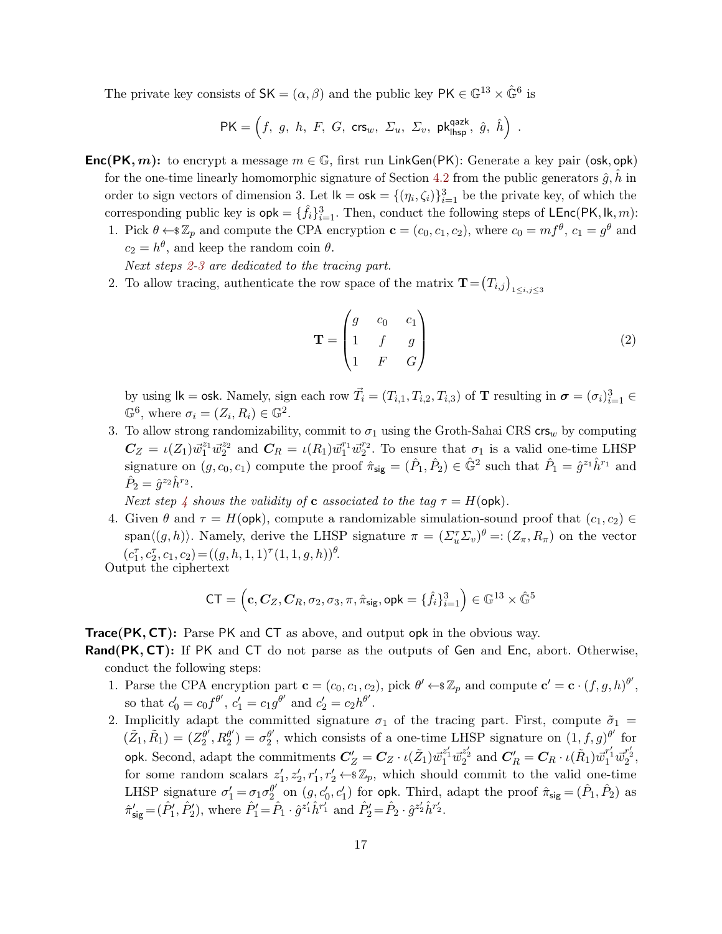The private key consists of  $\mathsf{SK} = (\alpha, \beta)$  and the public key  $\mathsf{PK} \in \mathbb{G}^{13} \times \hat{\mathbb{G}}^6$  is

$$
\mathsf{PK} = \left(f, g, h, F, G, \mathsf{crs}_w, \Sigma_u, \Sigma_v, \mathsf{pk}_{\mathsf{lhsp}}^{\mathsf{qazk}}, \hat{g}, \hat{h}\right) .
$$

**Enc(PK, m):** to encrypt a message  $m \in \mathbb{G}$ , first run LinkGen(PK): Generate a key pair (osk, opk) for the one-time linearly homomorphic signature of Section [4.2](#page-15-1) from the public generators  $\hat{g}$ ,  $h$  in order to sign vectors of dimension 3. Let  $\mathsf{lk} = \mathsf{osk} = \{(\eta_i, \zeta_i)\}_{i=1}^3$  be the private key, of which the corresponding public key is  $\mathsf{opk} = \{ \hat{f}_i \}_{i=1}^3$ . Then, conduct the following steps of  $\mathsf{LEnc}(\mathsf{PK}, \mathsf{lk}, m)$ :

- 1. Pick  $\theta \leftarrow \mathcal{Z}_p$  and compute the CPA encryption  $\mathbf{c} = (c_0, c_1, c_2)$ , where  $c_0 = mf^{\theta}$ ,  $c_1 = g^{\theta}$  and  $c_2 = h^{\theta}$ , and keep the random coin  $\theta$ . Next steps [2](#page-18-0)[-3](#page-18-1) are dedicated to the tracing part.
- <span id="page-18-0"></span>2. To allow tracing, authenticate the row space of the matrix  $\mathbf{T} = (T_{i,j})_{1 \leq i,j \leq 3}$

<span id="page-18-3"></span>
$$
\mathbf{T} = \begin{pmatrix} g & c_0 & c_1 \\ 1 & f & g \\ 1 & F & G \end{pmatrix} \tag{2}
$$

by using  $\mathsf{lk} = \mathsf{osk}$ . Namely, sign each row  $\vec{T}_i = (T_{i,1}, T_{i,2}, T_{i,3})$  of  $\mathbf T$  resulting in  $\boldsymbol{\sigma} = (\sigma_i)_{i=1}^3 \in$  $\mathbb{G}^6$ , where  $\sigma_i = (Z_i, R_i) \in \mathbb{G}^2$ .

<span id="page-18-1"></span>3. To allow strong randomizability, commit to  $\sigma_1$  using the Groth-Sahai CRS crs<sub>w</sub> by computing  $C_Z = \iota(Z_1) \vec{w}_1^{z_1} \vec{w}_2^{z_2}$  and  $C_R = \iota(R_1) \vec{w}_1^{r_1} \vec{w}_2^{r_2}$ . To ensure that  $\sigma_1$  is a valid one-time LHSP signature on  $(g, c_0, c_1)$  compute the proof  $\hat{\pi}_{\text{sig}} = (\hat{P}_1, \hat{P}_2) \in \hat{\mathbb{G}}^2$  such that  $\hat{P}_1 = \hat{g}^{z_1} \hat{h}^{r_1}$  and  $\hat{P}_2 = \hat{g}^{z_2} \hat{h}^{r_2}.$ 

Next step [4](#page-18-2) shows the validity of c associated to the tag  $\tau = H(\mathsf{opk})$ .

<span id="page-18-2"></span>4. Given  $\theta$  and  $\tau = H(\mathsf{opk})$ , compute a randomizable simulation-sound proof that  $(c_1, c_2) \in$ span $\langle (g, h) \rangle$ . Namely, derive the LHSP signature  $\pi = (\Sigma_u^{\tau} \Sigma_v)^{\theta} =: (Z_{\pi}, R_{\pi})$  on the vector  $(c_1^{\tau}, c_2^{\tau}, c_1, c_2) = ((g, h, 1, 1)^{\tau}(1, 1, g, h))^{\theta}.$ 

Output the ciphertext

$$
\mathsf{CT} = \left(\mathbf{c}, \mathbf{C}_Z, \mathbf{C}_R, \sigma_2, \sigma_3, \pi, \hat{\pi}_{\mathsf{sig}}, \mathsf{opk} = \{\hat{f}_i\}_{i=1}^3\right) \in \mathbb{G}^{13} \times \hat{\mathbb{G}}^5
$$

**Trace(PK, CT):** Parse PK and CT as above, and output opk in the obvious way.

Rand(PK, CT): If PK and CT do not parse as the outputs of Gen and Enc, abort. Otherwise, conduct the following steps:

- <span id="page-18-5"></span>1. Parse the CPA encryption part  $\mathbf{c} = (c_0, c_1, c_2)$ , pick  $\theta' \leftarrow \mathscr{Z}_p$  and compute  $\mathbf{c}' = \mathbf{c} \cdot (f, g, h)^{\theta'}$ , so that  $c'_0 = c_0 f^{\theta'}$ ,  $c'_1 = c_1 g^{\theta'}$  and  $c'_2 = c_2 h^{\theta'}$ .
- <span id="page-18-4"></span>2. Implicitly adapt the committed signature  $\sigma_1$  of the tracing part. First, compute  $\tilde{\sigma}_1$  =  $(\tilde{Z}_1, \tilde{R}_1) = (Z_2^{\theta'}$  $n_2^{\theta'}$ ,  $R_2^{\theta'}$  $\binom{\theta'}{2} = \sigma_2^{\theta'}$  $\frac{\theta'}{2}$ , which consists of a one-time LHSP signature on  $(1, f, g)^{\theta'}$  for opk. Second, adapt the commitments  $C'_Z = C_Z \cdot \iota(\tilde{Z}_1) \vec{w}_1^{z'_1} \vec{w}_2^{z'_2}$  and  $C'_R = C_R \cdot \iota(\tilde{R}_1) \vec{w}_1^{r'_1} \vec{w}_2^{r'_2}$ , for some random scalars  $z'_1, z'_2, r'_1, r'_2 \leftarrow \mathcal{Z}_p$ , which should commit to the valid one-time LHSP signature  $\sigma'_1 = \sigma_1 \sigma_2^{\theta'}$  $_2^{\theta'}$  on  $(g, c'_0, c'_1)$  for opk. Third, adapt the proof  $\hat{\pi}_{\textsf{sig}} = (\hat{P}_1, \hat{P}_2)$  as  $\hat{\pi}'_{\text{sig}} = (\hat{P}'_1, \hat{P}'_2), \text{ where } \hat{P}'_1 = \hat{P}_1 \cdot \hat{g}^{z'_1} \hat{h}^{r'_1} \text{ and } \hat{P}'_2 = \hat{P}_2 \cdot \hat{g}^{z'_2} \hat{h}^{r'_2}.$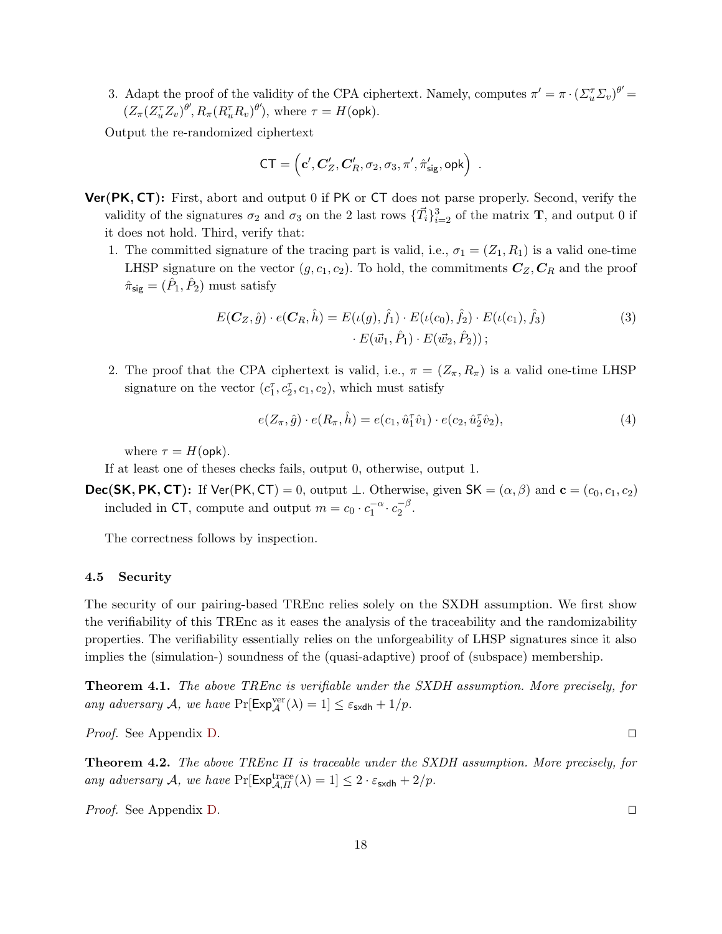<span id="page-19-2"></span>3. Adapt the proof of the validity of the CPA ciphertext. Namely, computes  $\pi' = \pi \cdot (\Sigma_u^{\tau} \Sigma_v)^{\theta'} =$  $(Z_{\pi}(Z_u^{\tau}Z_v)^{\theta'}, R_{\pi}(R_u^{\tau}R_v)^{\theta'})$ , where  $\tau = H(\mathsf{opk})$ .

Output the re-randomized ciphertext

$$
\mathsf{CT}=\Big(\mathbf{c}',\mathbf{C}_Z',\mathbf{C}_R',\sigma_2,\sigma_3,\pi',\hat{\pi}'_{\mathsf{sig}},\mathsf{opk}\Big)\enspace.
$$

- Ver(PK, CT): First, abort and output 0 if PK or CT does not parse properly. Second, verify the validity of the signatures  $\sigma_2$  and  $\sigma_3$  on the 2 last rows  $\{\vec{T}_i\}_{i=2}^3$  of the matrix **T**, and output 0 if it does not hold. Third, verify that:
	- 1. The committed signature of the tracing part is valid, i.e.,  $\sigma_1 = (Z_1, R_1)$  is a valid one-time LHSP signature on the vector  $(g, c_1, c_2)$ . To hold, the commitments  $C_Z, C_R$  and the proof  $\hat{\pi}_{\text{sig}} = (\hat{P}_1, \hat{P}_2)$  must satisfy

$$
E(C_Z, \hat{g}) \cdot e(C_R, \hat{h}) = E(\iota(g), \hat{f}_1) \cdot E(\iota(c_0), \hat{f}_2) \cdot E(\iota(c_1), \hat{f}_3) \cdot E(\vec{w}_1, \hat{P}_1) \cdot E(\vec{w}_2, \hat{P}_2));
$$
\n(3)

2. The proof that the CPA ciphertext is valid, i.e.,  $\pi = (Z_{\pi}, R_{\pi})$  is a valid one-time LHSP signature on the vector  $(c_1^{\tau}, c_2^{\tau}, c_1, c_2)$ , which must satisfy

<span id="page-19-1"></span>
$$
e(Z_{\pi}, \hat{g}) \cdot e(R_{\pi}, \hat{h}) = e(c_1, \hat{u}_1^{\tau} \hat{v}_1) \cdot e(c_2, \hat{u}_2^{\tau} \hat{v}_2), \tag{4}
$$

where  $\tau = H(\mathsf{opk}).$ 

If at least one of theses checks fails, output 0, otherwise, output 1.

**Dec(SK, PK, CT):** If Ver(PK, CT) = 0, output  $\perp$ . Otherwise, given  $SK = (\alpha, \beta)$  and  $c = (c_0, c_1, c_2)$ included in CT, compute and output  $m = c_0 \cdot c_1^{-\alpha} \cdot c_2^{-\beta}$  $\frac{-\rho}{2}$ .

The correctness follows by inspection.

### <span id="page-19-0"></span>4.5 Security

The security of our pairing-based TREnc relies solely on the SXDH assumption. We first show the verifiability of this TREnc as it eases the analysis of the traceability and the randomizability properties. The verifiability essentially relies on the unforgeability of LHSP signatures since it also implies the (simulation-) soundness of the (quasi-adaptive) proof of (subspace) membership.

Theorem 4.1. The above TREnc is verifiable under the SXDH assumption. More precisely, for any adversary A, we have  $Pr[Exp_{\mathcal{A}}^{\text{ver}}(\lambda) = 1] \leq \varepsilon_{\text{sxdh}} + 1/p$ .

*Proof.* See Appendix [D.](#page-42-0)  $\Box$ 

**Theorem 4.2.** The above TREnc  $\Pi$  is traceable under the SXDH assumption. More precisely, for any adversary A, we have  $\Pr[\mathsf{Exp}_{\mathcal{A},\Pi}^{\text{trace}}(\lambda) = 1] \leq 2 \cdot \varepsilon_{\text{exdh}} + 2/p$ .

*Proof.* See Appendix [D.](#page-42-0)  $\Box$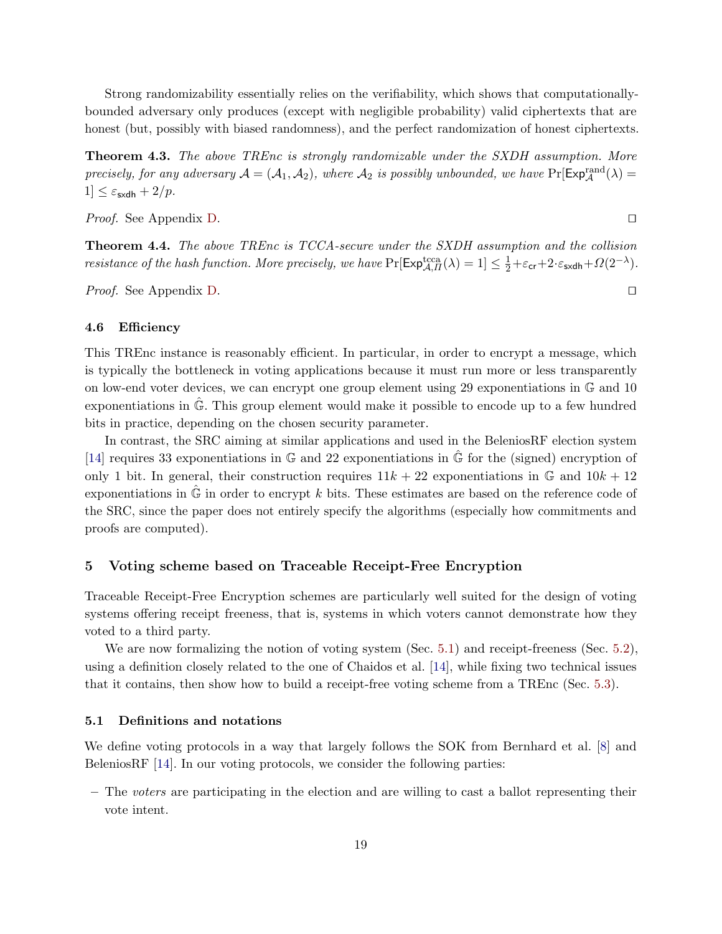Strong randomizability essentially relies on the verifiability, which shows that computationallybounded adversary only produces (except with negligible probability) valid ciphertexts that are honest (but, possibly with biased randomness), and the perfect randomization of honest ciphertexts.

Theorem 4.3. The above TREnc is strongly randomizable under the SXDH assumption. More precisely, for any adversary  $\mathcal{A} = (\mathcal{A}_1, \mathcal{A}_2)$ , where  $\mathcal{A}_2$  is possibly unbounded, we have  $\Pr[\mathsf{Exp}_{\mathcal{A}}^{\mathrm{rand}}(\lambda) =$  $1] \leq \varepsilon_{\text{exdh}} + 2/p.$ 

*Proof.* See Appendix [D.](#page-42-0)  $\Box$ 

Theorem 4.4. The above TREnc is TCCA-secure under the SXDH assumption and the collision resistance of the hash function. More precisely, we have  $Pr[\text{Exp}_{\mathcal{A},H}^{\text{tcca}}(\lambda) = 1] \leq \frac{1}{2} + \varepsilon_{\text{cr}} + 2 \cdot \varepsilon_{\text{exdh}} + \Omega(2^{-\lambda}).$ 

*Proof.* See Appendix [D.](#page-42-0)  $\Box$ 

### <span id="page-20-0"></span>4.6 Efficiency

This TREnc instance is reasonably efficient. In particular, in order to encrypt a message, which is typically the bottleneck in voting applications because it must run more or less transparently on low-end voter devices, we can encrypt one group element using 29 exponentiations in G and 10 exponentiations in G. This group element would make it possible to encode up to a few hundred bits in practice, depending on the chosen security parameter.

In contrast, the SRC aiming at similar applications and used in the BeleniosRF election system [\[14\]](#page-28-3) requires 33 exponentiations in  $\mathbb G$  and 22 exponentiations in  $\hat{\mathbb G}$  for the (signed) encryption of only 1 bit. In general, their construction requires  $11k + 22$  exponentiations in G and  $10k + 12$ exponentiations in  $\mathbb{G}$  in order to encrypt k bits. These estimates are based on the reference code of the SRC, since the paper does not entirely specify the algorithms (especially how commitments and proofs are computed).

### <span id="page-20-1"></span>5 Voting scheme based on Traceable Receipt-Free Encryption

Traceable Receipt-Free Encryption schemes are particularly well suited for the design of voting systems offering receipt freeness, that is, systems in which voters cannot demonstrate how they voted to a third party.

We are now formalizing the notion of voting system (Sec. [5.1\)](#page-20-2) and receipt-freeness (Sec. [5.2\)](#page-22-0), using a definition closely related to the one of Chaidos et al. [\[14\]](#page-28-3), while fixing two technical issues that it contains, then show how to build a receipt-free voting scheme from a TREnc (Sec. [5.3\)](#page-24-0).

### <span id="page-20-2"></span>5.1 Definitions and notations

We define voting protocols in a way that largely follows the SOK from Bernhard et al. [\[8\]](#page-28-17) and BeleniosRF [\[14\]](#page-28-3). In our voting protocols, we consider the following parties:

– The voters are participating in the election and are willing to cast a ballot representing their vote intent.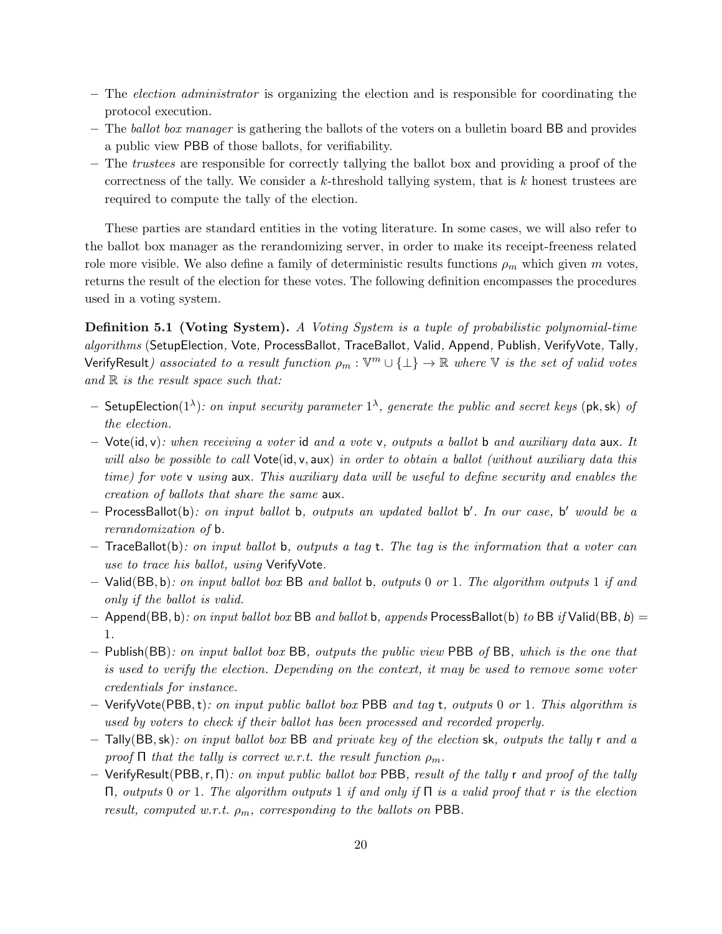- The election administrator is organizing the election and is responsible for coordinating the protocol execution.
- The ballot box manager is gathering the ballots of the voters on a bulletin board BB and provides a public view PBB of those ballots, for verifiability.
- The trustees are responsible for correctly tallying the ballot box and providing a proof of the correctness of the tally. We consider a  $k$ -threshold tallying system, that is  $k$  honest trustees are required to compute the tally of the election.

These parties are standard entities in the voting literature. In some cases, we will also refer to the ballot box manager as the rerandomizing server, in order to make its receipt-freeness related role more visible. We also define a family of deterministic results functions  $\rho_m$  which given m votes, returns the result of the election for these votes. The following definition encompasses the procedures used in a voting system.

Definition 5.1 (Voting System). A Voting System is a tuple of probabilistic polynomial-time algorithms (SetupElection, Vote, ProcessBallot, TraceBallot, Valid, Append, Publish, VerifyVote, Tally, VerifyResult) associated to a result function  $\rho_m : \mathbb{V}^m \cup \{\perp\} \to \mathbb{R}$  where  $\mathbb {V}$  is the set of valid votes and  $\mathbb R$  is the result space such that:

- SetupElection(1<sup> $\lambda$ </sup>): on input security parameter 1<sup> $\lambda$ </sup>, generate the public and secret keys (pk, sk) of the election.
- Vote(id, v): when receiving a voter id and a vote v, outputs a ballot b and auxiliary data aux. It will also be possible to call  $\forall$ ote(id, v, aux) in order to obtain a ballot (without auxiliary data this time) for vote v using aux. This auxiliary data will be useful to define security and enables the creation of ballots that share the same aux.
- $-$  ProcessBallot(b): on input ballot b, outputs an updated ballot b'. In our case, b' would be a rerandomization of b.
- $-$  TraceBallot(b): on input ballot b, outputs a tag t. The tag is the information that a voter can use to trace his ballot, using VerifyVote.
- $-$  Valid(BB, b): on input ballot box BB and ballot b, outputs 0 or 1. The algorithm outputs 1 if and only if the ballot is valid.
- $-$  Append(BB, b): on input ballot box BB and ballot b, appends ProcessBallot(b) to BB if Valid(BB, b) = 1.
- $-$  Publish(BB): on input ballot box BB, outputs the public view PBB of BB, which is the one that is used to verify the election. Depending on the context, it may be used to remove some voter credentials for instance.
- VerifyVote(PBB, t): on input public ballot box PBB and tag t, outputs 0 or 1. This algorithm is used by voters to check if their ballot has been processed and recorded properly.
- $-$  Tally(BB, sk): on input ballot box BB and private key of the election sk, outputs the tally r and a proof  $\Pi$  that the tally is correct w.r.t. the result function  $\rho_m$ .
- VerifyResult(PBB, r,  $\Pi$ ): on input public ballot box PBB, result of the tally r and proof of the tally Π, outputs 0 or 1. The algorithm outputs 1 if and only if Π is a valid proof that r is the election result, computed w.r.t.  $\rho_m$ , corresponding to the ballots on PBB.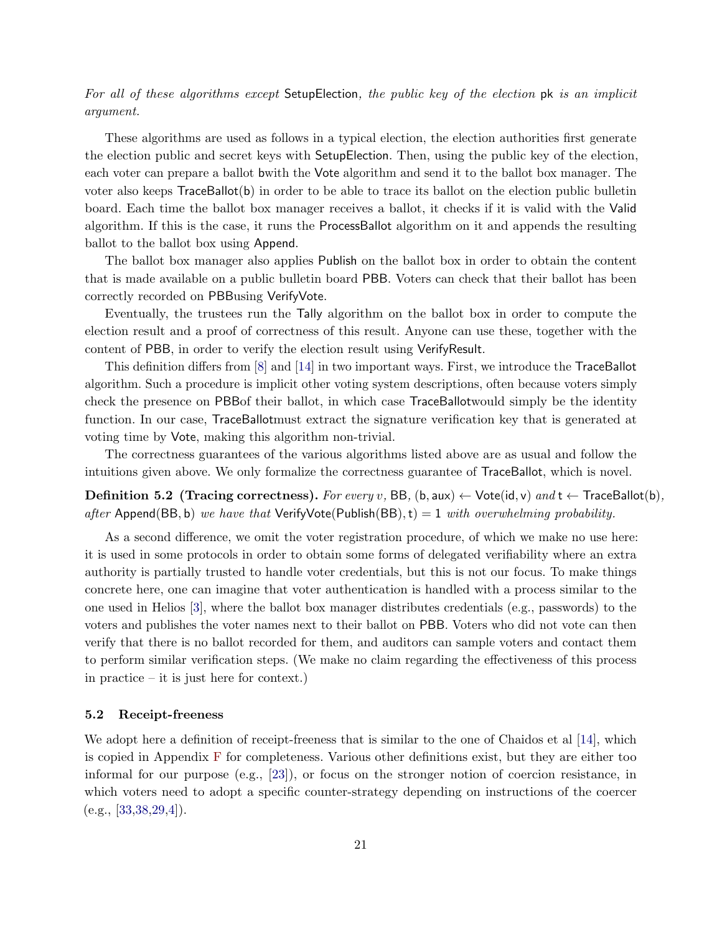For all of these algorithms except SetupElection, the public key of the election pk is an implicit argument.

These algorithms are used as follows in a typical election, the election authorities first generate the election public and secret keys with SetupElection. Then, using the public key of the election, each voter can prepare a ballot bwith the Vote algorithm and send it to the ballot box manager. The voter also keeps TraceBallot(b) in order to be able to trace its ballot on the election public bulletin board. Each time the ballot box manager receives a ballot, it checks if it is valid with the Valid algorithm. If this is the case, it runs the ProcessBallot algorithm on it and appends the resulting ballot to the ballot box using Append.

The ballot box manager also applies Publish on the ballot box in order to obtain the content that is made available on a public bulletin board PBB. Voters can check that their ballot has been correctly recorded on PBBusing VerifyVote.

Eventually, the trustees run the Tally algorithm on the ballot box in order to compute the election result and a proof of correctness of this result. Anyone can use these, together with the content of PBB, in order to verify the election result using VerifyResult.

This definition differs from [\[8\]](#page-28-17) and [\[14\]](#page-28-3) in two important ways. First, we introduce the TraceBallot algorithm. Such a procedure is implicit other voting system descriptions, often because voters simply check the presence on PBBof their ballot, in which case TraceBallotwould simply be the identity function. In our case, TraceBallotmust extract the signature verification key that is generated at voting time by Vote, making this algorithm non-trivial.

The correctness guarantees of the various algorithms listed above are as usual and follow the intuitions given above. We only formalize the correctness guarantee of TraceBallot, which is novel.

**Definition 5.2** (Tracing correctness). For every v, BB, (b, aux)  $\leftarrow$  Vote(id, v) and  $t \leftarrow$  TraceBallot(b), after Append(BB, b) we have that VerifyVote(Publish(BB), t) = 1 with overwhelming probability.

As a second difference, we omit the voter registration procedure, of which we make no use here: it is used in some protocols in order to obtain some forms of delegated verifiability where an extra authority is partially trusted to handle voter credentials, but this is not our focus. To make things concrete here, one can imagine that voter authentication is handled with a process similar to the one used in Helios [\[3\]](#page-28-18), where the ballot box manager distributes credentials (e.g., passwords) to the voters and publishes the voter names next to their ballot on PBB. Voters who did not vote can then verify that there is no ballot recorded for them, and auditors can sample voters and contact them to perform similar verification steps. (We make no claim regarding the effectiveness of this process in practice – it is just here for context.)

### <span id="page-22-0"></span>5.2 Receipt-freeness

We adopt here a definition of receipt-freeness that is similar to the one of Chaidos et al [\[14\]](#page-28-3), which is copied in Appendix [F](#page-49-1) for completeness. Various other definitions exist, but they are either too informal for our purpose (e.g., [\[23\]](#page-29-1)), or focus on the stronger notion of coercion resistance, in which voters need to adopt a specific counter-strategy depending on instructions of the coercer  $(e.g., [33,38,29,4]).$  $(e.g., [33,38,29,4]).$  $(e.g., [33,38,29,4]).$  $(e.g., [33,38,29,4]).$  $(e.g., [33,38,29,4]).$  $(e.g., [33,38,29,4]).$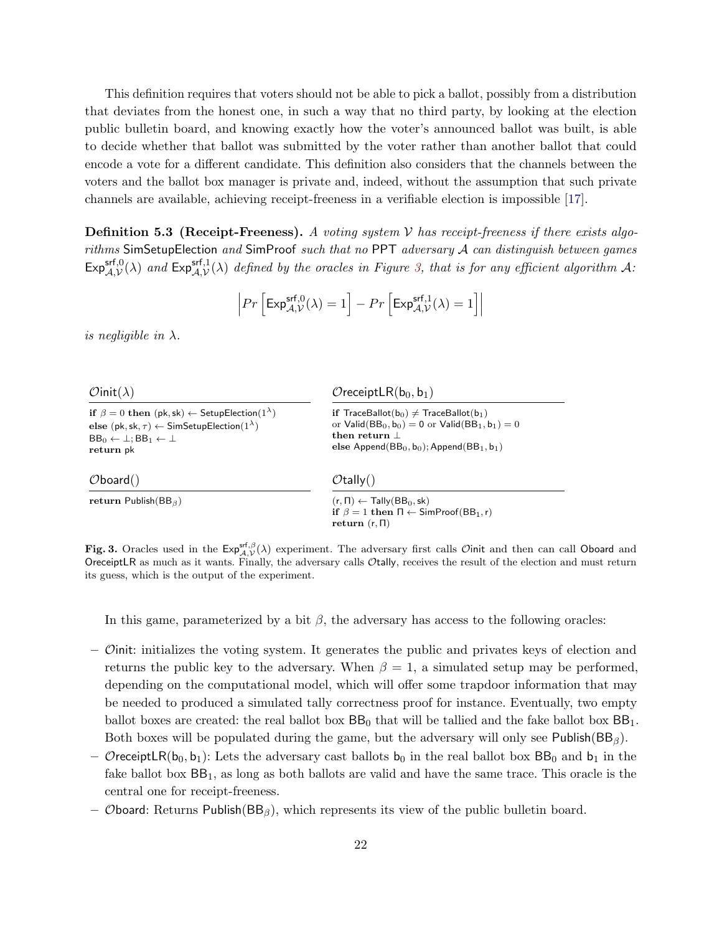This definition requires that voters should not be able to pick a ballot, possibly from a distribution that deviates from the honest one, in such a way that no third party, by looking at the election public bulletin board, and knowing exactly how the voter's announced ballot was built, is able to decide whether that ballot was submitted by the voter rather than another ballot that could encode a vote for a different candidate. This definition also considers that the channels between the voters and the ballot box manager is private and, indeed, without the assumption that such private channels are available, achieving receipt-freeness in a verifiable election is impossible [\[17\]](#page-28-19).

**Definition 5.3 (Receipt-Freeness).** A voting system V has receipt-freeness if there exists algo $rithms$  SimSetupElection and SimProof such that no PPT adversary  $A$  can distinguish between games  $\text{Exp}_{\mathcal{A},\mathcal{V}}^{\text{srf},0}(\lambda)$  and  $\text{Exp}_{\mathcal{A},\mathcal{V}}^{\text{srf},1}(\lambda)$  defined by the oracles in Figure [3,](#page-23-0) that is for any efficient algorithm A:

$$
\left| Pr \left[ Exp_{\mathcal{A}, \mathcal{V}}^{\mathsf{srf}, 0}(\lambda) = 1 \right] - Pr \left[ Exp_{\mathcal{A}, \mathcal{V}}^{\mathsf{srf}, 1}(\lambda) = 1 \right] \right|
$$

is negligible in  $\lambda$ .

| $O$ init $(\lambda)$                                                                                                                                                                                                                    | $O$ receiptLR $(b_0, b_1)$<br>if $TraceBallot(b_0) \neq TraceBallot(b_1)$<br>or $Valid(BB_0, b_0) = 0$ or $Valid(BB_1, b_1) = 0$<br>then return $\perp$<br>else Append( $BB_0, b_0$ ); Append( $BB_1, b_1$ ) |  |
|-----------------------------------------------------------------------------------------------------------------------------------------------------------------------------------------------------------------------------------------|--------------------------------------------------------------------------------------------------------------------------------------------------------------------------------------------------------------|--|
| if $\beta = 0$ then $(\mathsf{pk}, \mathsf{sk}) \leftarrow \mathsf{SetupElection}(1^{\lambda})$<br>else (pk, sk, $\tau$ ) $\leftarrow$ SimSetupElection( $1^{\lambda}$ )<br>$BB_0 \leftarrow \perp; BB_1 \leftarrow \perp$<br>return pk |                                                                                                                                                                                                              |  |
| $Ob\text{card}()$                                                                                                                                                                                                                       | $\mathcal{O}$ tally()                                                                                                                                                                                        |  |
| return Publish( $BB_8$ )                                                                                                                                                                                                                | $(r, \Pi) \leftarrow \text{Tally}(BB_0, sk)$<br>if $\beta = 1$ then $\Pi \leftarrow$ SimProof(BB <sub>1</sub> , r)<br>return $(r, \Pi)$                                                                      |  |

<span id="page-23-0"></span>Fig. 3. Oracles used in the  $Exp_{\mathcal{A},\mathcal{V}}^{\text{srf},\beta}(\lambda)$  experiment. The adversary first calls Oinit and then can call Oboard and OreceiptLR as much as it wants. Finally, the adversary calls Otally, receives the result of the election and must return its guess, which is the output of the experiment.

In this game, parameterized by a bit  $\beta$ , the adversary has access to the following oracles:

- Oinit: initializes the voting system. It generates the public and privates keys of election and returns the public key to the adversary. When  $\beta = 1$ , a simulated setup may be performed, depending on the computational model, which will offer some trapdoor information that may be needed to produced a simulated tally correctness proof for instance. Eventually, two empty ballot boxes are created: the real ballot box  $BB_0$  that will be tallied and the fake ballot box  $BB_1$ . Both boxes will be populated during the game, but the adversary will only see Publish( $BB<sub>\beta</sub>$ ).
- OreceiptLR( $b_0, b_1$ ): Lets the adversary cast ballots  $b_0$  in the real ballot box BB<sub>0</sub> and  $b_1$  in the fake ballot box  $BB<sub>1</sub>$ , as long as both ballots are valid and have the same trace. This oracle is the central one for receipt-freeness.
- Oboard: Returns Publish( $\text{BB}_\beta$ ), which represents its view of the public bulletin board.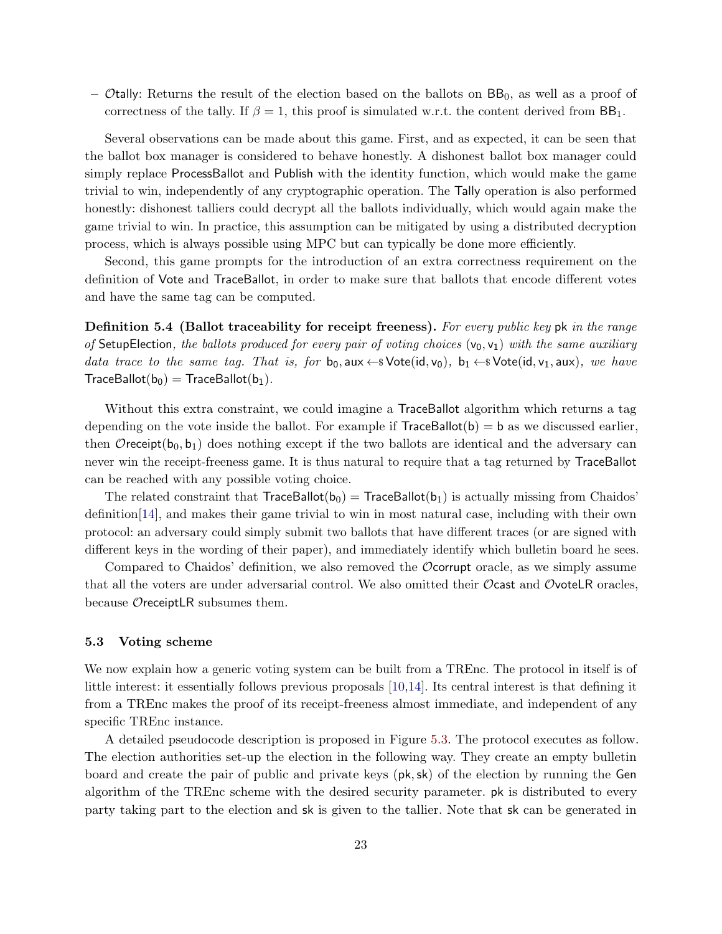– Otally: Returns the result of the election based on the ballots on  $BB_0$ , as well as a proof of correctness of the tally. If  $\beta = 1$ , this proof is simulated w.r.t. the content derived from BB<sub>1</sub>.

Several observations can be made about this game. First, and as expected, it can be seen that the ballot box manager is considered to behave honestly. A dishonest ballot box manager could simply replace ProcessBallot and Publish with the identity function, which would make the game trivial to win, independently of any cryptographic operation. The Tally operation is also performed honestly: dishonest talliers could decrypt all the ballots individually, which would again make the game trivial to win. In practice, this assumption can be mitigated by using a distributed decryption process, which is always possible using MPC but can typically be done more efficiently.

Second, this game prompts for the introduction of an extra correctness requirement on the definition of Vote and TraceBallot, in order to make sure that ballots that encode different votes and have the same tag can be computed.

<span id="page-24-1"></span>Definition 5.4 (Ballot traceability for receipt freeness). For every public key pk in the range of SetupElection, the ballots produced for every pair of voting choices  $(v_0, v_1)$  with the same auxiliary data trace to the same tag. That is, for  $b_0$ , aux  $\leftarrow$ \$ Vote(id,  $v_0$ ),  $b_1 \leftarrow$ \$ Vote(id,  $v_1$ , aux), we have  $TraceBallot(b_0) = TraceBallot(b_1).$ 

Without this extra constraint, we could imagine a TraceBallot algorithm which returns a tag depending on the vote inside the ballot. For example if  $TraceBallot(b) = b$  as we discussed earlier, then Oreceipt( $b_0, b_1$ ) does nothing except if the two ballots are identical and the adversary can never win the receipt-freeness game. It is thus natural to require that a tag returned by TraceBallot can be reached with any possible voting choice.

The related constraint that  $TraceBallot(b_0) = TraceBallot(b_1)$  is actually missing from Chaidos' definition[\[14\]](#page-28-3), and makes their game trivial to win in most natural case, including with their own protocol: an adversary could simply submit two ballots that have different traces (or are signed with different keys in the wording of their paper), and immediately identify which bulletin board he sees.

Compared to Chaidos' definition, we also removed the Ocorrupt oracle, as we simply assume that all the voters are under adversarial control. We also omitted their Ocast and OvoteLR oracles, because OreceiptLR subsumes them.

### <span id="page-24-0"></span>5.3 Voting scheme

We now explain how a generic voting system can be built from a TREnc. The protocol in itself is of little interest: it essentially follows previous proposals [\[10](#page-28-2)[,14\]](#page-28-3). Its central interest is that defining it from a TREnc makes the proof of its receipt-freeness almost immediate, and independent of any specific TREnc instance.

A detailed pseudocode description is proposed in Figure [5.3.](#page-24-0) The protocol executes as follow. The election authorities set-up the election in the following way. They create an empty bulletin board and create the pair of public and private keys (pk,sk) of the election by running the Gen algorithm of the TREnc scheme with the desired security parameter. pk is distributed to every party taking part to the election and sk is given to the tallier. Note that sk can be generated in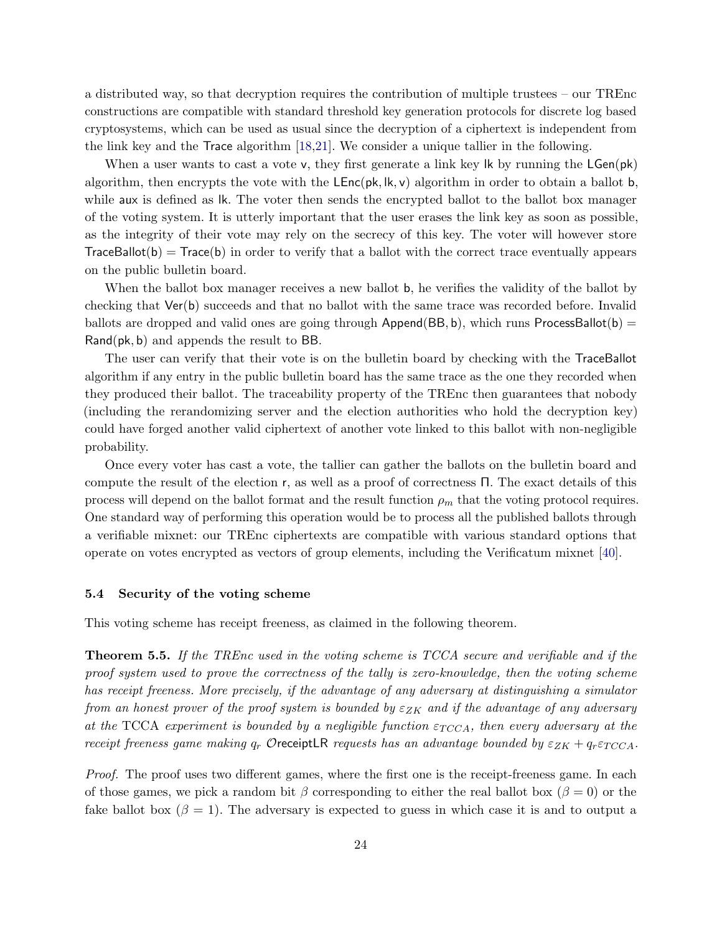a distributed way, so that decryption requires the contribution of multiple trustees – our TREnc constructions are compatible with standard threshold key generation protocols for discrete log based cryptosystems, which can be used as usual since the decryption of a ciphertext is independent from the link key and the Trace algorithm [\[18,](#page-28-20)[21\]](#page-28-21). We consider a unique tallier in the following.

When a user wants to cast a vote v, they first generate a link key  $\mathsf{lk}$  by running the  $\mathsf{LGen}(\mathsf{pk})$ algorithm, then encrypts the vote with the  $\text{LEnc}(\text{pk}, \text{lk}, \text{v})$  algorithm in order to obtain a ballot b, while aux is defined as lk. The voter then sends the encrypted ballot to the ballot box manager of the voting system. It is utterly important that the user erases the link key as soon as possible, as the integrity of their vote may rely on the secrecy of this key. The voter will however store  $TraceBallot(b) = Trace(b)$  in order to verify that a ballot with the correct trace eventually appears on the public bulletin board.

When the ballot box manager receives a new ballot b, he verifies the validity of the ballot by checking that Ver(b) succeeds and that no ballot with the same trace was recorded before. Invalid ballots are dropped and valid ones are going through Append(BB, b), which runs ProcessBallot(b) = Rand(pk, b) and appends the result to BB.

The user can verify that their vote is on the bulletin board by checking with the TraceBallot algorithm if any entry in the public bulletin board has the same trace as the one they recorded when they produced their ballot. The traceability property of the TREnc then guarantees that nobody (including the rerandomizing server and the election authorities who hold the decryption key) could have forged another valid ciphertext of another vote linked to this ballot with non-negligible probability.

Once every voter has cast a vote, the tallier can gather the ballots on the bulletin board and compute the result of the election r, as well as a proof of correctness Π. The exact details of this process will depend on the ballot format and the result function  $\rho_m$  that the voting protocol requires. One standard way of performing this operation would be to process all the published ballots through a verifiable mixnet: our TREnc ciphertexts are compatible with various standard options that operate on votes encrypted as vectors of group elements, including the Verificatum mixnet [\[40\]](#page-29-17).

#### <span id="page-25-0"></span>5.4 Security of the voting scheme

This voting scheme has receipt freeness, as claimed in the following theorem.

**Theorem 5.5.** If the TREnc used in the voting scheme is TCCA secure and verifiable and if the proof system used to prove the correctness of the tally is zero-knowledge, then the voting scheme has receipt freeness. More precisely, if the advantage of any adversary at distinguishing a simulator from an honest prover of the proof system is bounded by  $\varepsilon_{ZK}$  and if the advantage of any adversary at the TCCA experiment is bounded by a negligible function  $\varepsilon_{TCCA}$ , then every adversary at the receipt freeness game making  $q_r$  OreceiptLR requests has an advantage bounded by  $\varepsilon_{ZK} + q_r \varepsilon_{TCCA}$ .

Proof. The proof uses two different games, where the first one is the receipt-freeness game. In each of those games, we pick a random bit  $\beta$  corresponding to either the real ballot box  $(\beta = 0)$  or the fake ballot box  $(\beta = 1)$ . The adversary is expected to guess in which case it is and to output a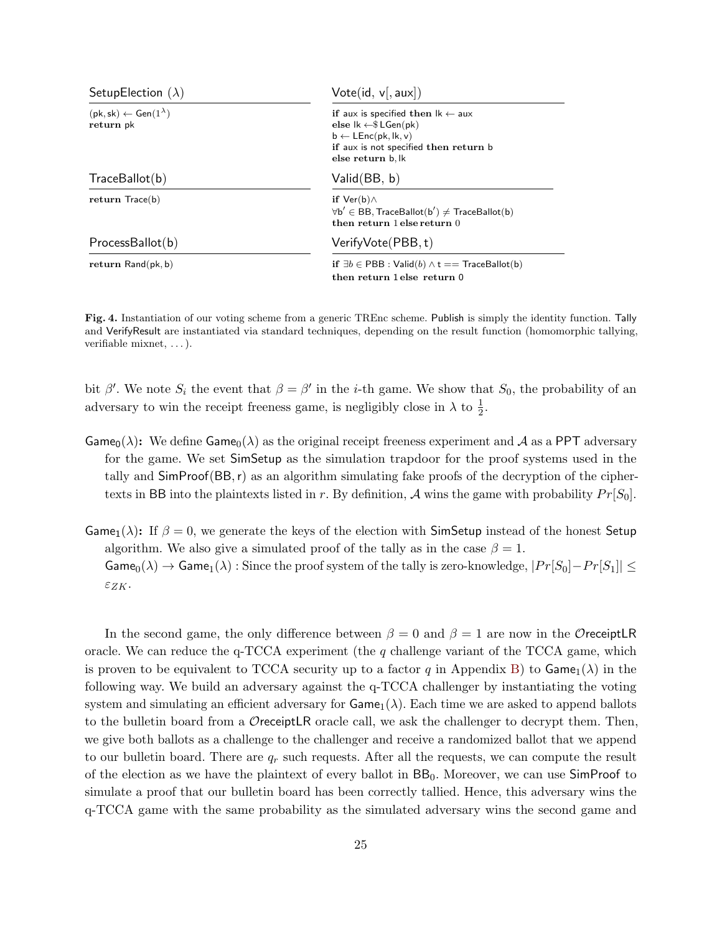| SetupElection $(\lambda)$                                                      | Vote(id, v[, aux])                                                                                                                                                                                        |  |
|--------------------------------------------------------------------------------|-----------------------------------------------------------------------------------------------------------------------------------------------------------------------------------------------------------|--|
| $(\mathsf{pk}, \mathsf{sk}) \leftarrow \mathsf{Gen}(1^{\lambda})$<br>return pk | if aux is specified then $\mathsf{lk} \leftarrow \mathsf{aux}$<br>else $lk \leftarrow \$ LGen(pk)$<br>$b \leftarrow \text{LEnc}(pk, lk, v)$<br>if aux is not specified then return b<br>else return b, lk |  |
| TraceBallot(b)                                                                 | Valid(BB, b)                                                                                                                                                                                              |  |
| return Trace(b)                                                                | if $Ver(b) \wedge$<br>$\forall b' \in BB$ , TraceBallot(b') $\neq$ TraceBallot(b)<br>then return 1 else return 0                                                                                          |  |
| ProcessBallot(b)                                                               | VerifyVote(PBB, t)                                                                                                                                                                                        |  |
| return $Rand(pk, b)$                                                           | if $\exists b \in PBB : \text{Valid}(b) \land t == \text{TraceBallot}(b)$<br>then return 1 else return 0                                                                                                  |  |

Fig. 4. Instantiation of our voting scheme from a generic TREnc scheme. Publish is simply the identity function. Tally and VerifyResult are instantiated via standard techniques, depending on the result function (homomorphic tallying, verifiable mixnet, . . . ).

bit  $\beta'$ . We note  $S_i$  the event that  $\beta = \beta'$  in the *i*-th game. We show that  $S_0$ , the probability of an adversary to win the receipt freeness game, is negligibly close in  $\lambda$  to  $\frac{1}{2}$ .

- **Game**<sub>0</sub>( $\lambda$ ): We define **Game**<sub>0</sub>( $\lambda$ ) as the original receipt freeness experiment and A as a PPT adversary for the game. We set SimSetup as the simulation trapdoor for the proof systems used in the tally and  $SimProof(BB,r)$  as an algorithm simulating fake proofs of the decryption of the ciphertexts in BB into the plaintexts listed in r. By definition, A wins the game with probability  $Pr[S_0]$ .
- Game<sub>1</sub>( $\lambda$ ): If  $\beta = 0$ , we generate the keys of the election with SimSetup instead of the honest Setup algorithm. We also give a simulated proof of the tally as in the case  $\beta = 1$ .  $Game_0(\lambda) \to Gam$ e<sub>1</sub>( $\lambda$ ) : Since the proof system of the tally is zero-knowledge,  $|Pr[S_0]-Pr[S_1]| \le$  $\varepsilon_{ZK}$ .

In the second game, the only difference between  $\beta = 0$  and  $\beta = 1$  are now in the OreceiptLR oracle. We can reduce the  $q$ -TCCA experiment (the q challenge variant of the TCCA game, which is proven to be equivalent to TCCA security up to a factor q in Appendix [B\)](#page-31-0) to  $\mathsf{Game}_1(\lambda)$  in the following way. We build an adversary against the q-TCCA challenger by instantiating the voting system and simulating an efficient adversary for  $\mathsf{Game}_1(\lambda)$ . Each time we are asked to append ballots to the bulletin board from a OreceiptLR oracle call, we ask the challenger to decrypt them. Then, we give both ballots as a challenge to the challenger and receive a randomized ballot that we append to our bullet the board. There are  $q_r$  such requests. After all the requests, we can compute the result of the election as we have the plaintext of every ballot in  $BB_0$ . Moreover, we can use SimProof to simulate a proof that our bulletin board has been correctly tallied. Hence, this adversary wins the q-TCCA game with the same probability as the simulated adversary wins the second game and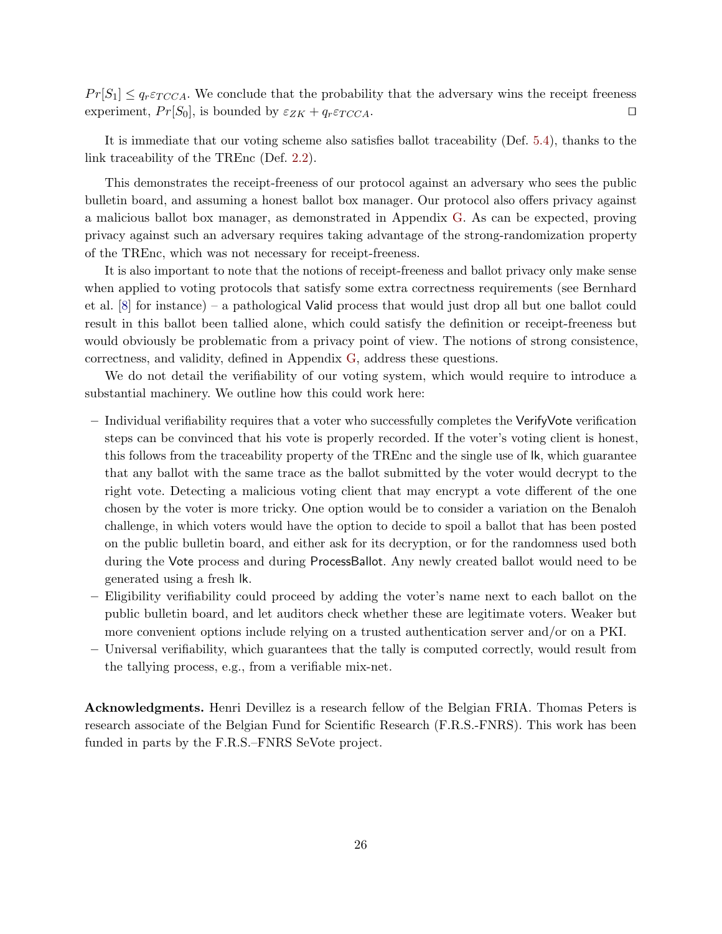$Pr[S_1] \leq q_r \epsilon_{TCCA}$ . We conclude that the probability that the adversary wins the receipt freeness experiment,  $Pr[S_0]$ , is bounded by  $\varepsilon_{ZK} + q_r \varepsilon_{TCCA}$ .

It is immediate that our voting scheme also satisfies ballot traceability (Def. [5.4\)](#page-24-1), thanks to the link traceability of the TREnc (Def. [2.2\)](#page-7-1).

This demonstrates the receipt-freeness of our protocol against an adversary who sees the public bulletin board, and assuming a honest ballot box manager. Our protocol also offers privacy against a malicious ballot box manager, as demonstrated in Appendix [G.](#page-51-0) As can be expected, proving privacy against such an adversary requires taking advantage of the strong-randomization property of the TREnc, which was not necessary for receipt-freeness.

It is also important to note that the notions of receipt-freeness and ballot privacy only make sense when applied to voting protocols that satisfy some extra correctness requirements (see Bernhard et al. [\[8\]](#page-28-17) for instance) – a pathological Valid process that would just drop all but one ballot could result in this ballot been tallied alone, which could satisfy the definition or receipt-freeness but would obviously be problematic from a privacy point of view. The notions of strong consistence, correctness, and validity, defined in Appendix [G,](#page-51-0) address these questions.

We do not detail the verifiability of our voting system, which would require to introduce a substantial machinery. We outline how this could work here:

- Individual verifiability requires that a voter who successfully completes the VerifyVote verification steps can be convinced that his vote is properly recorded. If the voter's voting client is honest, this follows from the traceability property of the TREnc and the single use of lk, which guarantee that any ballot with the same trace as the ballot submitted by the voter would decrypt to the right vote. Detecting a malicious voting client that may encrypt a vote different of the one chosen by the voter is more tricky. One option would be to consider a variation on the Benaloh challenge, in which voters would have the option to decide to spoil a ballot that has been posted on the public bulletin board, and either ask for its decryption, or for the randomness used both during the Vote process and during ProcessBallot. Any newly created ballot would need to be generated using a fresh lk.
- Eligibility verifiability could proceed by adding the voter's name next to each ballot on the public bulletin board, and let auditors check whether these are legitimate voters. Weaker but more convenient options include relying on a trusted authentication server and/or on a PKI.
- Universal verifiability, which guarantees that the tally is computed correctly, would result from the tallying process, e.g., from a verifiable mix-net.

Acknowledgments. Henri Devillez is a research fellow of the Belgian FRIA. Thomas Peters is research associate of the Belgian Fund for Scientific Research (F.R.S.-FNRS). This work has been funded in parts by the F.R.S.–FNRS SeVote project.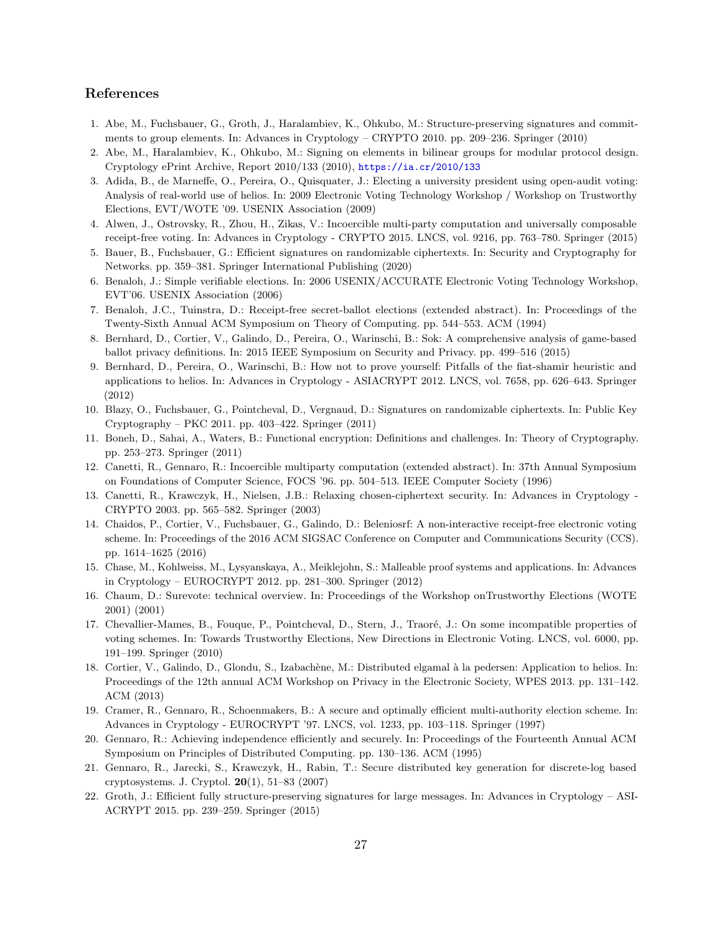# References

- <span id="page-28-15"></span>1. Abe, M., Fuchsbauer, G., Groth, J., Haralambiev, K., Ohkubo, M.: Structure-preserving signatures and commitments to group elements. In: Advances in Cryptology – CRYPTO 2010. pp. 209–236. Springer (2010)
- <span id="page-28-14"></span>2. Abe, M., Haralambiev, K., Ohkubo, M.: Signing on elements in bilinear groups for modular protocol design. Cryptology ePrint Archive, Report 2010/133 (2010), <https://ia.cr/2010/133>
- <span id="page-28-18"></span>3. Adida, B., de Marneffe, O., Pereira, O., Quisquater, J.: Electing a university president using open-audit voting: Analysis of real-world use of helios. In: 2009 Electronic Voting Technology Workshop / Workshop on Trustworthy Elections, EVT/WOTE '09. USENIX Association (2009)
- <span id="page-28-13"></span>4. Alwen, J., Ostrovsky, R., Zhou, H., Zikas, V.: Incoercible multi-party computation and universally composable receipt-free voting. In: Advances in Cryptology - CRYPTO 2015. LNCS, vol. 9216, pp. 763–780. Springer (2015)
- <span id="page-28-4"></span>5. Bauer, B., Fuchsbauer, G.: Efficient signatures on randomizable ciphertexts. In: Security and Cryptography for Networks. pp. 359–381. Springer International Publishing (2020)
- <span id="page-28-5"></span>6. Benaloh, J.: Simple verifiable elections. In: 2006 USENIX/ACCURATE Electronic Voting Technology Workshop, EVT'06. USENIX Association (2006)
- <span id="page-28-0"></span>7. Benaloh, J.C., Tuinstra, D.: Receipt-free secret-ballot elections (extended abstract). In: Proceedings of the Twenty-Sixth Annual ACM Symposium on Theory of Computing. pp. 544–553. ACM (1994)
- <span id="page-28-17"></span>8. Bernhard, D., Cortier, V., Galindo, D., Pereira, O., Warinschi, B.: Sok: A comprehensive analysis of game-based ballot privacy definitions. In: 2015 IEEE Symposium on Security and Privacy. pp. 499–516 (2015)
- <span id="page-28-8"></span>9. Bernhard, D., Pereira, O., Warinschi, B.: How not to prove yourself: Pitfalls of the fiat-shamir heuristic and applications to helios. In: Advances in Cryptology - ASIACRYPT 2012. LNCS, vol. 7658, pp. 626–643. Springer (2012)
- <span id="page-28-2"></span>10. Blazy, O., Fuchsbauer, G., Pointcheval, D., Vergnaud, D.: Signatures on randomizable ciphertexts. In: Public Key Cryptography – PKC 2011. pp. 403–422. Springer (2011)
- <span id="page-28-11"></span>11. Boneh, D., Sahai, A., Waters, B.: Functional encryption: Definitions and challenges. In: Theory of Cryptography. pp. 253–273. Springer (2011)
- <span id="page-28-12"></span>12. Canetti, R., Gennaro, R.: Incoercible multiparty computation (extended abstract). In: 37th Annual Symposium on Foundations of Computer Science, FOCS '96. pp. 504–513. IEEE Computer Society (1996)
- <span id="page-28-9"></span>13. Canetti, R., Krawczyk, H., Nielsen, J.B.: Relaxing chosen-ciphertext security. In: Advances in Cryptology - CRYPTO 2003. pp. 565–582. Springer (2003)
- <span id="page-28-3"></span>14. Chaidos, P., Cortier, V., Fuchsbauer, G., Galindo, D.: Beleniosrf: A non-interactive receipt-free electronic voting scheme. In: Proceedings of the 2016 ACM SIGSAC Conference on Computer and Communications Security (CCS). pp. 1614–1625 (2016)
- <span id="page-28-10"></span>15. Chase, M., Kohlweiss, M., Lysyanskaya, A., Meiklejohn, S.: Malleable proof systems and applications. In: Advances in Cryptology – EUROCRYPT 2012. pp. 281–300. Springer (2012)
- <span id="page-28-6"></span>16. Chaum, D.: Surevote: technical overview. In: Proceedings of the Workshop onTrustworthy Elections (WOTE 2001) (2001)
- <span id="page-28-19"></span>17. Chevallier-Mames, B., Fouque, P., Pointcheval, D., Stern, J., Traor´e, J.: On some incompatible properties of voting schemes. In: Towards Trustworthy Elections, New Directions in Electronic Voting. LNCS, vol. 6000, pp. 191–199. Springer (2010)
- <span id="page-28-20"></span>18. Cortier, V., Galindo, D., Glondu, S., Izabachène, M.: Distributed elgamal à la pedersen: Application to helios. In: Proceedings of the 12th annual ACM Workshop on Privacy in the Electronic Society, WPES 2013. pp. 131–142. ACM (2013)
- <span id="page-28-1"></span>19. Cramer, R., Gennaro, R., Schoenmakers, B.: A secure and optimally efficient multi-authority election scheme. In: Advances in Cryptology - EUROCRYPT '97. LNCS, vol. 1233, pp. 103–118. Springer (1997)
- <span id="page-28-7"></span>20. Gennaro, R.: Achieving independence efficiently and securely. In: Proceedings of the Fourteenth Annual ACM Symposium on Principles of Distributed Computing. pp. 130–136. ACM (1995)
- <span id="page-28-21"></span>21. Gennaro, R., Jarecki, S., Krawczyk, H., Rabin, T.: Secure distributed key generation for discrete-log based cryptosystems. J. Cryptol. 20(1), 51–83 (2007)
- <span id="page-28-16"></span>22. Groth, J.: Efficient fully structure-preserving signatures for large messages. In: Advances in Cryptology – ASI-ACRYPT 2015. pp. 239–259. Springer (2015)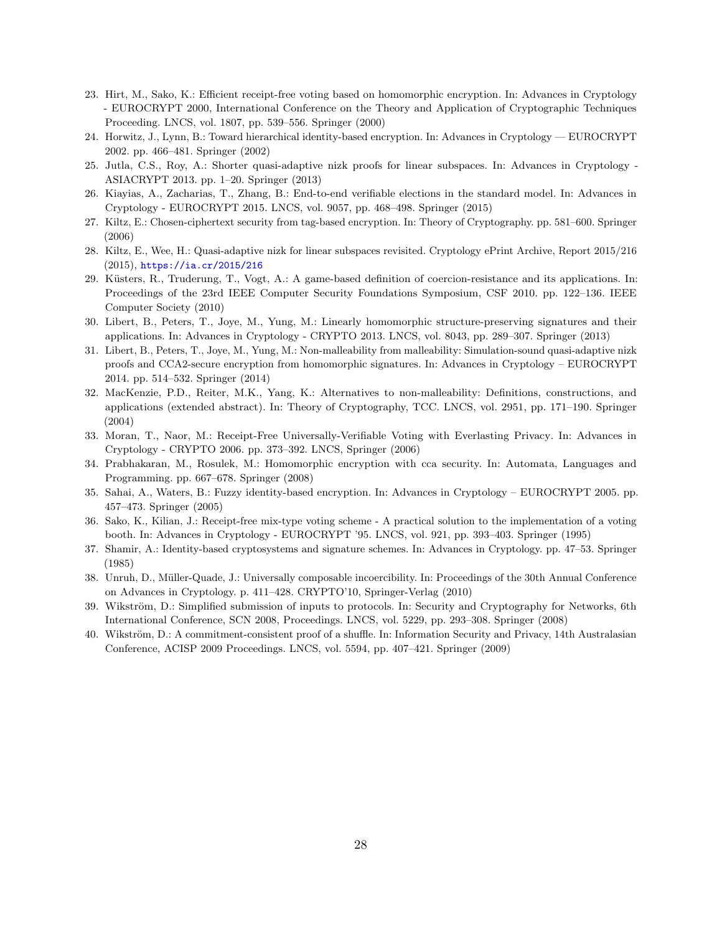- <span id="page-29-1"></span>23. Hirt, M., Sako, K.: Efficient receipt-free voting based on homomorphic encryption. In: Advances in Cryptology - EUROCRYPT 2000, International Conference on the Theory and Application of Cryptographic Techniques Proceeding. LNCS, vol. 1807, pp. 539–556. Springer (2000)
- <span id="page-29-6"></span>24. Horwitz, J., Lynn, B.: Toward hierarchical identity-based encryption. In: Advances in Cryptology — EUROCRYPT 2002. pp. 466–481. Springer (2002)
- <span id="page-29-13"></span>25. Jutla, C.S., Roy, A.: Shorter quasi-adaptive nizk proofs for linear subspaces. In: Advances in Cryptology - ASIACRYPT 2013. pp. 1–20. Springer (2013)
- <span id="page-29-2"></span>26. Kiayias, A., Zacharias, T., Zhang, B.: End-to-end verifiable elections in the standard model. In: Advances in Cryptology - EUROCRYPT 2015. LNCS, vol. 9057, pp. 468–498. Springer (2015)
- <span id="page-29-10"></span>27. Kiltz, E.: Chosen-ciphertext security from tag-based encryption. In: Theory of Cryptography. pp. 581–600. Springer (2006)
- <span id="page-29-15"></span>28. Kiltz, E., Wee, H.: Quasi-adaptive nizk for linear subspaces revisited. Cryptology ePrint Archive, Report 2015/216 (2015), <https://ia.cr/2015/216>
- <span id="page-29-16"></span>29. Küsters, R., Truderung, T., Vogt, A.: A game-based definition of coercion-resistance and its applications. In: Proceedings of the 23rd IEEE Computer Security Foundations Symposium, CSF 2010. pp. 122–136. IEEE Computer Society (2010)
- <span id="page-29-12"></span>30. Libert, B., Peters, T., Joye, M., Yung, M.: Linearly homomorphic structure-preserving signatures and their applications. In: Advances in Cryptology - CRYPTO 2013. LNCS, vol. 8043, pp. 289–307. Springer (2013)
- <span id="page-29-14"></span>31. Libert, B., Peters, T., Joye, M., Yung, M.: Non-malleability from malleability: Simulation-sound quasi-adaptive nizk proofs and CCA2-secure encryption from homomorphic signatures. In: Advances in Cryptology – EUROCRYPT 2014. pp. 514–532. Springer (2014)
- <span id="page-29-11"></span>32. MacKenzie, P.D., Reiter, M.K., Yang, K.: Alternatives to non-malleability: Definitions, constructions, and applications (extended abstract). In: Theory of Cryptography, TCC. LNCS, vol. 2951, pp. 171–190. Springer (2004)
- <span id="page-29-8"></span>33. Moran, T., Naor, M.: Receipt-Free Universally-Verifiable Voting with Everlasting Privacy. In: Advances in Cryptology - CRYPTO 2006. pp. 373–392. LNCS, Springer (2006)
- <span id="page-29-4"></span>34. Prabhakaran, M., Rosulek, M.: Homomorphic encryption with cca security. In: Automata, Languages and Programming. pp. 667–678. Springer (2008)
- <span id="page-29-7"></span>35. Sahai, A., Waters, B.: Fuzzy identity-based encryption. In: Advances in Cryptology – EUROCRYPT 2005. pp. 457–473. Springer (2005)
- <span id="page-29-0"></span>36. Sako, K., Kilian, J.: Receipt-free mix-type voting scheme - A practical solution to the implementation of a voting booth. In: Advances in Cryptology - EUROCRYPT '95. LNCS, vol. 921, pp. 393–403. Springer (1995)
- <span id="page-29-5"></span>37. Shamir, A.: Identity-based cryptosystems and signature schemes. In: Advances in Cryptology. pp. 47–53. Springer (1985)
- <span id="page-29-9"></span>38. Unruh, D., M¨uller-Quade, J.: Universally composable incoercibility. In: Proceedings of the 30th Annual Conference on Advances in Cryptology. p. 411–428. CRYPTO'10, Springer-Verlag (2010)
- <span id="page-29-3"></span>39. Wikström, D.: Simplified submission of inputs to protocols. In: Security and Cryptography for Networks, 6th International Conference, SCN 2008, Proceedings. LNCS, vol. 5229, pp. 293–308. Springer (2008)
- <span id="page-29-17"></span>40. Wikström, D.: A commitment-consistent proof of a shuffle. In: Information Security and Privacy, 14th Australasian Conference, ACISP 2009 Proceedings. LNCS, vol. 5594, pp. 407–421. Springer (2009)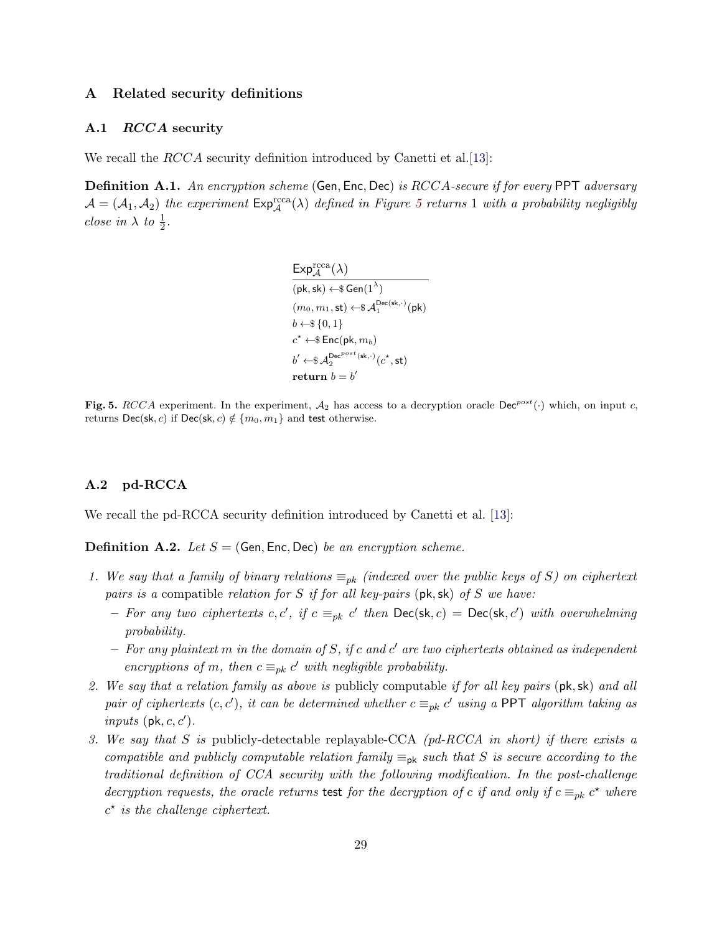# <span id="page-30-0"></span>A Related security definitions

# <span id="page-30-1"></span>A.1 RCCA security

We recall the  $RCCA$  security definition introduced by Canetti et al. [\[13\]](#page-28-9):

**Definition A.1.** An encryption scheme (Gen, Enc, Dec) is  $RCCA$ -secure if for every PPT adversary  $A = (A_1, A_2)$  the experiment  $Exp_A^{rcca}(\lambda)$  defined in Figure [5](#page-30-3) returns 1 with a probability negligibly close in  $\lambda$  to  $\frac{1}{2}$ .

> $\mathsf{Exp}^{\mathrm{rcca}}_\mathcal{A}(\lambda)$  $(\mathsf{pk},\mathsf{sk}) \leftarrow \$ \mathsf{Gen}(1^\lambda)$  $(m_0,m_1,\mathsf{st}) \leftarrow \$   $\mathcal{A}_1^{\mathsf{Dec}(\mathsf{sk},\cdot)}(\mathsf{pk})$  $b \leftarrow \$ \{0, 1\}$  $c^{\star} \leftarrow \$$  Enc $(\textsf{pk}, m_b)$  $b' \leftarrow \$\mathcal{A}_2^{\mathsf{Dec}^{post}(\mathsf{sk},\cdot)}(c^\star,\mathsf{st})$  $\textbf{return } b = b'$

<span id="page-30-3"></span>Fig. 5. RCCA experiment. In the experiment,  $A_2$  has access to a decryption oracle Dec<sup>post</sup>(·) which, on input c, returns Dec(sk, c) if Dec(sk, c)  $\notin \{m_0, m_1\}$  and test otherwise.

### <span id="page-30-2"></span>A.2 pd-RCCA

<span id="page-30-4"></span>We recall the pd-RCCA security definition introduced by Canetti et al. [\[13\]](#page-28-9):

**Definition A.2.** Let  $S = (Gen, Enc, Dec)$  be an encryption scheme.

- 1. We say that a family of binary relations  $\equiv_{pk}$  (indexed over the public keys of S) on ciphertext pairs is a compatible relation for S if for all key-pairs  $(\mathsf{pk}, \mathsf{sk})$  of S we have:
	- For any two ciphertexts  $c, c'$ , if  $c \equiv_{pk} c'$  then  $\mathsf{Dec}(\mathsf{sk}, c) = \mathsf{Dec}(\mathsf{sk}, c')$  with overwhelming probability.
	- $-$  For any plaintext m in the domain of S, if c and c' are two ciphertexts obtained as independent encryptions of m, then  $c \equiv_{pk} c'$  with negligible probability.
- 2. We say that a relation family as above is publicly computable if for all key pairs (pk, sk) and all pair of ciphertexts  $(c, c')$ , it can be determined whether  $c \equiv_{pk} c'$  using a PPT algorithm taking as inputs  $(\mathsf{pk}, c, c')$ .
- 3. We say that S is publicly-detectable replayable-CCA ( $pd$ -RCCA in short) if there exists a compatible and publicly computable relation family  $\equiv_{\mathsf{pk}}$  such that S is secure according to the traditional definition of CCA security with the following modification. In the post-challenge decryption requests, the oracle returns test for the decryption of c if and only if  $c \equiv_{pk} c^*$  where  $c^*$  is the challenge ciphertext.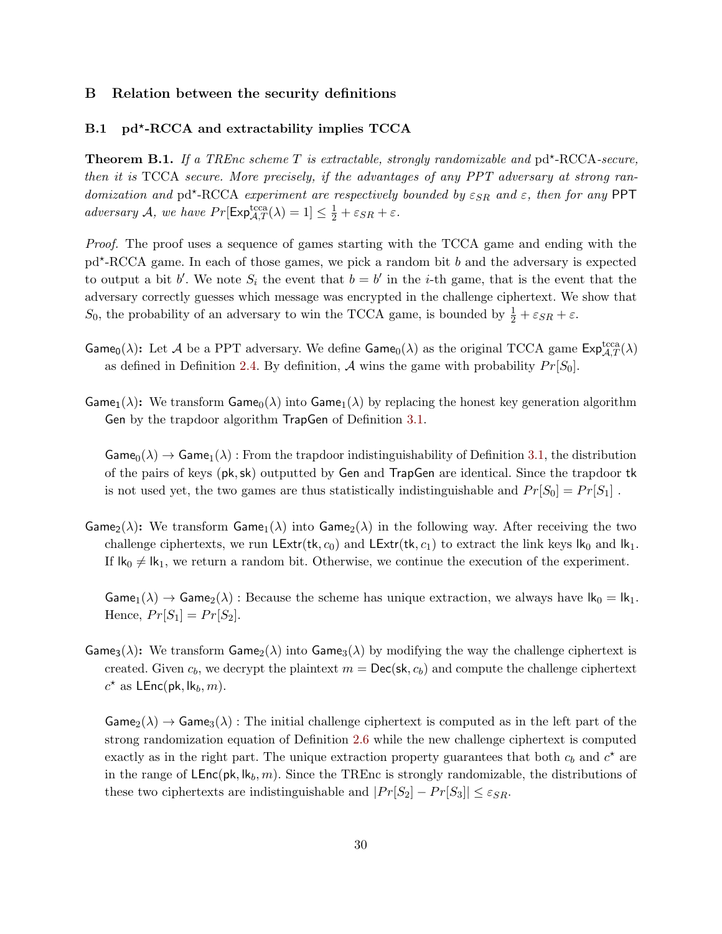# <span id="page-31-0"></span>B Relation between the security definitions

# <span id="page-31-1"></span>B.1 pd<sup>\*</sup>-RCCA and extractability implies TCCA

<span id="page-31-2"></span>**Theorem B.1.** If a TREnc scheme  $T$  is extractable, strongly randomizable and  $pd^*$ -RCCA-secure, then it is TCCA secure. More precisely, if the advantages of any PPT adversary at strong randomization and pd\*-RCCA experiment are respectively bounded by  $\varepsilon_{SR}$  and  $\varepsilon$ , then for any PPT adversary A, we have  $Pr[\text{Exp}^{\text{tcca}}_{\mathcal{A},T}(\lambda) = 1] \leq \frac{1}{2} + \varepsilon_{SR} + \varepsilon$ .

Proof. The proof uses a sequence of games starting with the TCCA game and ending with the pd? -RCCA game. In each of those games, we pick a random bit b and the adversary is expected to output a bit b'. We note  $S_i$  the event that  $b = b'$  in the *i*-th game, that is the event that the adversary correctly guesses which message was encrypted in the challenge ciphertext. We show that S<sub>0</sub>, the probability of an adversary to win the TCCA game, is bounded by  $\frac{1}{2} + \varepsilon_{SR} + \varepsilon$ .

- Game<sub>0</sub>( $\lambda$ ): Let A be a PPT adversary. We define Game<sub>0</sub>( $\lambda$ ) as the original TCCA game  $Exp_{A,T}^{tcca}(\lambda)$ as defined in Definition [2.4.](#page-8-1) By definition, A wins the game with probability  $Pr[S_0]$ .
- **Game**<sub>1</sub>( $\lambda$ ): We transform **Game**<sub>0</sub>( $\lambda$ ) into **Game**<sub>1</sub>( $\lambda$ ) by replacing the honest key generation algorithm Gen by the trapdoor algorithm TrapGen of Definition [3.1.](#page-11-3)

 $Game_0(\lambda) \rightarrow Game_1(\lambda)$ : From the trapdoor indistinguishability of Definition [3.1,](#page-11-3) the distribution of the pairs of keys (pk,sk) outputted by Gen and TrapGen are identical. Since the trapdoor tk is not used yet, the two games are thus statistically indistinguishable and  $Pr[S_0] = Pr[S_1]$ .

Game<sub>2</sub>( $\lambda$ ): We transform Game<sub>1</sub>( $\lambda$ ) into Game<sub>2</sub>( $\lambda$ ) in the following way. After receiving the two challenge ciphertexts, we run LExtr(tk,  $c_0$ ) and LExtr(tk,  $c_1$ ) to extract the link keys  $\mathsf{lk}_0$  and  $\mathsf{lk}_1$ . If  $lk_0 \neq lk_1$ , we return a random bit. Otherwise, we continue the execution of the experiment.

 $\text{Game}_1(\lambda) \to \text{Game}_2(\lambda)$ : Because the scheme has unique extraction, we always have  $lk_0 = lk_1$ . Hence,  $Pr[S_1] = Pr[S_2]$ .

Game<sub>3</sub>( $\lambda$ ): We transform Game<sub>2</sub>( $\lambda$ ) into Game<sub>3</sub>( $\lambda$ ) by modifying the way the challenge ciphertext is created. Given  $c_b$ , we decrypt the plaintext  $m = \text{Dec}(\text{sk}, c_b)$  and compute the challenge ciphertext  $c^*$  as  $\mathsf{LEnc}(\mathsf{pk}, \mathsf{lk}_b, m)$ .

 $\text{Game}_2(\lambda) \to \text{Game}_3(\lambda)$ : The initial challenge ciphertext is computed as in the left part of the strong randomization equation of Definition [2.6](#page-10-0) while the new challenge ciphertext is computed exactly as in the right part. The unique extraction property guarantees that both  $c_b$  and  $c^*$  are in the range of  $\mathsf{LEnc}(pk, lk_b, m)$ . Since the TREnc is strongly randomizable, the distributions of these two ciphertexts are indistinguishable and  $|Pr[S_2] - Pr[S_3]| \leq \varepsilon_{SR}$ .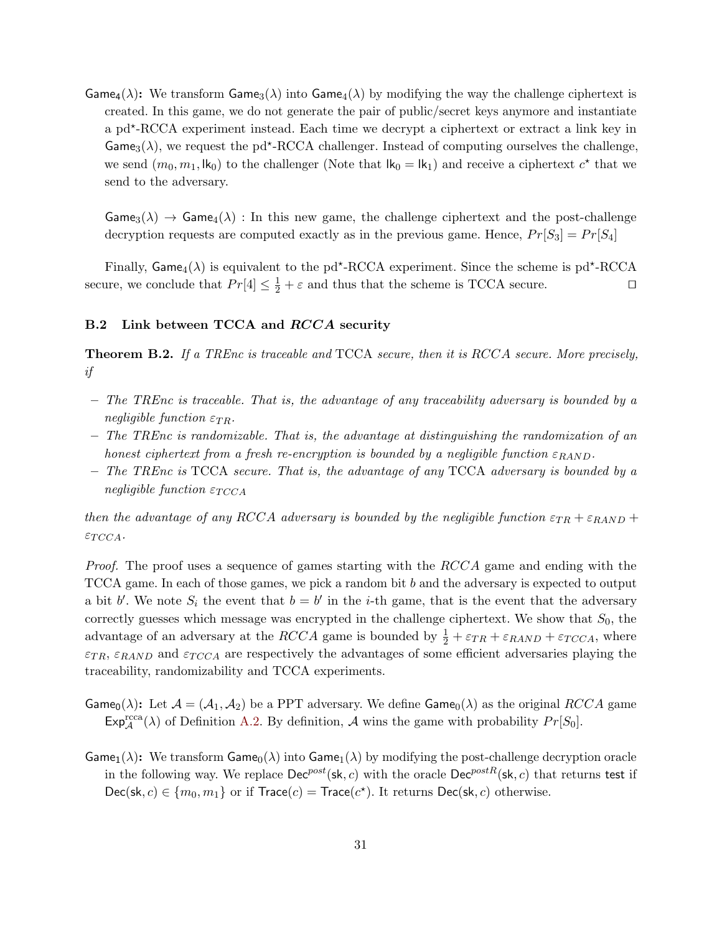Game<sub>4</sub>( $\lambda$ ): We transform Game<sub>3</sub>( $\lambda$ ) into Game<sub>4</sub>( $\lambda$ ) by modifying the way the challenge ciphertext is created. In this game, we do not generate the pair of public/secret keys anymore and instantiate a pd<sup>\*</sup>-RCCA experiment instead. Each time we decrypt a ciphertext or extract a link key in  $\mathsf{Game}_3(\lambda)$ , we request the pd\*-RCCA challenger. Instead of computing ourselves the challenge, we send  $(m_0, m_1, \mathsf{lk}_0)$  to the challenger (Note that  $\mathsf{lk}_0 = \mathsf{lk}_1$ ) and receive a ciphertext  $c^*$  that we send to the adversary.

 $\textsf{Game}_3(\lambda) \to \textsf{Game}_4(\lambda)$ : In this new game, the challenge ciphertext and the post-challenge decryption requests are computed exactly as in the previous game. Hence,  $Pr[S_3] = Pr[S_4]$ 

Finally,  $\mathsf{Game}_4(\lambda)$  is equivalent to the pd<sup>\*</sup>-RCCA experiment. Since the scheme is pd<sup>\*</sup>-RCCA secure, we conclude that  $Pr[4] \leq \frac{1}{2} + \varepsilon$  and thus that the scheme is TCCA secure.

# <span id="page-32-0"></span>B.2 Link between TCCA and RCCA security

**Theorem B.2.** If a TREnc is traceable and TCCA secure, then it is RCCA secure. More precisely, if

- The TREnc is traceable. That is, the advantage of any traceability adversary is bounded by a negligible function  $\varepsilon_{TR}$ .
- The TREnc is randomizable. That is, the advantage at distinguishing the randomization of an honest ciphertext from a fresh re-encryption is bounded by a negligible function  $\varepsilon_{RAND}$ .
- The TREnc is TCCA secure. That is, the advantage of any TCCA adversary is bounded by a negligible function  $\varepsilon_{TCCA}$

then the advantage of any RCCA adversary is bounded by the negligible function  $\varepsilon_{TR} + \varepsilon_{RAND} +$  $\epsilon_{TCCA}.$ 

Proof. The proof uses a sequence of games starting with the RCCA game and ending with the TCCA game. In each of those games, we pick a random bit b and the adversary is expected to output a bit b'. We note  $S_i$  the event that  $b = b'$  in the *i*-th game, that is the event that the adversary correctly guesses which message was encrypted in the challenge ciphertext. We show that  $S_0$ , the advantage of an adversary at the RCCA game is bounded by  $\frac{1}{2} + \varepsilon_{TR} + \varepsilon_{RAND} + \varepsilon_{TCCA}$ , where  $\varepsilon_{TR}$ ,  $\varepsilon_{RAND}$  and  $\varepsilon_{TCCA}$  are respectively the advantages of some efficient adversaries playing the traceability, randomizability and TCCA experiments.

- **Game**<sub>0</sub>( $\lambda$ ): Let  $\mathcal{A} = (\mathcal{A}_1, \mathcal{A}_2)$  be a PPT adversary. We define **Game**<sub>0</sub>( $\lambda$ ) as the original *RCCA* game  $Exp_{\mathcal{A}}^{rcca}(\lambda)$  of Definition [A.2.](#page-30-4) By definition, A wins the game with probability  $Pr[S_0]$ .
- **Game**<sub>1</sub>( $\lambda$ ): We transform  $\mathsf{Game}_0(\lambda)$  into  $\mathsf{Game}_1(\lambda)$  by modifying the post-challenge decryption oracle in the following way. We replace  $\text{Dec}^{post}(\mathsf{sk}, c)$  with the oracle  $\text{Dec}^{postR}(\mathsf{sk}, c)$  that returns test if  $Dec(\mathsf{sk}, c) \in \{m_0, m_1\}$  or if  $Trace(c) = Trace(c^*)$ . It returns  $Dec(\mathsf{sk}, c)$  otherwise.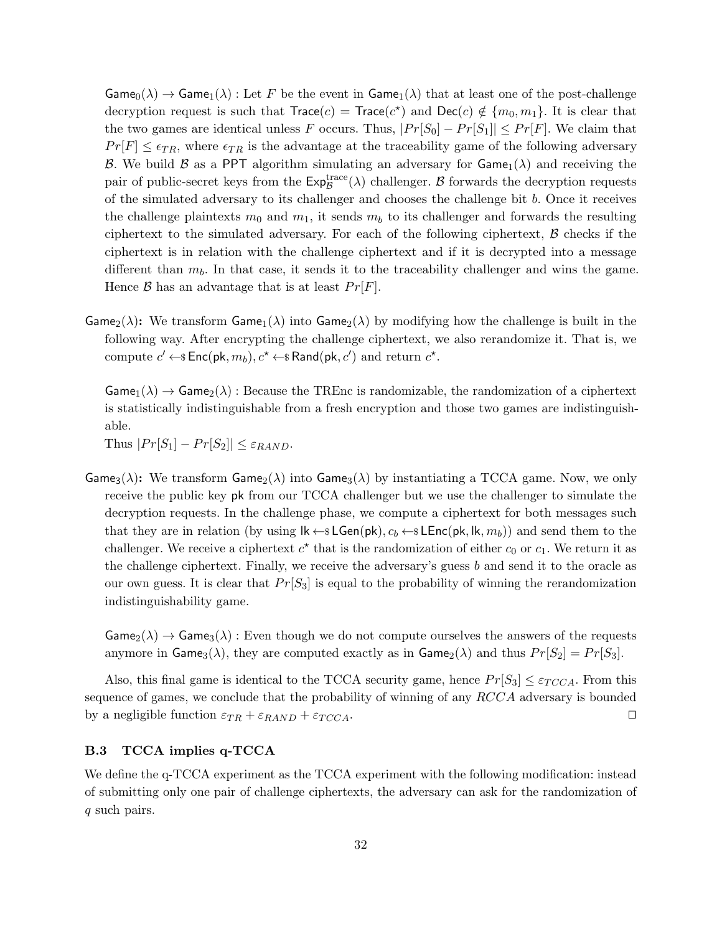$\mathsf{Game}_0(\lambda) \to \mathsf{Game}_1(\lambda)$  : Let F be the event in  $\mathsf{Game}_1(\lambda)$  that at least one of the post-challenge decryption request is such that  $Trace(c) = Trace(c^*)$  and  $Dec(c) \notin \{m_0, m_1\}$ . It is clear that the two games are identical unless F occurs. Thus,  $|Pr[S_0] - Pr[S_1]| \leq Pr[F]$ . We claim that  $Pr[F] \leq \epsilon_{TR}$ , where  $\epsilon_{TR}$  is the advantage at the traceability game of the following adversary B. We build B as a PPT algorithm simulating an adversary for  $\mathsf{Game}_1(\lambda)$  and receiving the pair of public-secret keys from the  $\mathsf{Exp}^{\text{trace}}_{\mathcal{B}}(\lambda)$  challenger. B forwards the decryption requests of the simulated adversary to its challenger and chooses the challenge bit  $b$ . Once it receives the challenge plaintexts  $m_0$  and  $m_1$ , it sends  $m_b$  to its challenger and forwards the resulting ciphertext to the simulated adversary. For each of the following ciphertext,  $\beta$  checks if the ciphertext is in relation with the challenge ciphertext and if it is decrypted into a message different than  $m_b$ . In that case, it sends it to the traceability challenger and wins the game. Hence  $\mathcal B$  has an advantage that is at least  $Pr[F]$ .

Game<sub>2</sub>( $\lambda$ ): We transform Game<sub>1</sub>( $\lambda$ ) into Game<sub>2</sub>( $\lambda$ ) by modifying how the challenge is built in the following way. After encrypting the challenge ciphertext, we also rerandomize it. That is, we compute  $c' \leftarrow s \mathsf{Enc}(\mathsf{pk}, m_b), c^* \leftarrow s \mathsf{Rand}(\mathsf{pk}, c')$  and return  $c^*$ .

 $\text{Game}_1(\lambda) \to \text{Game}_2(\lambda)$ : Because the TREnc is randomizable, the randomization of a ciphertext is statistically indistinguishable from a fresh encryption and those two games are indistinguishable.

Thus  $|Pr[S_1] - Pr[S_2]| \leq \varepsilon_{RAND}$ .

Game<sub>3</sub>( $\lambda$ ): We transform Game<sub>2</sub>( $\lambda$ ) into Game<sub>3</sub>( $\lambda$ ) by instantiating a TCCA game. Now, we only receive the public key pk from our TCCA challenger but we use the challenger to simulate the decryption requests. In the challenge phase, we compute a ciphertext for both messages such that they are in relation (by using  $\mathsf{lk} \leftarrow \mathsf{sLGen}(\mathsf{pk}), c_b \leftarrow \mathsf{sLEnc}(\mathsf{pk}, \mathsf{lk}, m_b)$ ) and send them to the challenger. We receive a ciphertext  $c^*$  that is the randomization of either  $c_0$  or  $c_1$ . We return it as the challenge ciphertext. Finally, we receive the adversary's guess b and send it to the oracle as our own guess. It is clear that  $Pr[S_3]$  is equal to the probability of winning the rerandomization indistinguishability game.

 $\text{Game}_2(\lambda) \to \text{Game}_3(\lambda)$ : Even though we do not compute ourselves the answers of the requests anymore in  $\textsf{Game}_3(\lambda)$ , they are computed exactly as in  $\textsf{Game}_2(\lambda)$  and thus  $Pr[S_2] = Pr[S_3]$ .

Also, this final game is identical to the TCCA security game, hence  $Pr[S_3] \leq \varepsilon_{TCCA}$ . From this sequence of games, we conclude that the probability of winning of any RCCA adversary is bounded by a negligible function  $\varepsilon_{TR} + \varepsilon_{RAND} + \varepsilon_{TCCA}$ .

### <span id="page-33-0"></span>B.3 TCCA implies q-TCCA

We define the q-TCCA experiment as the TCCA experiment with the following modification: instead of submitting only one pair of challenge ciphertexts, the adversary can ask for the randomization of q such pairs.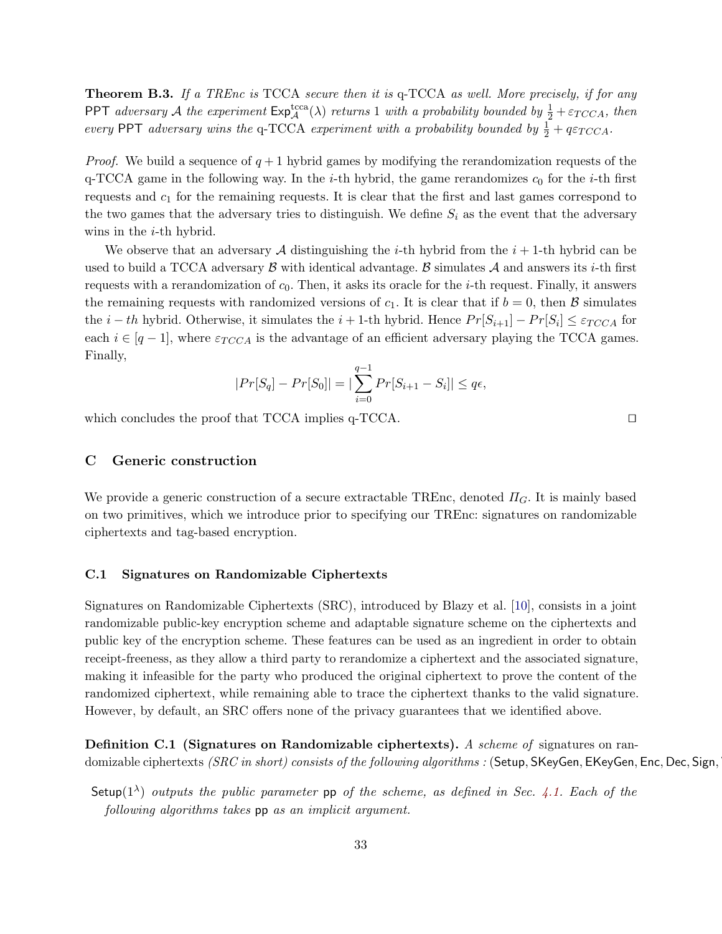**Theorem B.3.** If a TREnc is TCCA secure then it is q-TCCA as well. More precisely, if for any PPT adversary A the experiment  $Exp_{\mathcal{A}}^{tcca}(\lambda)$  returns 1 with a probability bounded by  $\frac{1}{2} + \varepsilon_{TCCA}$ , then every PPT adversary wins the q-TCCA experiment with a probability bounded by  $\frac{1}{2} + q \epsilon_{TCCA}$ .

*Proof.* We build a sequence of  $q + 1$  hybrid games by modifying the rerandomization requests of the  $q$ -TCCA game in the following way. In the *i*-th hybrid, the game rerandomizes  $c_0$  for the *i*-th first requests and  $c_1$  for the remaining requests. It is clear that the first and last games correspond to the two games that the adversary tries to distinguish. We define  $S_i$  as the event that the adversary wins in the  $i$ -th hybrid.

We observe that an adversary A distinguishing the *i*-th hybrid from the  $i + 1$ -th hybrid can be used to build a TCCA adversary  $\beta$  with identical advantage.  $\beta$  simulates  $\mathcal A$  and answers its *i*-th first requests with a rerandomization of  $c_0$ . Then, it asks its oracle for the *i*-th request. Finally, it answers the remaining requests with randomized versions of  $c_1$ . It is clear that if  $b = 0$ , then B simulates the  $i - th$  hybrid. Otherwise, it simulates the  $i + 1$ -th hybrid. Hence  $Pr[S_{i+1}] - Pr[S_i] \leq \varepsilon_{TCCA}$  for each  $i \in [q-1]$ , where  $\varepsilon_{TCCA}$  is the advantage of an efficient adversary playing the TCCA games. Finally,

$$
|Pr[S_q] - Pr[S_0]| = |\sum_{i=0}^{q-1} Pr[S_{i+1} - S_i]| \leq q\epsilon,
$$

which concludes the proof that TCCA implies  $q$ -TCCA.  $\square$ 

# <span id="page-34-0"></span>C Generic construction

We provide a generic construction of a secure extractable TREnc, denoted  $\Pi_G$ . It is mainly based on two primitives, which we introduce prior to specifying our TREnc: signatures on randomizable ciphertexts and tag-based encryption.

### <span id="page-34-1"></span>C.1 Signatures on Randomizable Ciphertexts

Signatures on Randomizable Ciphertexts (SRC), introduced by Blazy et al. [\[10\]](#page-28-2), consists in a joint randomizable public-key encryption scheme and adaptable signature scheme on the ciphertexts and public key of the encryption scheme. These features can be used as an ingredient in order to obtain receipt-freeness, as they allow a third party to rerandomize a ciphertext and the associated signature, making it infeasible for the party who produced the original ciphertext to prove the content of the randomized ciphertext, while remaining able to trace the ciphertext thanks to the valid signature. However, by default, an SRC offers none of the privacy guarantees that we identified above.

<span id="page-34-2"></span>Definition C.1 (Signatures on Randomizable ciphertexts). A scheme of signatures on randomizable ciphertexts (SRC in short) consists of the following algorithms : (Setup, SKeyGen, EKeyGen, Enc, Dec, Sign,

Setup(1<sup> $\lambda$ </sup>) outputs the public parameter pp of the scheme, as defined in Sec. [4.1.](#page-15-0) Each of the following algorithms takes pp as an implicit argument.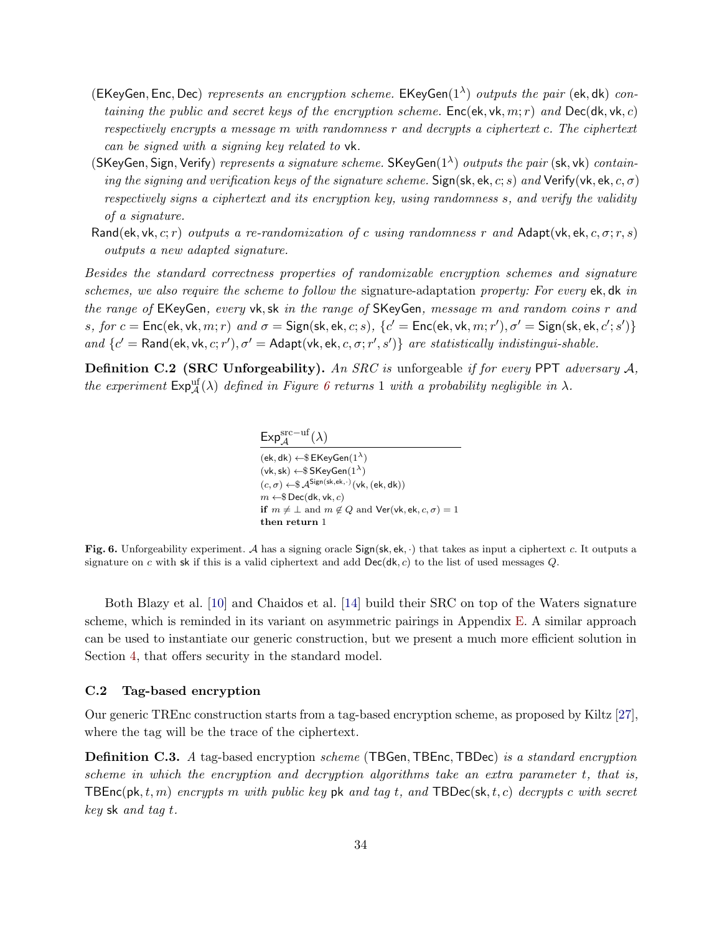- (EKeyGen, Enc, Dec) represents an encryption scheme. EKeyGen( $1^{\lambda}$ ) outputs the pair (ek, dk) containing the public and secret keys of the encryption scheme.  $Enc(\mathsf{ek}, \mathsf{vk}, m; r)$  and  $Dec(\mathsf{dk}, \mathsf{vk}, c)$ respectively encrypts a message m with randomness r and decrypts a ciphertext c. The ciphertext can be signed with a signing key related to vk.
- (SKeyGen, Sign, Verify) represents a signature scheme. SKeyGen $(1^{\lambda})$  outputs the pair (sk, vk) containing the signing and verification keys of the signature scheme. Sign(sk, ek, c; s) and Verify(vk, ek, c,  $\sigma$ ) respectively signs a ciphertext and its encryption key, using randomness s, and verify the validity of a signature.
- Rand(ek, vk, c; r) outputs a re-randomization of c using randomness r and Adapt(vk, ek, c,  $\sigma$ ; r, s) outputs a new adapted signature.

Besides the standard correctness properties of randomizable encryption schemes and signature schemes, we also require the scheme to follow the signature-adaptation property: For every ek, dk in the range of EKeyGen, every vk, sk in the range of SKeyGen, message m and random coins r and s, for  $c = \textsf{Enc}(\textsf{ek}, \textsf{vk}, m; r)$  and  $\sigma = \textsf{Sign}(\textsf{sk}, \textsf{ek}, c; s)$ ,  $\{c' = \textsf{Enc}(\textsf{ek}, \textsf{vk}, m; r'), \sigma' = \textsf{Sign}(\textsf{sk}, \textsf{ek}, c'; s')\}$ and  $\{c' = \text{Rand}(ek, vk, c; r'), \sigma' = \text{Adapt}(vk, ek, c, \sigma; r', s')\}$  are statistically indistingui-shable.

<span id="page-35-2"></span>**Definition C.2 (SRC Unforgeability).** An SRC is unforgeable if for every PPT adversary  $A$ , the experiment  $\mathsf{Exp}_{\mathcal{A}}^{\text{uf}}(\lambda)$  defined in Figure [6](#page-35-1) returns 1 with a probability negligible in  $\lambda$ .

> $\mathsf{Exp}_{\mathcal{A}}^{\mathrm{src-uf}}(\lambda)$  $(\mathsf{ek}, \mathsf{dk}) \leftarrow \$ \mathsf{EKeyGen}(1^\lambda)$  $(\mathsf{vk}, \mathsf{sk}) \leftarrow \$\mathsf{SKeyGen}(1^\lambda)$  $(c, \sigma) \leftarrow \$\mathcal{A}^{\mathsf{Sign}(\mathsf{sk}, \mathsf{ek}, \cdot)}(\mathsf{vk}, (\mathsf{ek}, \mathsf{dk}))$  $m \leftarrow \$$  Dec(dk, vk, c) if  $m \neq \bot$  and  $m \notin Q$  and Ver(vk, ek,  $c, \sigma$ ) = 1 then return 1

<span id="page-35-1"></span>Fig. 6. Unforgeability experiment. A has a signing oracle Sign(sk, ek,  $\cdot$ ) that takes as input a ciphertext c. It outputs a signature on c with sk if this is a valid ciphertext and add  $\text{Dec}(\mathsf{dk}, c)$  to the list of used messages Q.

Both Blazy et al. [\[10\]](#page-28-2) and Chaidos et al. [\[14\]](#page-28-3) build their SRC on top of the Waters signature scheme, which is reminded in its variant on asymmetric pairings in Appendix [E.](#page-49-0) A similar approach can be used to instantiate our generic construction, but we present a much more efficient solution in Section [4,](#page-14-0) that offers security in the standard model.

### <span id="page-35-0"></span>C.2 Tag-based encryption

Our generic TREnc construction starts from a tag-based encryption scheme, as proposed by Kiltz [\[27\]](#page-29-10), where the tag will be the trace of the ciphertext.

**Definition C.3.** A tag-based encryption scheme (TBGen, TBEnc, TBDec) is a standard encryption scheme in which the encryption and decryption algorithms take an extra parameter  $t$ , that is, TBEnc(pk, t, m) encrypts m with public key pk and tag t, and TBDec(sk, t, c) decrypts c with secret key sk and tag t.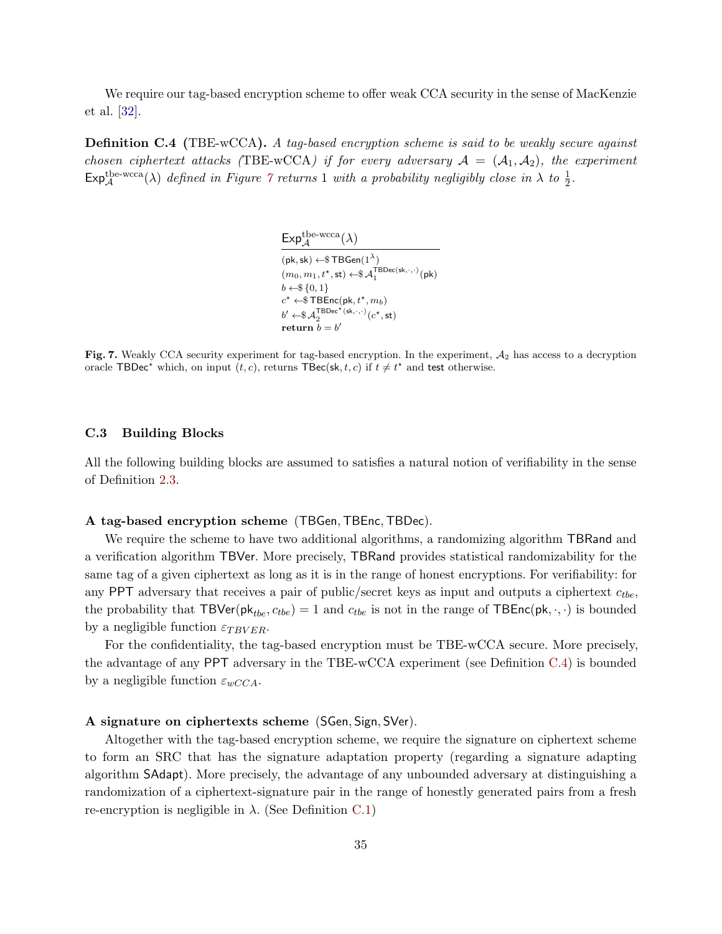We require our tag-based encryption scheme to offer weak CCA security in the sense of MacKenzie et al. [\[32\]](#page-29-11).

<span id="page-36-2"></span>Definition C.4 (TBE-wCCA). A tag-based encryption scheme is said to be weakly secure against chosen ciphertext attacks (TBE-wCCA) if for every adversary  $\mathcal{A} = (\mathcal{A}_1, \mathcal{A}_2)$ , the experiment  $\text{Exp}^{\text{the-wcca}}_{\mathcal{A}}(\lambda)$  defined in Figure [7](#page-36-1) returns 1 with a probability negligibly close in  $\lambda$  to  $\frac{1}{2}$ .

> $\mathsf{Exp}^{\text{the-wcca}}_\mathcal{A}(\lambda)$  $(\mathsf{pk}, \mathsf{sk}) \leftarrow \$\mathsf{TBGen}(1^\lambda)$  $(m_0, m_1, t^{\star}, \text{st}) \leftarrow \text{\$A}_1^{\text{TBDec}(\text{sk}, \cdot, \cdot)}(\text{pk})$  $b \leftarrow \$ \{0, 1\}$  $c^{\star} \leftarrow \$\textsf{TBEnc}(\textsf{pk}, t^{\star}, m_b)$  $b' \leftarrow \$ \mathcal{A}_2^{\textsf{TBDec}^{\star}(\textsf{sk},\cdot,\cdot)}(c^{\star},\textsf{st})$  $\operatorname{return} \bar{b} = b'$

<span id="page-36-1"></span>Fig. 7. Weakly CCA security experiment for tag-based encryption. In the experiment,  $A_2$  has access to a decryption oracle TBDec<sup>\*</sup> which, on input  $(t, c)$ , returns TBec(sk, t, c) if  $t \neq t^*$  and test otherwise.

# <span id="page-36-0"></span>C.3 Building Blocks

All the following building blocks are assumed to satisfies a natural notion of verifiability in the sense of Definition [2.3.](#page-8-2)

### A tag-based encryption scheme (TBGen,TBEnc,TBDec).

We require the scheme to have two additional algorithms, a randomizing algorithm TBRand and a verification algorithm TBVer. More precisely, TBRand provides statistical randomizability for the same tag of a given ciphertext as long as it is in the range of honest encryptions. For verifiability: for any PPT adversary that receives a pair of public/secret keys as input and outputs a ciphertext  $c_{the}$ . the probability that  $\mathsf{TBVer}(\mathsf{pk}_{the}, c_{the}) = 1$  and  $c_{the}$  is not in the range of  $\mathsf{TBEnc}(\mathsf{pk}, \cdot, \cdot)$  is bounded by a negligible function  $\varepsilon_{TBVER}$ .

For the confidentiality, the tag-based encryption must be TBE-wCCA secure. More precisely, the advantage of any PPT adversary in the TBE-wCCA experiment (see Definition [C.4\)](#page-36-2) is bounded by a negligible function  $\varepsilon_{wCCA}$ .

### A signature on ciphertexts scheme (SGen, Sign, SVer).

Altogether with the tag-based encryption scheme, we require the signature on ciphertext scheme to form an SRC that has the signature adaptation property (regarding a signature adapting algorithm SAdapt). More precisely, the advantage of any unbounded adversary at distinguishing a randomization of a ciphertext-signature pair in the range of honestly generated pairs from a fresh re-encryption is negligible in  $\lambda$ . (See Definition [C.1\)](#page-34-2)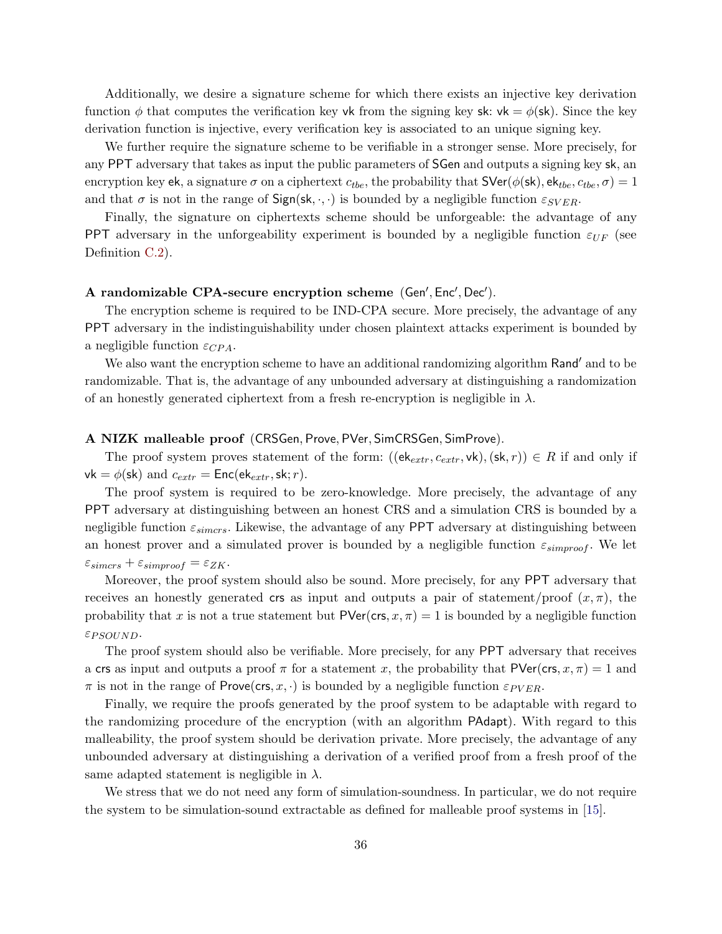Additionally, we desire a signature scheme for which there exists an injective key derivation function  $\phi$  that computes the verification key vk from the signing key sk: vk =  $\phi$ (sk). Since the key derivation function is injective, every verification key is associated to an unique signing key.

We further require the signature scheme to be verifiable in a stronger sense. More precisely, for any PPT adversary that takes as input the public parameters of SGen and outputs a signing key sk, an encryption key ek, a signature  $\sigma$  on a ciphertext  $c_{the}$ , the probability that  $SVer(\phi(sk), ek_{the}, c_{the}, \sigma) = 1$ and that  $\sigma$  is not in the range of Sign(sk,  $\cdot$ ,  $\cdot$ ) is bounded by a negligible function  $\varepsilon_{SVER}$ .

Finally, the signature on ciphertexts scheme should be unforgeable: the advantage of any PPT adversary in the unforgeability experiment is bounded by a negligible function  $\varepsilon_{UF}$  (see Definition [C.2\)](#page-35-2).

# A randomizable CPA-secure encryption scheme (Gen', Enc', Dec').

The encryption scheme is required to be IND-CPA secure. More precisely, the advantage of any PPT adversary in the indistinguishability under chosen plaintext attacks experiment is bounded by a negligible function  $\varepsilon_{CPA}$ .

We also want the encryption scheme to have an additional randomizing algorithm Rand' and to be randomizable. That is, the advantage of any unbounded adversary at distinguishing a randomization of an honestly generated ciphertext from a fresh re-encryption is negligible in  $\lambda$ .

### A NIZK malleable proof (CRSGen, Prove, PVer, SimCRSGen, SimProve).

The proof system proves statement of the form:  $((ek_{extr}, c_{extr}, \mathsf{vk}), (\mathsf{sk}, r)) \in R$  if and only if  $\mathsf{vk} = \phi(\mathsf{sk})$  and  $c_{extr} = \mathsf{Enc}(\mathsf{ek}_{extr}, \mathsf{sk}; r)$ .

The proof system is required to be zero-knowledge. More precisely, the advantage of any PPT adversary at distinguishing between an honest CRS and a simulation CRS is bounded by a negligible function  $\varepsilon_{simcrs}$ . Likewise, the advantage of any PPT adversary at distinguishing between an honest prover and a simulated prover is bounded by a negligible function  $\varepsilon_{simproof}$ . We let  $\varepsilon_{\text{simers}} + \varepsilon_{\text{simproof}} = \varepsilon_{ZK}.$ 

Moreover, the proof system should also be sound. More precisely, for any PPT adversary that receives an honestly generated crs as input and outputs a pair of statement/proof  $(x, \pi)$ , the probability that x is not a true statement but  $\text{PVer}(\text{crs}, x, \pi) = 1$  is bounded by a negligible function  $\varepsilon_{PSOUND}$ .

The proof system should also be verifiable. More precisely, for any PPT adversary that receives a crs as input and outputs a proof  $\pi$  for a statement x, the probability that PVer(crs,  $x, \pi$ ) = 1 and  $\pi$  is not in the range of Prove(crs, x, ·) is bounded by a negligible function  $\varepsilon_{PVER}$ .

Finally, we require the proofs generated by the proof system to be adaptable with regard to the randomizing procedure of the encryption (with an algorithm PAdapt). With regard to this malleability, the proof system should be derivation private. More precisely, the advantage of any unbounded adversary at distinguishing a derivation of a verified proof from a fresh proof of the same adapted statement is negligible in  $\lambda$ .

We stress that we do not need any form of simulation-soundness. In particular, we do not require the system to be simulation-sound extractable as defined for malleable proof systems in [\[15\]](#page-28-10).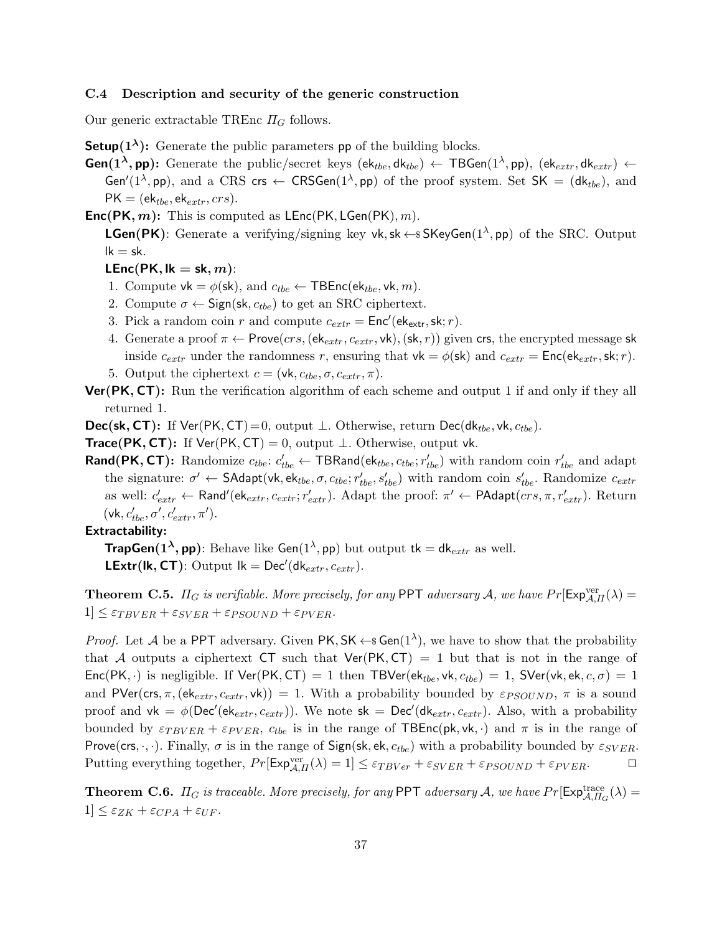### <span id="page-38-0"></span>C.4 Description and security of the generic construction

Our generic extractable TREnc  $\Pi_G$  follows.

**Setup(1<sup>** $\lambda$ **</sup>):** Generate the public parameters **pp** of the building blocks.

**Gen(1<sup>** $\lambda$ **</sup>, pp):** Generate the public/secret keys (ek<sub>tbe</sub>, dk<sub>tbe</sub>)  $\leftarrow$  TBGen(1<sup> $\lambda$ </sup>, pp), (ek $_{extr}$ , dk $_{extr}$ )  $\leftarrow$ Gen'(1<sup> $\lambda$ </sup>, pp), and a CRS crs  $\leftarrow$  CRSGen(1 $\lambda$ , pp) of the proof system. Set SK = (dk<sub>tbe</sub>), and  $PK = (ek<sub>the</sub>, ek<sub>extr</sub>, crs).$ 

**Enc(PK, m):** This is computed as  $\textsf{LEnc}(PK, \textsf{LGen}(PK), m)$ .

**LGen(PK)**: Generate a verifying/signing key vk, sk  $\leftarrow$ \$ SKeyGen( $1^{\lambda}$ , pp) of the SRC. Output  $lk = sk$ .

LEnc(PK,  $\mathsf{lk} = \mathsf{sk}, m$ ):

- 1. Compute  $vk = \phi(\text{sk})$ , and  $c_{the} \leftarrow \text{TBEnc}(\text{ek}_{the}, vk, m)$ .
- 2. Compute  $\sigma \leftarrow$  Sign(sk,  $c_{the}$ ) to get an SRC ciphertext.
- 3. Pick a random coin r and compute  $c_{extr} = \text{Enc}'(\text{ek}_{\text{extr}}, \text{sk}; r)$ .
- 4. Generate a proof  $\pi \leftarrow \text{Prove}(crs, (\text{ek}_{extr}, c_{extr}, \text{vk}, r))$  given crs, the encrypted message sk inside  $c_{extr}$  under the randomness r, ensuring that  $vk = \phi(\text{sk})$  and  $c_{extr} = \text{Enc}(\text{ek}_{extr}, \text{sk}; r)$ . 5. Output the ciphertext  $c = (\mathsf{vk}, c_{tbe}, \sigma, c_{extr}, \pi)$ .
- Ver(PK, CT): Run the verification algorithm of each scheme and output 1 if and only if they all returned 1.
- **Dec(sk, CT):** If Ver(PK, CT)=0, output  $\perp$ . Otherwise, return Dec(dk<sub>tbe</sub>, vk,  $c_{the}$ ).

**Trace(PK, CT):** If  $Ver(PK, CT) = 0$ , output ⊥. Otherwise, output vk.

**Rand(PK, CT):** Randomize  $c_{the}$ :  $c'_{the}$  ← TBRand(ek<sub>tbe</sub>,  $c_{the}$ ;  $r'_{the}$ ) with random coin  $r'_{the}$  and adapt the signature:  $\sigma' \leftarrow \textsf{SAdapt}(\mathsf{vk}, \mathsf{ek}_{the}, \sigma, c_{the}; r'_{the}, s'_{the})$  with random coin  $s'_{the}$ . Randomize  $c_{extr}$ as well:  $c'_{extr} \leftarrow$  Rand'(ek $_{extr}$ ,  $c_{extr}$ ;  $r'_{extr}$ ). Adapt the proof:  $\pi' \leftarrow$  PAdapt $(crs, \pi, r'_{extr})$ . Return  $(\mathsf{vk}, c'_{tbe}, \sigma', c'_{extr}, \pi').$ 

# Extractability:

**TrapGen(1<sup>** $\lambda$ **</sup>, pp)**: Behave like Gen(1<sup> $\lambda$ </sup>, pp) but output tk = dk<sub>extr</sub> as well. **LExtr(lk, CT)**: Output  $lk = Dec'(dk_{extr}, c_{extr}).$ 

**Theorem C.5.**  $\Pi_G$  is verifiable. More precisely, for any PPT adversary A, we have  $Pr[\mathsf{Exp}_{\mathcal{A},\Pi}^{\text{ver}}(\lambda)]$  $1 \leq \varepsilon_{TBVER} + \varepsilon_{SVER} + \varepsilon_{PSOUND} + \varepsilon_{PVER}.$ 

*Proof.* Let A be a PPT adversary. Given PK, SK  $\leftarrow$ \$ Gen(1<sup> $\lambda$ </sup>), we have to show that the probability that A outputs a ciphertext CT such that  $Ver(PK, CT) = 1$  but that is not in the range of  $Enc(PK, \cdot)$  is negligible. If  $Ver(PK, CT) = 1$  then TBVer(ek<sub>tbe</sub>, vk,  $c_{the}$ ) = 1, SVer(vk, ek,  $c, \sigma$ ) = 1 and PVer(crs,  $\pi$ , (ek<sub>extr</sub>, c<sub>extr</sub>, vk)) = 1. With a probability bounded by  $\varepsilon_{PSOUND}$ ,  $\pi$  is a sound proof and  $vk = \phi(Dec'(ek_{extr}, c_{extr})).$  We note  $sk = Dec'(dk_{extr}, c_{extr})$ . Also, with a probability bounded by  $\varepsilon_{TBVER} + \varepsilon_{PVER}$ ,  $c_{the}$  is in the range of TBEnc(pk, vk, ·) and  $\pi$  is in the range of Prove(crs,  $\cdot$ ,  $\cdot$ ). Finally,  $\sigma$  is in the range of Sign(sk, ek,  $c_{the}$ ) with a probability bounded by  $\varepsilon_{SVER}$ . Putting everything together,  $Pr[\text{Exp}_{\mathcal{A},\Pi}^{\text{ver}}(\lambda) = 1] \leq \varepsilon_{TBVer} + \varepsilon_{SVER} + \varepsilon_{PSOUND} + \varepsilon_{PVER}$ .

**Theorem C.6.**  $\Pi_G$  is traceable. More precisely, for any PPT adversary A, we have  $Pr[\mathsf{Exp}_{\mathcal{A},H_G}^{\text{trace}}(\lambda) =$  $1 \leq \varepsilon_{ZK} + \varepsilon_{CPA} + \varepsilon_{UF}.$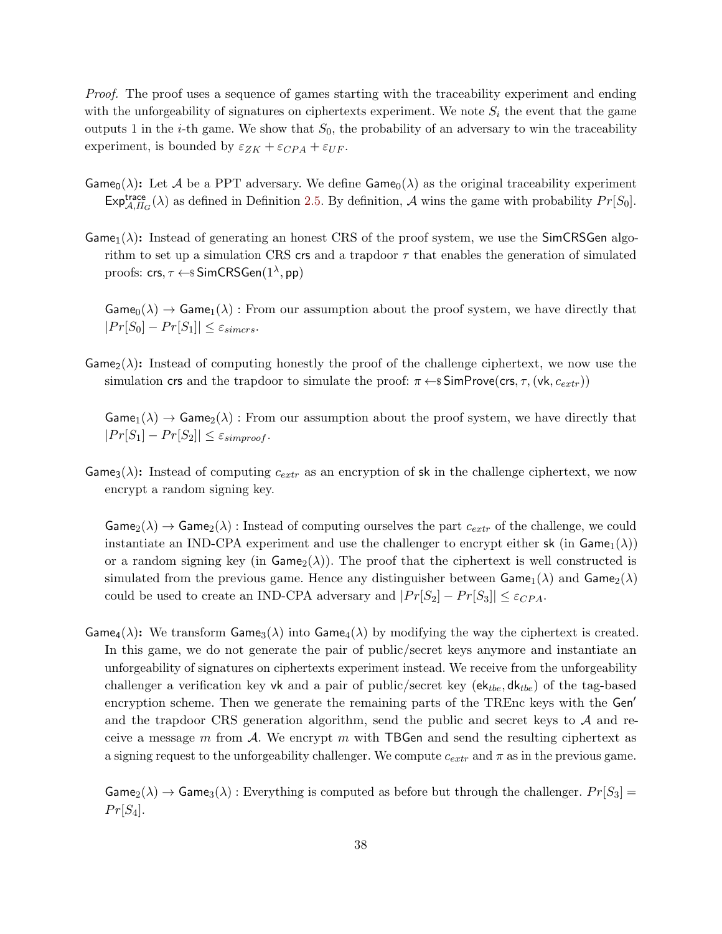Proof. The proof uses a sequence of games starting with the traceability experiment and ending with the unforgeability of signatures on ciphertexts experiment. We note  $S_i$  the event that the game outputs 1 in the *i*-th game. We show that  $S_0$ , the probability of an adversary to win the traceability experiment, is bounded by  $\varepsilon_{ZK} + \varepsilon_{CPA} + \varepsilon_{UF}$ .

- **Game**<sub>0</sub>( $\lambda$ ): Let A be a PPT adversary. We define **Game**<sub>0</sub>( $\lambda$ ) as the original traceability experiment  $\text{Exp}^{\text{trace}}_{\mathcal{A},H_G}(\lambda)$  as defined in Definition [2.5.](#page-10-1) By definition, A wins the game with probability  $Pr[S_0]$ .
- $Game_1(\lambda)$ : Instead of generating an honest CRS of the proof system, we use the SimCRSGen algorithm to set up a simulation CRS crs and a trapdoor  $\tau$  that enables the generation of simulated proofs: crs,  $\tau \leftarrow \$ \mathsf{SimCRSGen}(1^\lambda, \mathsf{pp})$

 $Game_0(\lambda) \rightarrow Game_1(\lambda)$ : From our assumption about the proof system, we have directly that  $|Pr[S_0] - Pr[S_1]| \leq \varepsilon_{\text{simcrs}}.$ 

**Game**<sub>2</sub>( $\lambda$ ): Instead of computing honestly the proof of the challenge ciphertext, we now use the simulation crs and the trapdoor to simulate the proof:  $\pi \leftarrow$ \$ SimProve(crs,  $\tau$ , (vk,  $c_{extr}$ ))

 $\mathsf{Game}_1(\lambda) \to \mathsf{Game}_2(\lambda)$ : From our assumption about the proof system, we have directly that  $|Pr[S_1] - Pr[S_2]| \leq \varepsilon_{simproof}.$ 

**Game**<sub>3</sub>( $\lambda$ ): Instead of computing c<sub>extr</sub> as an encryption of sk in the challenge ciphertext, we now encrypt a random signing key.

 $\text{Game}_2(\lambda) \to \text{Game}_2(\lambda)$ : Instead of computing ourselves the part  $c_{extr}$  of the challenge, we could instantiate an IND-CPA experiment and use the challenger to encrypt either sk (in  $Gam_{\text{et}}(\lambda)$ ) or a random signing key (in  $\mathsf{Game}_2(\lambda)$ ). The proof that the ciphertext is well constructed is simulated from the previous game. Hence any distinguisher between  $\mathsf{Game}_1(\lambda)$  and  $\mathsf{Game}_2(\lambda)$ could be used to create an IND-CPA adversary and  $|Pr[S_2] - Pr[S_3]| \leq \varepsilon_{CPA}$ .

Game<sub>4</sub>( $\lambda$ ): We transform Game<sub>3</sub>( $\lambda$ ) into Game<sub>4</sub>( $\lambda$ ) by modifying the way the ciphertext is created. In this game, we do not generate the pair of public/secret keys anymore and instantiate an unforgeability of signatures on ciphertexts experiment instead. We receive from the unforgeability challenger a verification key vk and a pair of public/secret key  $(e_{k_{tbe}}, dk_{tbe})$  of the tag-based encryption scheme. Then we generate the remaining parts of the TREnc keys with the Gen and the trapdoor CRS generation algorithm, send the public and secret keys to  $\mathcal A$  and receive a message  $m$  from  $A$ . We encrypt  $m$  with TBGen and send the resulting ciphertext as a signing request to the unforgeability challenger. We compute  $c_{extr}$  and  $\pi$  as in the previous game.

 $\text{Game}_2(\lambda) \to \text{Game}_3(\lambda)$ : Everything is computed as before but through the challenger.  $Pr[S_3] =$  $Pr[S_4].$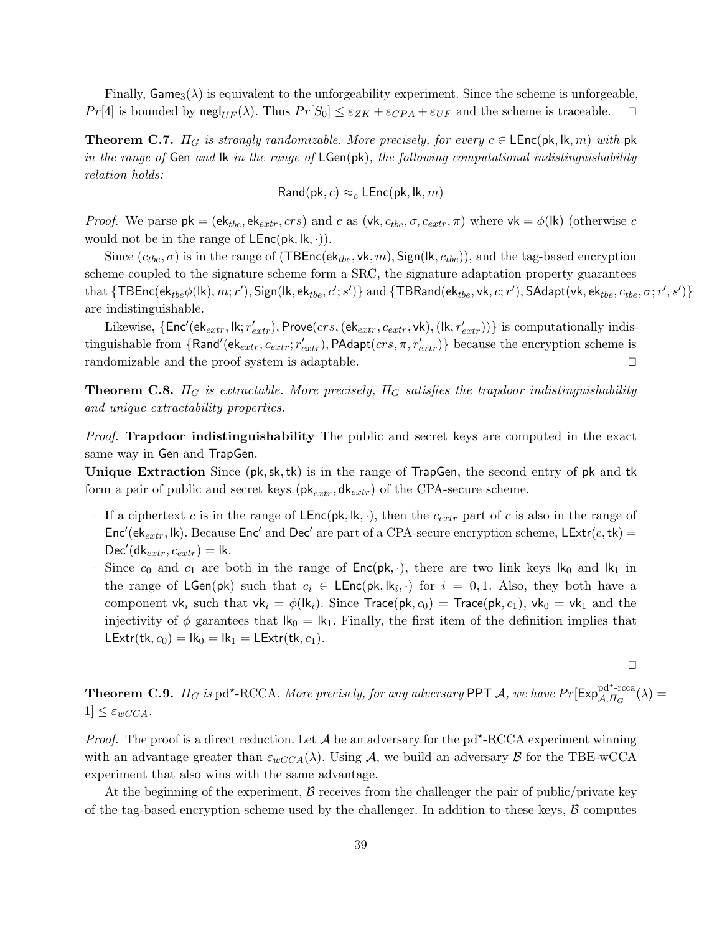Finally,  $\mathsf{Game}_3(\lambda)$  is equivalent to the unforgeability experiment. Since the scheme is unforgeable,  $Pr[4]$  is bounded by  $\operatorname{negl}_{UF}(\lambda)$ . Thus  $Pr[S_0] \leq \varepsilon_{ZK} + \varepsilon_{CPA} + \varepsilon_{UF}$  and the scheme is traceable.  $\square$ 

**Theorem C.7.**  $\Pi_G$  is strongly randomizable. More precisely, for every  $c \in \mathsf{LEnc}(\mathsf{pk}, \mathsf{lk}, m)$  with  $\mathsf{pk}$ in the range of Gen and  $\mathsf{lk}$  in the range of  $\mathsf{LGen}(\mathsf{pk})$ , the following computational indistinguishability relation holds:

 $\mathsf{Rand}(\mathsf{pk}, c) \approx_c \mathsf{LEnc}(\mathsf{pk}, \mathsf{lk}, m)$ 

*Proof.* We parse  $pk = (ek_{the}, ek_{extr}, crs)$  and c as  $(vk, c_{the}, \sigma, c_{extr}, \pi)$  where  $vk = \phi(lk)$  (otherwise c would not be in the range of  $\mathsf{LEnc}(\mathsf{pk}, \mathsf{lk}, \cdot)$ .

Since  $(c_{the}, \sigma)$  is in the range of (TBEnc(ek<sub>tbe</sub>, vk, m), Sign(lk,  $c_{the}$ )), and the tag-based encryption scheme coupled to the signature scheme form a SRC, the signature adaptation property guarantees  $\text{that } \{\mathsf{TBEnc}(\mathsf{ek}_{the}\phi(\mathsf{lk}),m;r'),\mathsf{Sign}(\mathsf{lk},\mathsf{ek}_{the},c';s')\} \text{ and } \{\mathsf{TBRand}(\mathsf{ek}_{the},\mathsf{vk},c;r'),\mathsf{SAdapt}(\mathsf{vk},\mathsf{ek}_{the},c_{the},\sigma;r',s')\}$ are indistinguishable.

Likewise,  $\{\mathsf{Enc}'(\mathsf{ek}_{extr}, \mathsf{lk}; r'_{extr}), \mathsf{Prove}(crs, (\mathsf{ek}_{extr}, c_{extr}, \mathsf{vk}), (\mathsf{lk}, r'_{extr}))\}$  is computationally indistinguishable from  $\{$ Rand'(e $\mathsf{k}_{extr}$ ,  $c_{extr}$ ;  $r'_{extr}$ ), PAdapt $(crs, \pi, r'_{extr})\}$  because the encryption scheme is randomizable and the proof system is adaptable.  $\Box$ 

**Theorem C.8.**  $\Pi_G$  is extractable. More precisely,  $\Pi_G$  satisfies the trapdoor indistinguishability and unique extractability properties.

Proof. Trapdoor indistinguishability The public and secret keys are computed in the exact same way in Gen and TrapGen.

Unique Extraction Since (pk, sk, tk) is in the range of TrapGen, the second entry of pk and tk form a pair of public and secret keys ( $pk_{extr}$ ,  $dk_{extr}$ ) of the CPA-secure scheme.

- If a ciphertext c is in the range of  $\mathsf{LEnc}(\mathsf{pk}, \mathsf{lk}, \cdot)$ , then the  $c_{extr}$  part of c is also in the range of Enc'(ek<sub>extr</sub>, lk). Because Enc' and Dec' are part of a CPA-secure encryption scheme, LExtr(c, tk) =  $\mathsf{Dec}'(\mathsf{dk}_{extr}, c_{extr}) = \mathsf{lk}.$
- Since  $c_0$  and  $c_1$  are both in the range of  $Enc(pk, \cdot)$ , there are two link keys  $lk_0$  and  $lk_1$  in the range of  $\mathsf{LGen}(\mathsf{pk})$  such that  $c_i \in \mathsf{LEnc}(\mathsf{pk}, \mathsf{lk}_i, \cdot)$  for  $i = 0, 1$ . Also, they both have a component vk<sub>i</sub> such that  $vk_i = \phi(lk_i)$ . Since Trace(pk, c<sub>0</sub>) = Trace(pk, c<sub>1</sub>), vk<sub>0</sub> = vk<sub>1</sub> and the injectivity of  $\phi$  garantees that  $\mathsf{lk}_0 = \mathsf{lk}_1$ . Finally, the first item of the definition implies that LExtr(tk,  $c_0$ ) = lk<sub>0</sub> = lk<sub>1</sub> = LExtr(tk,  $c_1$ ).

 $\Box$ 

**Theorem C.9.**  $\Pi_G$  is pd\*-RCCA. More precisely, for any adversary PPT A, we have  $Pr[\mathsf{Exp}_{\mathcal{A},\Pi_G}^{\mathrm{pd}^*\text{-}rcca}(\lambda)$  =  $1] \leq \varepsilon_{wCCA}.$ 

*Proof.* The proof is a direct reduction. Let  $A$  be an adversary for the pd\*-RCCA experiment winning with an advantage greater than  $\varepsilon_{wCCA}(\lambda)$ . Using A, we build an adversary B for the TBE-wCCA experiment that also wins with the same advantage.

At the beginning of the experiment,  $\beta$  receives from the challenger the pair of public/private key of the tag-based encryption scheme used by the challenger. In addition to these keys,  $\beta$  computes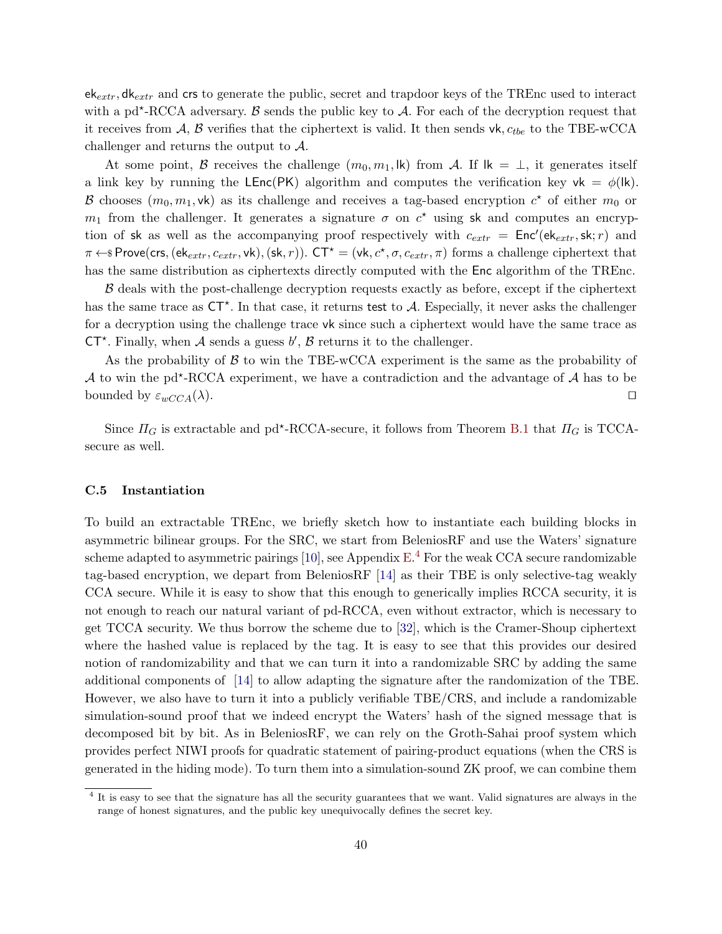$e_{\text{text}}$ , dk<sub>extr</sub> and crs to generate the public, secret and trapdoor keys of the TREnc used to interact with a pd<sup>\*</sup>-RCCA adversary.  $\beta$  sends the public key to  $\mathcal{A}$ . For each of the decryption request that it receives from A, B verifies that the ciphertext is valid. It then sends  $vk, c_{the}$  to the TBE-wCCA challenger and returns the output to A.

At some point, B receives the challenge  $(m_0, m_1, \mathsf{lk})$  from A. If  $\mathsf{lk} = \bot$ , it generates itself a link key by running the LEnc(PK) algorithm and computes the verification key  $vk = \phi(lk)$ . B chooses  $(m_0, m_1, \text{vk})$  as its challenge and receives a tag-based encryption  $c^*$  of either  $m_0$  or  $m_1$  from the challenger. It generates a signature  $\sigma$  on  $c^*$  using sk and computes an encryption of sk as well as the accompanying proof respectively with  $c_{extr} = \text{Enc}'(ek_{extr}, sk; r)$  and  $\pi \leftarrow \$ Prove(crs, (ek_{extr}, c_{extr}, \text{vk}), (sk, r))$ .  $CT^* = (\text{vk}, c^*, \sigma, c_{extr}, \pi)$  forms a challenge ciphertext that has the same distribution as ciphertexts directly computed with the Enc algorithm of the TREnc.

 $\beta$  deals with the post-challenge decryption requests exactly as before, except if the ciphertext has the same trace as  $CT^*$ . In that case, it returns test to A. Especially, it never asks the challenger for a decryption using the challenge trace vk since such a ciphertext would have the same trace as  $CT^*$ . Finally, when A sends a guess  $b'$ , B returns it to the challenger.

As the probability of  $\beta$  to win the TBE-wCCA experiment is the same as the probability of  $A$  to win the pd\*-RCCA experiment, we have a contradiction and the advantage of  $A$  has to be bounded by  $\varepsilon_{wCCA}(\lambda)$ .

Since  $\Pi_G$  is extractable and pd<sup>\*</sup>-RCCA-secure, it follows from Theorem [B.1](#page-31-2) that  $\Pi_G$  is TCCAsecure as well.

#### <span id="page-41-0"></span>C.5 Instantiation

To build an extractable TREnc, we briefly sketch how to instantiate each building blocks in asymmetric bilinear groups. For the SRC, we start from BeleniosRF and use the Waters' signature scheme adapted to asymmetric pairings [\[10\]](#page-28-2), see Appendix  $E^A$  For the weak CCA secure randomizable tag-based encryption, we depart from BeleniosRF [\[14\]](#page-28-3) as their TBE is only selective-tag weakly CCA secure. While it is easy to show that this enough to generically implies RCCA security, it is not enough to reach our natural variant of pd-RCCA, even without extractor, which is necessary to get TCCA security. We thus borrow the scheme due to [\[32\]](#page-29-11), which is the Cramer-Shoup ciphertext where the hashed value is replaced by the tag. It is easy to see that this provides our desired notion of randomizability and that we can turn it into a randomizable SRC by adding the same additional components of [\[14\]](#page-28-3) to allow adapting the signature after the randomization of the TBE. However, we also have to turn it into a publicly verifiable TBE/CRS, and include a randomizable simulation-sound proof that we indeed encrypt the Waters' hash of the signed message that is decomposed bit by bit. As in BeleniosRF, we can rely on the Groth-Sahai proof system which provides perfect NIWI proofs for quadratic statement of pairing-product equations (when the CRS is generated in the hiding mode). To turn them into a simulation-sound ZK proof, we can combine them

<sup>&</sup>lt;sup>4</sup> It is easy to see that the signature has all the security guarantees that we want. Valid signatures are always in the range of honest signatures, and the public key unequivocally defines the secret key.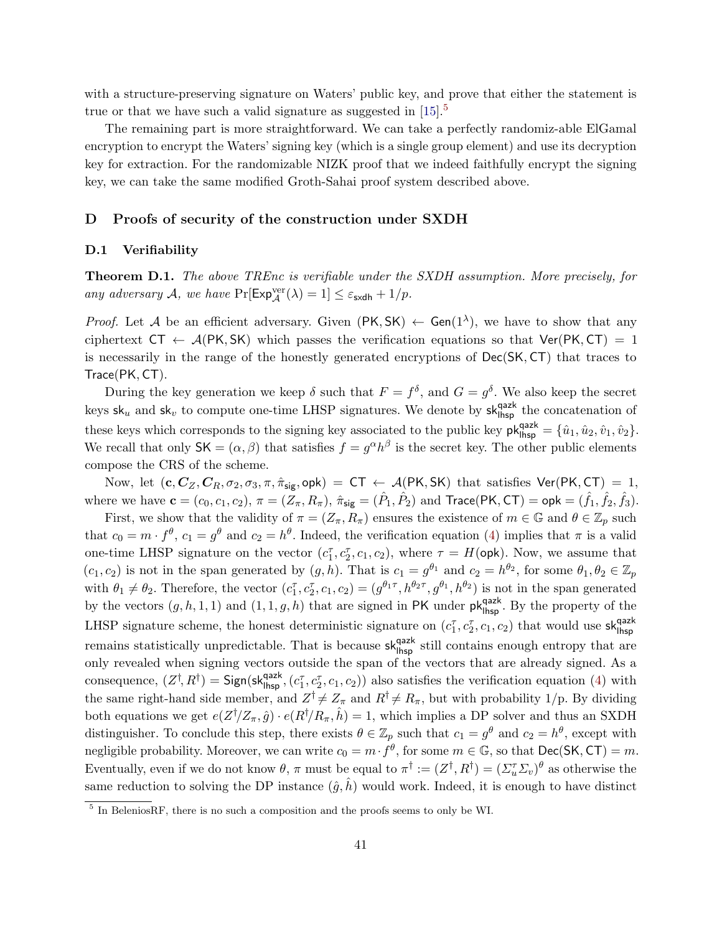with a structure-preserving signature on Waters' public key, and prove that either the statement is true or that we have such a valid signature as suggested in  $[15]$ .<sup>[5](#page-0-1)</sup>

The remaining part is more straightforward. We can take a perfectly randomiz-able ElGamal encryption to encrypt the Waters' signing key (which is a single group element) and use its decryption key for extraction. For the randomizable NIZK proof that we indeed faithfully encrypt the signing key, we can take the same modified Groth-Sahai proof system described above.

# <span id="page-42-0"></span>D Proofs of security of the construction under SXDH

### <span id="page-42-1"></span>D.1 Verifiability

<span id="page-42-2"></span>Theorem D.1. The above TREnc is verifiable under the SXDH assumption. More precisely, for any adversary A, we have  $\Pr[\mathsf{Exp}_{\mathcal{A}}^{\text{ver}}(\lambda) = 1] \leq \varepsilon_{\mathsf{sxdh}} + 1/p$ .

*Proof.* Let A be an efficient adversary. Given  $(PK, SK) \leftarrow Gen(1^{\lambda})$ , we have to show that any ciphertext  $CT \leftarrow A(PK, SK)$  which passes the verification equations so that Ver(PK, CT) = 1 is necessarily in the range of the honestly generated encryptions of Dec(SK, CT) that traces to Trace(PK, CT).

During the key generation we keep  $\delta$  such that  $F = f^{\delta}$ , and  $G = g^{\delta}$ . We also keep the secret keys sk<sub>u</sub> and sk<sub>v</sub> to compute one-time LHSP signatures. We denote by sk<sub>lhsp</sub> the concatenation of these keys which corresponds to the signing key associated to the public key  $\mathsf{pk}_{\mathsf{lhsp}}^{\mathsf{qazk}} = \{\hat{u}_1, \hat{u}_2, \hat{v}_1, \hat{v}_2\}.$ We recall that only  $\mathsf{SK} = (\alpha, \beta)$  that satisfies  $f = g^{\alpha} h^{\beta}$  is the secret key. The other public elements compose the CRS of the scheme.

Now, let  $(c, C_Z, C_R, \sigma_2, \sigma_3, \pi, \hat{\pi}_{sig}, \text{opk}) = CT \leftarrow \mathcal{A}(PK, SK)$  that satisfies Ver(PK, CT) = 1, where we have  $\mathbf{c} = (c_0, c_1, c_2), \pi = (Z_{\pi}, R_{\pi}), \hat{\pi}_{\text{sig}} = (\hat{P}_1, \hat{P}_2)$  and  $\text{Trace}(\text{PK}, \text{CT}) = \text{opk} = (\hat{f}_1, \hat{f}_2, \hat{f}_3)$ .

First, we show that the validity of  $\pi = (Z_{\pi}, R_{\pi})$  ensures the existence of  $m \in \mathbb{G}$  and  $\theta \in \mathbb{Z}_p$  such that  $c_0 = m \cdot f^{\theta}$ ,  $c_1 = g^{\theta}$  and  $c_2 = h^{\theta}$ . Indeed, the verification equation [\(4\)](#page-19-1) implies that  $\pi$  is a valid one-time LHSP signature on the vector  $(c_1^{\tau}, c_2^{\tau}, c_1, c_2)$ , where  $\tau = H(\text{opk})$ . Now, we assume that  $(c_1, c_2)$  is not in the span generated by  $(g, h)$ . That is  $c_1 = g^{\theta_1}$  and  $c_2 = h^{\theta_2}$ , for some  $\theta_1, \theta_2 \in \mathbb{Z}_p$ with  $\theta_1 \neq \theta_2$ . Therefore, the vector  $(c_1^{\tau}, c_2^{\tau}, c_1, c_2) = (g^{\theta_1 \tau}, h^{\theta_2 \tau}, g^{\theta_1}, h^{\theta_2})$  is not in the span generated by the vectors  $(g, h, 1, 1)$  and  $(1, 1, g, h)$  that are signed in PK under  $\mathsf{pk}_{\mathsf{llsp}}^{\mathsf{qazk}}$ . By the property of the LHSP signature scheme, the honest deterministic signature on  $(c_1^{\tau}, c_2^{\tau}, c_1, c_2)$  that would use  $\mathsf{sk}_{\mathsf{lhsp}}^{\mathsf{qazk}}$ remains statistically unpredictable. That is because  $sk_{\text{lhsp}}^{\text{qazk}}$  still contains enough entropy that are only revealed when signing vectors outside the span of the vectors that are already signed. As a consequence,  $(Z^{\dagger}, R^{\dagger}) =$  Sign(sk $_{\mathsf{Hsp}}^{\mathsf{qazk}}$ ,  $(c_1^{\tau}, c_2^{\tau}, c_1, c_2)$ ) also satisfies the verification equation [\(4\)](#page-19-1) with the same right-hand side member, and  $Z^{\dagger} \neq Z_{\pi}$  and  $R^{\dagger} \neq R_{\pi}$ , but with probability 1/p. By dividing both equations we get  $e(Z^{\dagger}/Z_{\pi}, \hat{g}) \cdot e(R^{\dagger}/R_{\pi}, \hat{h}) = 1$ , which implies a DP solver and thus an SXDH distinguisher. To conclude this step, there exists  $\theta \in \mathbb{Z}_p$  such that  $c_1 = g^{\theta}$  and  $c_2 = h^{\theta}$ , except with negligible probability. Moreover, we can write  $c_0 = m \cdot f^{\theta}$ , for some  $m \in \mathbb{G}$ , so that  $\mathsf{Dec}(\mathsf{SK}, \mathsf{CT}) = m$ . Eventually, even if we do not know  $\theta$ ,  $\pi$  must be equal to  $\pi^{\dagger} := (Z^{\dagger}, R^{\dagger}) = (\Sigma_{u}^{\tau} \Sigma_{v})^{\theta}$  as otherwise the same reduction to solving the DP instance  $(\hat{g}, \hat{h})$  would work. Indeed, it is enough to have distinct

<sup>&</sup>lt;sup>5</sup> In BeleniosRF, there is no such a composition and the proofs seems to only be WI.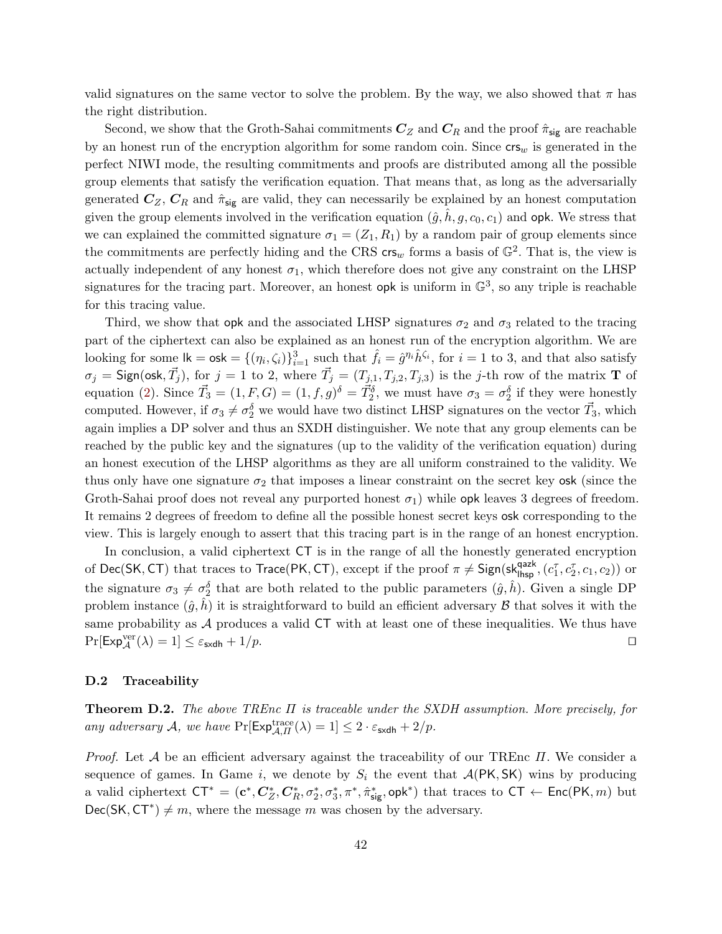valid signatures on the same vector to solve the problem. By the way, we also showed that  $\pi$  has the right distribution.

Second, we show that the Groth-Sahai commitments  $C_Z$  and  $C_R$  and the proof  $\hat{\pi}_{sig}$  are reachable by an honest run of the encryption algorithm for some random coin. Since  $\mathsf{crs}_w$  is generated in the perfect NIWI mode, the resulting commitments and proofs are distributed among all the possible group elements that satisfy the verification equation. That means that, as long as the adversarially generated  $C_Z$ ,  $C_R$  and  $\hat{\pi}_{sig}$  are valid, they can necessarily be explained by an honest computation given the group elements involved in the verification equation  $(\hat{g}, \hat{h}, g, c_0, c_1)$  and opk. We stress that we can explained the committed signature  $\sigma_1 = (Z_1, R_1)$  by a random pair of group elements since the commitments are perfectly hiding and the CRS  $\text{crs}_w$  forms a basis of  $\mathbb{G}^2$ . That is, the view is actually independent of any honest  $\sigma_1$ , which therefore does not give any constraint on the LHSP signatures for the tracing part. Moreover, an honest **opk** is uniform in  $\mathbb{G}^3$ , so any triple is reachable for this tracing value.

Third, we show that opk and the associated LHSP signatures  $\sigma_2$  and  $\sigma_3$  related to the tracing part of the ciphertext can also be explained as an honest run of the encryption algorithm. We are looking for some  $\mathsf{lk} = \mathsf{osk} = \{(\eta_i, \zeta_i)\}_{i=1}^3$  such that  $\hat{f}_i = \hat{g}^{\eta_i} \hat{h}^{\zeta_i}$ , for  $i = 1$  to 3, and that also satisfy  $\sigma_j = \textsf{Sign}(\textsf{osk}, \vec{T}_j)$ , for  $j = 1$  to 2, where  $\vec{T}_j = (T_{j,1}, T_{j,2}, T_{j,3})$  is the j-th row of the matrix **T** of equation [\(2\)](#page-18-3). Since  $\vec{T}_3 = (1, F, G) = (1, f, g)$ <sup> $\delta = \vec{T}_2^{\delta}$ , we must have  $\sigma_3 = \sigma_2^{\delta}$  if they were honestly</sup> computed. However, if  $\sigma_3 \neq \sigma_2^{\delta}$  we would have two distinct LHSP signatures on the vector  $\vec{T}_3$ , which again implies a DP solver and thus an SXDH distinguisher. We note that any group elements can be reached by the public key and the signatures (up to the validity of the verification equation) during an honest execution of the LHSP algorithms as they are all uniform constrained to the validity. We thus only have one signature  $\sigma_2$  that imposes a linear constraint on the secret key osk (since the Groth-Sahai proof does not reveal any purported honest  $\sigma_1$ ) while opk leaves 3 degrees of freedom. It remains 2 degrees of freedom to define all the possible honest secret keys osk corresponding to the view. This is largely enough to assert that this tracing part is in the range of an honest encryption.

In conclusion, a valid ciphertext CT is in the range of all the honestly generated encryption of Dec(SK, CT) that traces to Trace(PK, CT), except if the proof  $\pi \neq$  Sign(sk $_{\sf{lhsp}}^{\sf{qazk}}, (c_1^\tau, c_2^\tau, c_1, c_2))$  or the signature  $\sigma_3 \neq \sigma_2^{\delta}$  that are both related to the public parameters  $(\hat{g}, \hat{h})$ . Given a single DP problem instance  $(\hat{g}, h)$  it is straightforward to build an efficient adversary  $\beta$  that solves it with the same probability as  $A$  produces a valid  $CT$  with at least one of these inequalities. We thus have  $\Pr[\mathsf{Exp}_{\mathcal{A}}^{\text{ver}}(\lambda) = 1] \leq \varepsilon_{\mathsf{sxdh}} + 1/p.$ 

#### <span id="page-43-0"></span>D.2 Traceability

Theorem D.2. The above TREnc Π is traceable under the SXDH assumption. More precisely, for any adversary A, we have  $\Pr[\mathsf{Exp}_{\mathcal{A},\Pi}^{\text{trace}}(\lambda) = 1] \leq 2 \cdot \varepsilon_{\text{exdh}} + 2/p$ .

*Proof.* Let  $\mathcal A$  be an efficient adversary against the traceability of our TREnc  $\Pi$ . We consider a sequence of games. In Game i, we denote by  $S_i$  the event that  $\mathcal{A}(PK, SK)$  wins by producing a valid ciphertext  $CT^* = (c^*, C_Z^*, C_R^*, \sigma_2^*, \sigma_3^*, \pi^*, \hat{\pi}_{sig}^*, \text{opk}^*)$  that traces to  $CT \leftarrow \text{Enc}(\text{PK}, m)$  but Dec(SK, CT<sup>\*</sup>)  $\neq m$ , where the message m was chosen by the adversary.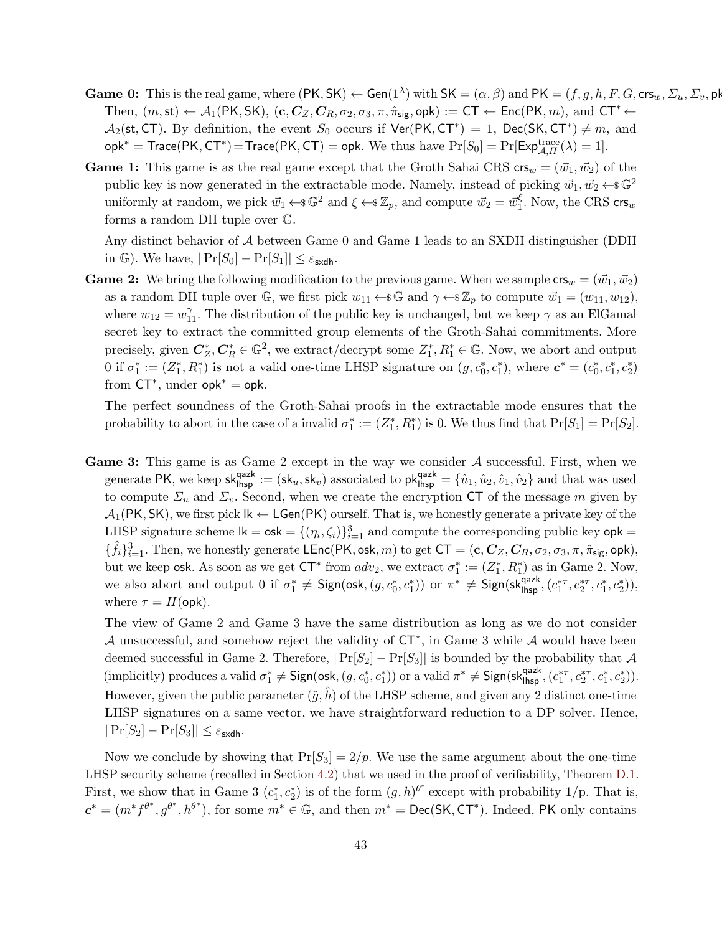- **Game 0:** This is the real game, where  $(\mathsf{PK}, \mathsf{SK}) \leftarrow \mathsf{Gen}(1^{\lambda})$  with  $\mathsf{SK} = (\alpha, \beta)$  and  $\mathsf{PK} = (f, g, h, F, G, \mathsf{crs}_w, \Sigma_u, \Sigma_v, \mathsf{pk}_v)$ Then,  $(m, st) \leftarrow A_1(PK, SK), (c, C_Z, C_R, \sigma_2, \sigma_3, \pi, \hat{\pi}_{sig}, \text{opk}) := CT \leftarrow Enc(PK, m),$  and  $CT^* \leftarrow$  $\mathcal{A}_2(\mathsf{st},\mathsf{CT})$ . By definition, the event  $S_0$  occurs if  $\mathsf{Ver}(\mathsf{PK},\mathsf{CT}^*)=1$ ,  $\mathsf{Dec}(\mathsf{SK},\mathsf{CT}^*)\neq m$ , and  $\mathsf{opk}^* = \mathsf{Trace}(\mathsf{PK},\mathsf{CT}^*) = \mathsf{Trace}(\mathsf{PK},\mathsf{CT}) = \mathsf{opk}$ . We thus have  $\Pr[S_0] = \Pr[\mathsf{Exp}_{\mathcal{A},\Pi}^{\text{trace}}(\lambda) = 1].$
- **Game 1:** This game is as the real game except that the Groth Sahai CRS  $\text{crs}_w = (\vec{w}_1, \vec{w}_2)$  of the public key is now generated in the extractable mode. Namely, instead of picking  $\vec{w}_1, \vec{w}_2 \leftarrow \mathbb{S}^2$ uniformly at random, we pick  $\vec{w}_1 \leftarrow \mathcal{G}^2$  and  $\xi \leftarrow \mathcal{Z}_p$ , and compute  $\vec{w}_2 = \vec{w}_1^{\xi}$  $\frac{5}{1}$ . Now, the CRS crs<sub>w</sub> forms a random DH tuple over G.

Any distinct behavior of A between Game 0 and Game 1 leads to an SXDH distinguisher (DDH in G). We have,  $|\Pr[S_0] - \Pr[S_1]| \leq \varepsilon_{\text{sxdh}}$ .

**Game 2:** We bring the following modification to the previous game. When we sample  $\text{crs}_w = (\vec{w}_1, \vec{w}_2)$ as a random DH tuple over G, we first pick  $w_{11} \leftarrow \mathcal{G}$  and  $\gamma \leftarrow \mathcal{Z}_p$  to compute  $\vec{w}_1 = (w_{11}, w_{12}),$ where  $w_{12} = w_{11}^{\gamma}$ . The distribution of the public key is unchanged, but we keep  $\gamma$  as an ElGamal secret key to extract the committed group elements of the Groth-Sahai commitments. More precisely, given  $C_Z^*, C_R^* \in \mathbb{G}^2$ , we extract/decrypt some  $Z_1^*, R_1^* \in \mathbb{G}$ . Now, we abort and output 0 if  $\sigma_1^* := (Z_1^*, R_1^*)$  is not a valid one-time LHSP signature on  $(g, c_0^*, c_1^*)$ , where  $c^* = (c_0^*, c_1^*, c_2^*)$ from  $CT^*$ , under  $opk^* = opk$ .

The perfect soundness of the Groth-Sahai proofs in the extractable mode ensures that the probability to abort in the case of a invalid  $\sigma_1^* := (Z_1^*, R_1^*)$  is 0. We thus find that  $Pr[S_1] = Pr[S_2]$ .

Game 3: This game is as Game 2 except in the way we consider A successful. First, when we generate PK, we keep  $\mathsf{sk}_{\mathsf{llsp}}^{qazk} := (\mathsf{sk}_u, \mathsf{sk}_v)$  associated to  $\mathsf{pk}_{\mathsf{llsp}}^{qazk} = \{\hat{u}_1, \hat{u}_2, \hat{v}_1, \hat{v}_2\}$  and that was used to compute  $\Sigma_u$  and  $\Sigma_v$ . Second, when we create the encryption CT of the message m given by  $\mathcal{A}_1(\mathsf{PK}, \mathsf{SK})$ , we first pick  $\mathsf{lk} \leftarrow \mathsf{LGen}(\mathsf{PK})$  ourself. That is, we honestly generate a private key of the LHSP signature scheme  $\mathsf{lk} = \mathsf{osk} = \{(\eta_i, \zeta_i)\}_{i=1}^3$  and compute the corresponding public key  $\mathsf{opk} =$  $\{\hat{f}_i\}_{i=1}^3$ . Then, we honestly generate  $\mathsf{LEnc}(\mathsf{PK},\mathsf{osk},m)$  to get  $\mathsf{CT}=(\mathbf{c},\mathbf{C}_Z,\mathbf{C}_R,\sigma_2,\sigma_3,\pi,\hat{\pi}_\mathsf{sig},\mathsf{opk}),$ but we keep osk. As soon as we get  $CT^*$  from  $adv_2$ , we extract  $\sigma_1^* := (Z_1^*, R_1^*)$  as in Game 2. Now, we also abort and output 0 if  $\sigma_1^* \neq \text{Sign}(\text{osk}, (g, c_0^*, c_1^*))$  or  $\pi^* \neq \text{Sign}(\text{sk}_{\text{lhsp}}^{\text{qazk}}, (c_1^{*\tau}, c_2^{*\tau}, c_1^*, c_2^*))$ , where  $\tau = H(\text{opk}).$ 

The view of Game 2 and Game 3 have the same distribution as long as we do not consider A unsuccessful, and somehow reject the validity of  $CT^*$ , in Game 3 while A would have been deemed successful in Game 2. Therefore,  $|Pr[S_2] - Pr[S_3]|$  is bounded by the probability that A (implicitly) produces a valid  $\sigma_1^* \neq \text{Sign}(\text{osk}, (g, c_0^*, c_1^*))$  or a valid  $\pi^* \neq \text{Sign}(\text{sk}_{\text{lhsp}}^{\text{qazk}}, (c_1^{*\tau}, c_2^{*\tau}, c_1^*, c_2^*)$ ). However, given the public parameter  $(\hat{q}, \hat{h})$  of the LHSP scheme, and given any 2 distinct one-time LHSP signatures on a same vector, we have straightforward reduction to a DP solver. Hence,  $|\Pr[S_2] - \Pr[S_3]| \leq \varepsilon_{\sf{sxdh}}.$ 

Now we conclude by showing that  $Pr[S_3] = 2/p$ . We use the same argument about the one-time LHSP security scheme (recalled in Section [4.2\)](#page-15-1) that we used in the proof of verifiability, Theorem [D.1.](#page-42-2) First, we show that in Game 3  $(c_1^*, c_2^*)$  is of the form  $(g, h)^{\theta^*}$  except with probability 1/p. That is,  $c^* = (m^*f^{\theta^*}, g^{\theta^*}, h^{\theta^*})$ , for some  $m^* \in \mathbb{G}$ , and then  $m^* = \text{Dec}(\text{SK}, \text{CT}^*)$ . Indeed, PK only contains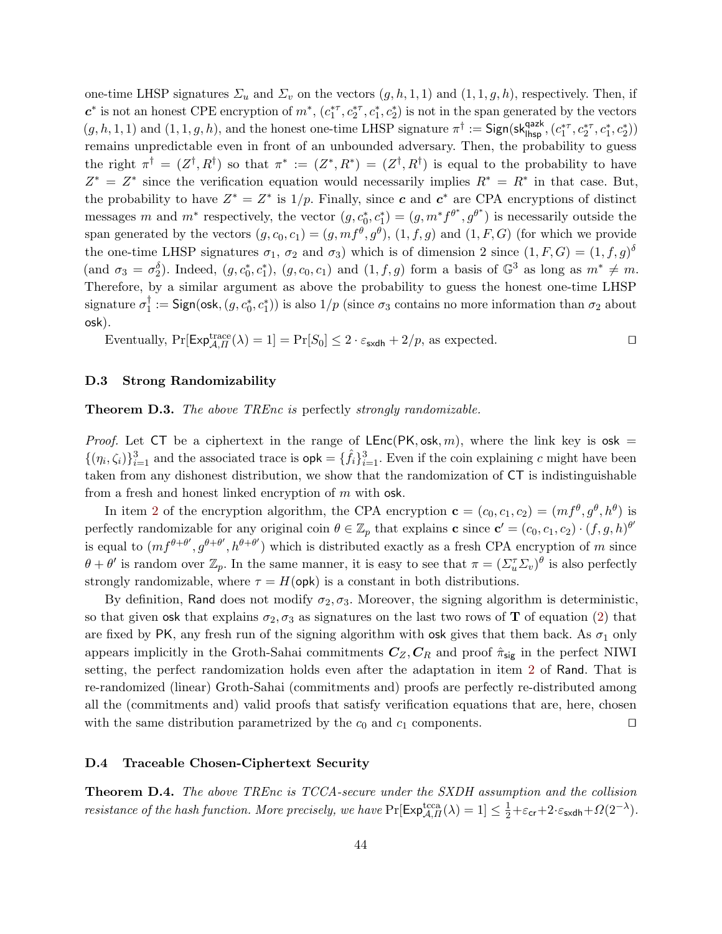one-time LHSP signatures  $\Sigma_u$  and  $\Sigma_v$  on the vectors  $(g, h, 1, 1)$  and  $(1, 1, g, h)$ , respectively. Then, if  $c^*$  is not an honest CPE encryption of  $m^*$ ,  $(c_1^{*\tau}, c_2^{*\tau}, c_1^*, c_2^*)$  is not in the span generated by the vectors  $(g, h, 1, 1)$  and  $(1, 1, g, h)$ , and the honest one-time LHSP signature  $\pi^{\dagger} := \mathsf{Sign}(\mathsf{sk}_{\mathsf{lhsp}}^{\mathsf{qazk}}, (c_1^{*\tau}, c_2^{*\tau}, c_1^*, c_2^*))$ remains unpredictable even in front of an unbounded adversary. Then, the probability to guess the right  $\pi^{\dagger} = (Z^{\dagger}, R^{\dagger})$  so that  $\pi^* := (Z^*, R^*) = (Z^{\dagger}, R^{\dagger})$  is equal to the probability to have  $Z^* = Z^*$  since the verification equation would necessarily implies  $R^* = R^*$  in that case. But, the probability to have  $Z^* = Z^*$  is  $1/p$ . Finally, since c and  $c^*$  are CPA encryptions of distinct messages m and  $m^*$  respectively, the vector  $(g, c_0^*, c_1^*) = (g, m^* f^{\theta^*}, g^{\theta^*})$  is necessarily outside the span generated by the vectors  $(g, c_0, c_1) = (g, mf^{\theta}, g^{\theta}), (1, f, g)$  and  $(1, F, G)$  (for which we provide the one-time LHSP signatures  $\sigma_1$ ,  $\sigma_2$  and  $\sigma_3$ ) which is of dimension 2 since  $(1, F, G) = (1, f, g)$ <sup>8</sup> (and  $\sigma_3 = \sigma_2^{\delta}$ ). Indeed,  $(g, c_0^*, c_1^*)$ ,  $(g, c_0, c_1)$  and  $(1, f, g)$  form a basis of  $\mathbb{G}^3$  as long as  $m^* \neq m$ . Therefore, by a similar argument as above the probability to guess the honest one-time LHSP signature  $\sigma_1^{\dagger}$  $\mu_1^{\dagger} := \mathsf{Sign}(\mathsf{osk}, (g, c_0^*, c_1^*))$  is also  $1/p$  (since  $\sigma_3$  contains no more information than  $\sigma_2$  about osk).

Eventually,  $Pr[\mathsf{Exp}_{\mathcal{A},\Pi}^{\text{trace}}(\lambda) = 1] = Pr[S_0] \leq 2 \cdot \varepsilon_{\text{sxdh}} + 2/p$ , as expected.

### <span id="page-45-0"></span>D.3 Strong Randomizability

Theorem D.3. The above TREnc is perfectly strongly randomizable.

*Proof.* Let CT be a ciphertext in the range of  $\textsf{LEnc}(PK, \textsf{osk}, m)$ , where the link key is osk =  $\{(\eta_i, \zeta_i)\}_{i=1}^3$  and the associated trace is  $\mathsf{opk} = \{\hat{f}_i\}_{i=1}^3$ . Even if the coin explaining c might have been taken from any dishonest distribution, we show that the randomization of CT is indistinguishable from a fresh and honest linked encryption of  $m$  with osk.

In item [2](#page-18-0) of the encryption algorithm, the CPA encryption  $\mathbf{c} = (c_0, c_1, c_2) = (mf^{\theta}, g^{\theta}, h^{\theta})$  is perfectly randomizable for any original coin  $\theta \in \mathbb{Z}_p$  that explains **c** since  $\mathbf{c}' = (c_0, c_1, c_2) \cdot (f, g, h)^{\theta'}$ is equal to  $(m f^{\theta+\theta'}, g^{\theta+\theta'}, h^{\theta+\theta'})$  which is distributed exactly as a fresh CPA encryption of m since  $\theta + \theta'$  is random over  $\mathbb{Z}_p$ . In the same manner, it is easy to see that  $\pi = (\Sigma_u^{\tau} \Sigma_v)^{\theta}$  is also perfectly strongly randomizable, where  $\tau = H(\text{opk})$  is a constant in both distributions.

By definition, Rand does not modify  $\sigma_2, \sigma_3$ . Moreover, the signing algorithm is deterministic, so that given osk that explains  $\sigma_2, \sigma_3$  as signatures on the last two rows of **T** of equation [\(2\)](#page-18-3) that are fixed by PK, any fresh run of the signing algorithm with osk gives that them back. As  $\sigma_1$  only appears implicitly in the Groth-Sahai commitments  $C_Z, C_R$  and proof  $\hat{\pi}_{\text{sig}}$  in the perfect NIWI setting, the perfect randomization holds even after the adaptation in item [2](#page-18-4) of Rand. That is re-randomized (linear) Groth-Sahai (commitments and) proofs are perfectly re-distributed among all the (commitments and) valid proofs that satisfy verification equations that are, here, chosen with the same distribution parametrized by the  $c_0$  and  $c_1$  components.  $\Box$ 

### <span id="page-45-1"></span>D.4 Traceable Chosen-Ciphertext Security

Theorem D.4. The above TREnc is TCCA-secure under the SXDH assumption and the collision resistance of the hash function. More precisely, we have  $Pr[\text{Exp}^{\text{tcca}}_{\mathcal{A},\Pi}(\lambda) = 1] \leq \frac{1}{2} + \varepsilon_{\text{cr}} + 2 \cdot \varepsilon_{\text{exdh}} + \Omega(2^{-\lambda}).$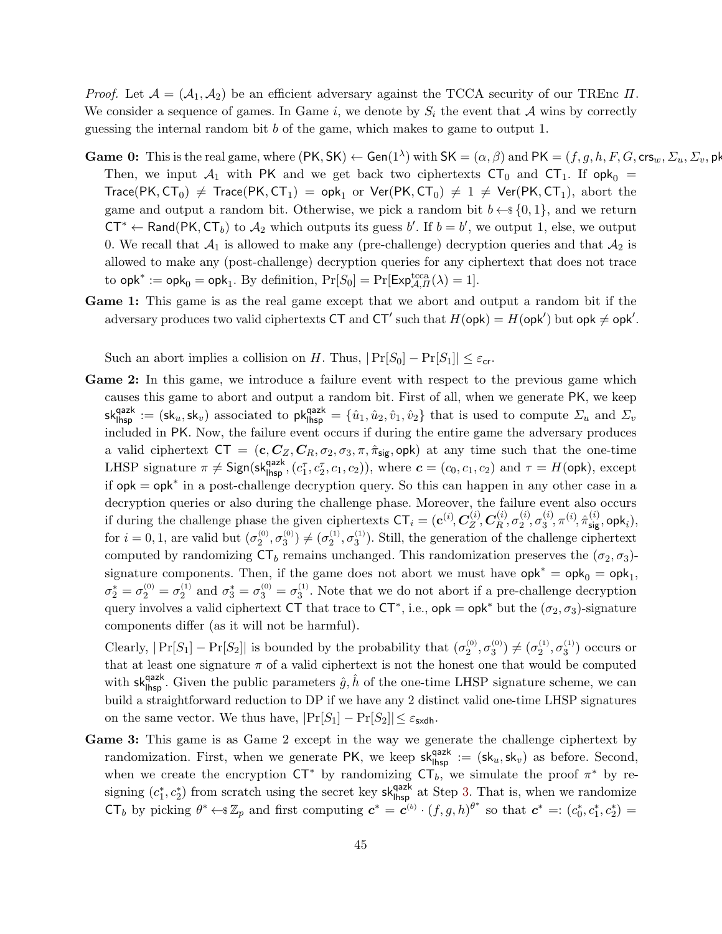*Proof.* Let  $\mathcal{A} = (\mathcal{A}_1, \mathcal{A}_2)$  be an efficient adversary against the TCCA security of our TREnc  $\Pi$ . We consider a sequence of games. In Game i, we denote by  $S_i$  the event that A wins by correctly guessing the internal random bit b of the game, which makes to game to output 1.

- **Game 0:** This is the real game, where  $(\mathsf{PK}, \mathsf{SK}) \leftarrow \mathsf{Gen}(1^{\lambda})$  with  $\mathsf{SK} = (\alpha, \beta)$  and  $\mathsf{PK} = (f, g, h, F, G, \mathsf{crs}_w, \Sigma_u, \Sigma_v, \mathsf{pk}_v)$ Then, we input  $A_1$  with PK and we get back two ciphertexts  $CT_0$  and  $CT_1$ . If opk<sub>0</sub> = Trace(PK,  $CT_0$ )  $\neq$  Trace(PK,  $CT_1$ ) = opk<sub>1</sub> or Ver(PK,  $CT_0$ )  $\neq$  1  $\neq$  Ver(PK,  $CT_1$ ), abort the game and output a random bit. Otherwise, we pick a random bit  $b \leftarrow s \{0, 1\}$ , and we return  $CT^* \leftarrow \text{Rand}(PK, CT_b)$  to  $\mathcal{A}_2$  which outputs its guess b'. If  $b = b'$ , we output 1, else, we output 0. We recall that  $A_1$  is allowed to make any (pre-challenge) decryption queries and that  $A_2$  is allowed to make any (post-challenge) decryption queries for any ciphertext that does not trace to  $\mathsf{opk}^* := \mathsf{opk}_0 = \mathsf{opk}_1$ . By definition,  $\Pr[S_0] = \Pr[\mathsf{Exp}_{\mathcal{A},\Pi}^{\mathsf{tcca}}(\lambda) = 1]$ .
- Game 1: This game is as the real game except that we abort and output a random bit if the adversary produces two valid ciphertexts CT and CT' such that  $H(\mathsf{opk}) = H(\mathsf{opk}')$  but  $\mathsf{opk} \neq \mathsf{opk}'.$

Such an abort implies a collision on H. Thus,  $|\Pr[S_0] - \Pr[S_1]| \leq \varepsilon_{\text{cr}}$ .

Game 2: In this game, we introduce a failure event with respect to the previous game which causes this game to abort and output a random bit. First of all, when we generate PK, we keep  $sk_{\text{lhsp}}^{\text{qazk}} := (\text{sk}_u, \text{sk}_v)$  associated to  $\text{pk}_{\text{lhsp}}^{\text{qazk}} = \{\hat{u}_1, \hat{u}_2, \hat{v}_1, \hat{v}_2\}$  that is used to compute  $\Sigma_u$  and  $\Sigma_v$ included in PK. Now, the failure event occurs if during the entire game the adversary produces a valid ciphertext  $CT = (c, C_Z, C_R, \sigma_2, \sigma_3, \pi, \hat{\pi}_{sig}, \text{opk})$  at any time such that the one-time LHSP signature  $\pi \neq \textsf{Sign}(\textsf{sk}_{\textsf{lhsp}}^{\textsf{qazk}}, (c_1^{\tau}, c_2^{\tau}, c_1, c_2))$ , where  $\mathbf{c} = (c_0, c_1, c_2)$  and  $\tau = H(\textsf{opk})$ , except if opk = opk<sup>∗</sup> in a post-challenge decryption query. So this can happen in any other case in a decryption queries or also during the challenge phase. Moreover, the failure event also occurs if during the challenge phase the given ciphertexts  $\textsf{CT}_i = (\textbf{c}^{(i)}, \textbf{C}_Z^{(i)})$  $\mathcal{L}^{(i)}_Z, \bm{C}_R^{(i)}$  $\overset{(i)}{R}, \overset{(i)}{\sigma_2^0}$  $_2^{(i)}, \sigma_3^{(i)}$  $_{3}^{(i)},\pi ^{(i)},\hat{\pi}_{\mathsf{sig}}^{(i)},\mathsf{opk}_{i}),$ for  $i = 0, 1$ , are valid but  $(\sigma_2^{(0)}, \sigma_3^{(0)}) \neq (\sigma_2^{(1)}, \sigma_3^{(1)})$ . Still, the generation of the challenge ciphertext computed by randomizing  $\mathsf{CT}_b$  remains unchanged. This randomization preserves the  $(\sigma_2, \sigma_3)$ signature components. Then, if the game does not abort we must have  $\mathsf{opk}^* = \mathsf{opk}_0 = \mathsf{opk}_1$ ,  $\sigma_2^* = \sigma_2^{(0)} = \sigma_2^{(1)}$  and  $\sigma_3^* = \sigma_3^{(0)} = \sigma_3^{(1)}$ . Note that we do not abort if a pre-challenge decryption query involves a valid ciphertext CT that trace to CT<sup>\*</sup>, i.e.,  $\mathsf{opk} = \mathsf{opk}^*$  but the  $(\sigma_2, \sigma_3)$ -signature components differ (as it will not be harmful).

Clearly,  $|\Pr[S_1] - \Pr[S_2]|$  is bounded by the probability that  $(\sigma_2^{(0)}, \sigma_3^{(0)}) \neq (\sigma_2^{(1)}, \sigma_3^{(1)})$  occurs or that at least one signature  $\pi$  of a valid ciphertext is not the honest one that would be computed with sk<sup>qazk</sup>. Given the public parameters  $\hat{g}, \hat{h}$  of the one-time LHSP signature scheme, we can build a straightforward reduction to DP if we have any 2 distinct valid one-time LHSP signatures on the same vector. We thus have,  $|\Pr[S_1] - \Pr[S_2]| \leq \varepsilon_{\text{sxdh}}$ .

Game 3: This game is as Game 2 except in the way we generate the challenge ciphertext by randomization. First, when we generate PK, we keep  $sk_{\text{lhyp}}^{\text{qazk}} := (sk_u, sk_v)$  as before. Second, when we create the encryption  $CT^*$  by randomizing  $CT_b$ , we simulate the proof  $\pi^*$  by resigning  $(c_1^*, c_2^*)$  from scratch using the secret key  $sk_{\text{lhsp}}^{\text{qazk}}$  at Step [3.](#page-19-2) That is, when we randomize  $CT_b$  by picking  $\theta^* \leftarrow \mathcal{Z}_p$  and first computing  $\mathbf{c}^* = \mathbf{c}^{(b)} \cdot (f, g, h) \theta^*$  so that  $\mathbf{c}^* =: (c_0^*, c_1^*, c_2^*) =$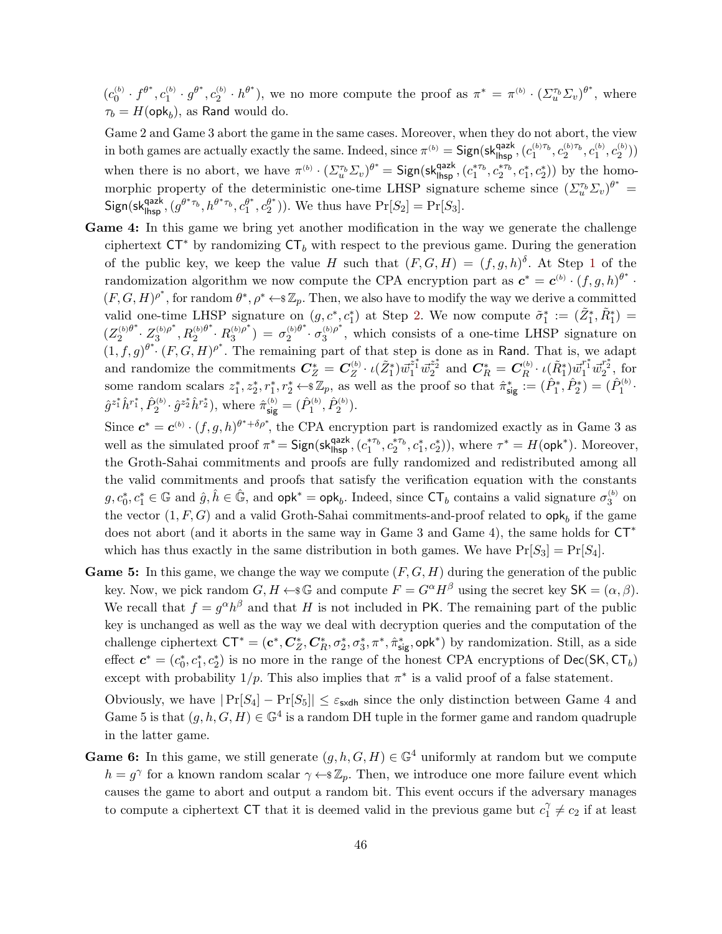$(c_0^{(b)} \cdot f^{\theta^*}, c_1^{(b)} \cdot g^{\theta^*}, c_2^{(b)} \cdot h^{\theta^*}),$  we no more compute the proof as  $\pi^* = \pi^{(b)} \cdot (\Sigma_u^{\tau_b} \Sigma_v)^{\theta^*},$  where  $\tau_b = H(\mathsf{opk}_b)$ , as Rand would do.

Game 2 and Game 3 abort the game in the same cases. Moreover, when they do not abort, the view in both games are actually exactly the same. Indeed, since  $\pi^{(b)} = \mathsf{Sign}(\mathsf{sk}_{\mathsf{lhsp}}^{\mathsf{qazk}}, (c_1^{(b)\tau_b}, c_2^{(b)\tau_b}, c_1^{(b)}, c_2^{(b)}))$ when there is no abort, we have  $\pi^{(b)} \cdot (\Sigma_{u}^{\tau_b} \Sigma_{v})^{\theta^*} = \text{Sign}(\text{sk}_{\text{lhsp}}^{\text{qazk}}, (c_1^{*\tau_b}, c_2^{*\tau_b}, c_1^*, c_2^*))$  by the homomorphic property of the deterministic one-time LHSP signature scheme since  $(\Sigma_{u}^{\tau_b} \Sigma_{v})^{\theta^*} =$  $\mathsf{Sign}(\mathsf{sk}_{\mathsf{Ihsp}}^{\mathsf{qazk}}, (g^{\theta^*\tau_b}, h^{\theta^*\tau_b}, c_1^{\theta^*}))$  $\frac{\theta^*}{1}, c_2^{\theta^*}$  $\binom{\theta^*}{2}$ ). We thus have  $\Pr[S_2] = \Pr[S_3]$ .

Game 4: In this game we bring yet another modification in the way we generate the challenge ciphertext  $CT^*$  by randomizing  $CT_b$  with respect to the previous game. During the generation of the public key, we keep the value H such that  $(F, G, H) = (f, g, h)$ <sup> $\delta$ </sup>. At Step [1](#page-18-5) of the randomization algorithm we now compute the CPA encryption part as  $c^* = c^{(b)} \cdot (f, g, h)^{\theta^*}$ .  $(F, G, H)^{\rho^*}$ , for random  $\theta^*, \rho^* \leftarrow \mathcal{Z}_p$ . Then, we also have to modify the way we derive a committed valid one-time LHSP signature on  $(g, c^*, c_1^*)$  at Step [2.](#page-18-4) We now compute  $\tilde{\sigma}_1^* := (\tilde{Z}_1^*, \tilde{R}_1^*) =$  $(Z_2^{(b)\theta^*}$  $2^{(b)\theta^*}\cdot Z_3^{(b)\rho^*}$  $R_3^{(b)\rho^*}, R_2^{(b)\theta^*}$  $\stackrel{(b)\theta^*}{_2}$   $\cdot$   $\stackrel{(b)\overline{\rho}^*}{_3}$  $\sigma_3^{(b)\bar \rho^*})\,=\,\sigma_2^{(b)\theta^*}$  $\frac{\alpha_0}{2}^{(b)\theta^*}\cdot\sigma_3^{(b)\rho^*}$  $_3^{(b)\rho}$ , which consists of a one-time LHSP signature on  $(1, f, g)^{\theta^*}$  (*F*, *G*, *H*)<sup> $\rho^*$ </sup>. The remaining part of that step is done as in Rand. That is, we adapt and randomize the commitments  $\overrightarrow{C_Z} = \overrightarrow{C_Z}^{(b)} \cdot \iota(\tilde{Z}_1^*) \overrightarrow{w_1^{z_1^*}} \overrightarrow{w_2^{z_2^*}}$  and  $\overrightarrow{C_R} = \overrightarrow{C_R}^{(b)} \cdot \iota(\tilde{R}_1^*) \overrightarrow{w_1^{r_1^*}} \overrightarrow{w_2^{r_2^*}}$ , for some random scalars  $z_1^*, z_2^*, r_1^*, r_2^* \leftarrow \mathcal{Z}_p$ , as well as the proof so that  $\hat{\pi}_{\text{sig}}^* := (\hat{P}_1^*, \hat{P}_2^*) = (\hat{P}_1^{(b)} \cdot$  $\hat{g}^{z_1^*}\hat{h}^{r_1^*}, \hat{P}_2^{(b)} \cdot \hat{g}^{z_2^*}\hat{h}^{r_2^*}),$  where  $\hat{\pi}_{\text{sig}}^{(b)} = (\hat{P}_1^{(b)}, \hat{P}_2^{(b)}).$ 

Since  $c^* = c^{(b)} \cdot (f, g, h)^{\theta^* + \delta \rho^*}$ , the CPA encryption part is randomized exactly as in Game 3 as well as the simulated proof  $\pi^* = \mathsf{Sign}(\mathsf{sk}_{\mathsf{Hsp}}^{\mathsf{qazk}}, (c_1^{*\tau_b}, c_2^{*\tau_b}, c_1^*, c_2^*)$ , where  $\tau^* = H(\mathsf{opk}^*)$ . Moreover, the Groth-Sahai commitments and proofs are fully randomized and redistributed among all the valid commitments and proofs that satisfy the verification equation with the constants  $g, c_0^*, c_1^* \in \mathbb{G}$  and  $\hat{g}, \hat{h} \in \hat{\mathbb{G}}$ , and  $\mathsf{opk}^* = \mathsf{opk}_b$ . Indeed, since  $\mathsf{CT}_b$  contains a valid signature  $\sigma_3^{(b)}$  on the vector  $(1, F, G)$  and a valid Groth-Sahai commitments-and-proof related to  $\mathsf{opk}_b$  if the game does not abort (and it aborts in the same way in Game 3 and Game 4), the same holds for CT<sup>∗</sup> which has thus exactly in the same distribution in both games. We have  $Pr[S_3] = Pr[S_4]$ .

**Game 5:** In this game, we change the way we compute  $(F, G, H)$  during the generation of the public key. Now, we pick random  $G, H \leftarrow \mathcal{G}$  and compute  $F = G^{\alpha} H^{\beta}$  using the secret key  $\mathsf{SK} = (\alpha, \beta)$ . We recall that  $f = g^{\alpha} h^{\beta}$  and that H is not included in PK. The remaining part of the public key is unchanged as well as the way we deal with decryption queries and the computation of the challenge ciphertext  $CT^* = (\mathbf{c}^*, \mathbf{C}_Z^*, \mathbf{C}_R^*, \sigma_2^*, \sigma_3^*, \pi^*, \hat{\pi}_{\mathsf{sig}}^*, \mathsf{opk}^*)$  by randomization. Still, as a side effect  $c^* = (c_0^*, c_1^*, c_2^*)$  is no more in the range of the honest CPA encryptions of Dec(SK, CT<sub>b</sub>) except with probability  $1/p$ . This also implies that  $\pi^*$  is a valid proof of a false statement.

Obviously, we have  $|\Pr[S_4] - \Pr[S_5]| \leq \varepsilon_{\text{exdh}}$  since the only distinction between Game 4 and Game 5 is that  $(g, h, G, H) \in \mathbb{G}^4$  is a random DH tuple in the former game and random quadruple in the latter game.

**Game 6:** In this game, we still generate  $(g, h, G, H) \in \mathbb{G}^4$  uniformly at random but we compute  $h = g^{\gamma}$  for a known random scalar  $\gamma \leftarrow \mathscr{Z}_p$ . Then, we introduce one more failure event which causes the game to abort and output a random bit. This event occurs if the adversary manages to compute a ciphertext CT that it is deemed valid in the previous game but  $c_1^{\gamma}$  $\gamma_1^{\gamma} \neq c_2$  if at least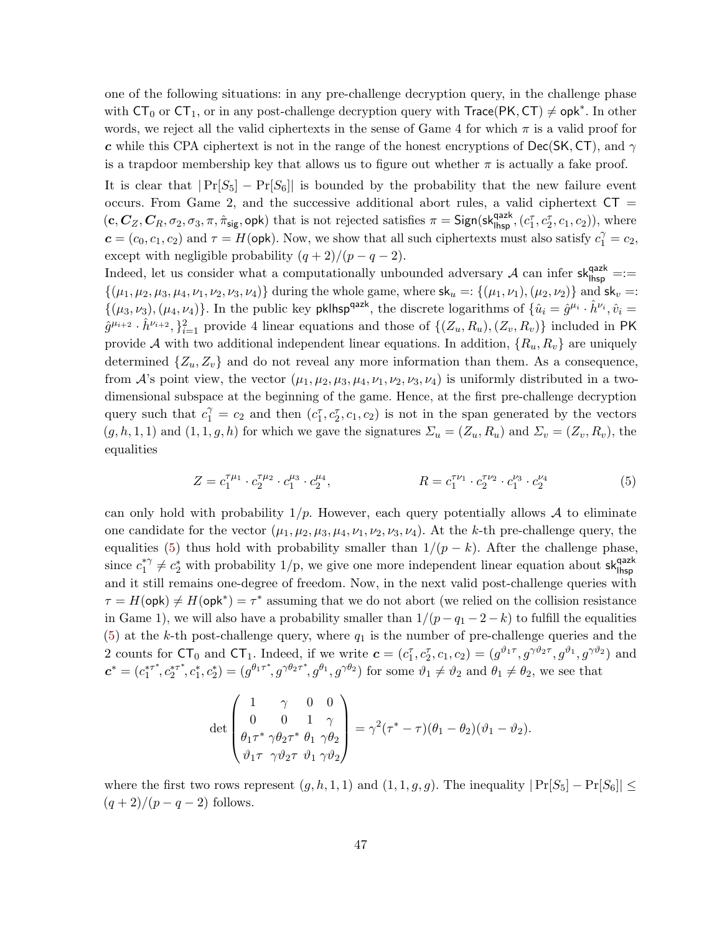one of the following situations: in any pre-challenge decryption query, in the challenge phase with  $CT_0$  or  $CT_1$ , or in any post-challenge decryption query with  $Trace(PK, CT) \neq \mathsf{opk}^*$ . In other words, we reject all the valid ciphertexts in the sense of Game 4 for which  $\pi$  is a valid proof for c while this CPA ciphertext is not in the range of the honest encryptions of Dec(SK, CT), and  $\gamma$ is a trapdoor membership key that allows us to figure out whether  $\pi$  is actually a fake proof.

It is clear that  $|\Pr[S_5] - \Pr[S_6]|$  is bounded by the probability that the new failure event occurs. From Game 2, and the successive additional abort rules, a valid ciphertext  $CT =$  $(c, C_Z, C_R, \sigma_2, \sigma_3, \pi, \hat{\pi}_{sig}, \text{opk})$  that is not rejected satisfies  $\pi = \text{Sign}(\text{sk}_{\text{hsp}}^{\text{qazk}}, (c_1^{\tau}, c_2^{\tau}, c_1, c_2))$ , where  $\boldsymbol{c} = (c_0, c_1, c_2)$  and  $\tau = H(\text{opk})$ . Now, we show that all such ciphertexts must also satisfy  $c_1^{\gamma} = c_2$ , except with negligible probability  $(q+2)/(p-q-2)$ .

Indeed, let us consider what a computationally unbounded adversary  $\mathcal A$  can infer  $sk_{\text{lhyp}}^{\text{qazk}} ==$  $\{(\mu_1, \mu_2, \mu_3, \mu_4, \nu_1, \nu_2, \nu_3, \nu_4)\}\$  during the whole game, where  $\mathsf{sk}_u =: \{(\mu_1, \nu_1), (\mu_2, \nu_2)\}\$  and  $\mathsf{sk}_v =:$  $\{(\mu_3, \nu_3), (\mu_4, \nu_4)\}\.$  In the public key pklhsp<sup>qazk</sup>, the discrete logarithms of  $\{\hat{u}_i = \hat{g}^{\mu_i} \cdot \hat{h}^{\nu_i}, \hat{v}_i =$  $\hat{g}^{\mu_{i+2}} \cdot \hat{h}^{\nu_{i+2}}$ ,  $\}_{i=1}^2$  provide 4 linear equations and those of  $\{(Z_u, R_u), (Z_v, R_v)\}\$  included in PK provide A with two additional independent linear equations. In addition,  $\{R_u, R_v\}$  are uniquely determined  $\{Z_u, Z_v\}$  and do not reveal any more information than them. As a consequence, from A's point view, the vector  $(\mu_1, \mu_2, \mu_3, \mu_4, \nu_1, \nu_2, \nu_3, \nu_4)$  is uniformly distributed in a twodimensional subspace at the beginning of the game. Hence, at the first pre-challenge decryption query such that  $c_1^{\gamma} = c_2$  and then  $(c_1^{\tau}, c_2^{\tau}, c_1, c_2)$  is not in the span generated by the vectors  $(g, h, 1, 1)$  and  $(1, 1, g, h)$  for which we gave the signatures  $\Sigma_u = (Z_u, R_u)$  and  $\Sigma_v = (Z_v, R_v)$ , the equalities

<span id="page-48-0"></span>
$$
Z = c_1^{\tau \mu_1} \cdot c_2^{\tau \mu_2} \cdot c_1^{\mu_3} \cdot c_2^{\mu_4}, \qquad R = c_1^{\tau \nu_1} \cdot c_2^{\tau \nu_2} \cdot c_1^{\nu_3} \cdot c_2^{\nu_4} \qquad (5)
$$

can only hold with probability  $1/p$ . However, each query potentially allows A to eliminate one candidate for the vector  $(\mu_1, \mu_2, \mu_3, \mu_4, \nu_1, \nu_2, \nu_3, \nu_4)$ . At the k-th pre-challenge query, the equalities [\(5\)](#page-48-0) thus hold with probability smaller than  $1/(p - k)$ . After the challenge phase, since  $c_1^{*\gamma}$ <sup>\*7</sup>  $\neq c_2^*$  with probability 1/p, we give one more independent linear equation about sk<sub>lhsp</sub> and it still remains one-degree of freedom. Now, in the next valid post-challenge queries with  $\tau = H(\mathsf{opk}) \neq H(\mathsf{opk}^*) = \tau^*$  assuming that we do not abort (we relied on the collision resistance in Game 1), we will also have a probability smaller than  $1/(p - q_1 - 2 - k)$  to fulfill the equalities [\(5\)](#page-48-0) at the k-th post-challenge query, where  $q_1$  is the number of pre-challenge queries and the 2 counts for  $CT_0$  and  $CT_1$ . Indeed, if we write  $\boldsymbol{c} = (c_1^{\tau}, c_2^{\tau}, c_1, c_2) = (g^{\vartheta_1 \tau}, g^{\gamma \vartheta_2 \tau}, g^{\vartheta_1}, g^{\gamma \vartheta_2})$  and  $c^* = (c_1^{*\tau^*})$  $x_1^{*\tau^*}, c_2^{*\tau^*}$  $\mathcal{L}_2^{*\tau^*}, c_1^*, c_2^* = (g^{\theta_1 \tau^*}, g^{\gamma \theta_2 \tau^*}, g^{\theta_1}, g^{\gamma \theta_2})$  for some  $\vartheta_1 \neq \vartheta_2$  and  $\theta_1 \neq \theta_2$ , we see that

$$
\det \begin{pmatrix} 1 & \gamma & 0 & 0 \\ 0 & 0 & 1 & \gamma \\ \theta_1 \tau^* & \gamma \theta_2 \tau^* & \theta_1 & \gamma \theta_2 \\ \vartheta_1 \tau & \gamma \vartheta_2 \tau & \vartheta_1 & \gamma \vartheta_2 \end{pmatrix} = \gamma^2 (\tau^* - \tau) (\theta_1 - \theta_2) (\vartheta_1 - \vartheta_2).
$$

where the first two rows represent  $(g, h, 1, 1)$  and  $(1, 1, g, g)$ . The inequality  $|Pr[S_5] - Pr[S_6]| \le$  $(q+2)/(p-q-2)$  follows.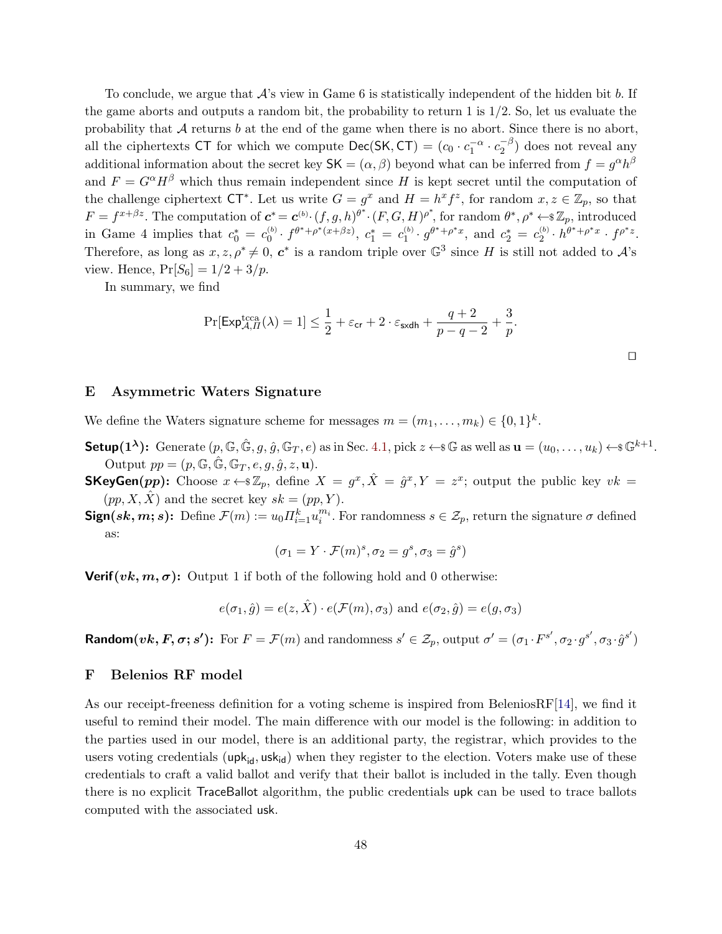To conclude, we argue that A's view in Game 6 is statistically independent of the hidden bit b. If the game aborts and outputs a random bit, the probability to return  $1$  is  $1/2$ . So, let us evaluate the probability that  $A$  returns  $b$  at the end of the game when there is no abort. Since there is no abort, all the ciphertexts CT for which we compute  $\mathsf{Dec}(\mathsf{SK},\mathsf{CT}) = (c_0 \cdot c_1^{-\alpha} \cdot c_2^{-\beta})$  $\binom{-\rho}{2}$  does not reveal any additional information about the secret key  $\mathsf{SK} = (\alpha, \beta)$  beyond what can be inferred from  $f = g^{\alpha} h^{\beta}$ and  $F = G^{\alpha}H^{\beta}$  which thus remain independent since H is kept secret until the computation of the challenge ciphertext  $\mathsf{CT}^*$ . Let us write  $G = g^x$  and  $H = h^x f^z$ , for random  $x, z \in \mathbb{Z}_p$ , so that  $F = f^{x+\beta z}$ . The computation of  $c^* = c^{(b)} \cdot (f, g, h)^{\theta^*} \cdot (F, G, H)^{\rho^*}$ , for random  $\theta^*, \rho^* \leftarrow \mathscr{Z}_p$ , introduced in Game 4 implies that  $c_0^* = c_0^{(b)} \cdot f^{\theta^* + \rho^*(x+\beta z)}$ ,  $c_1^* = c_1^{(b)} \cdot g^{\theta^* + \rho^* x}$ , and  $c_2^* = c_2^{(b)} \cdot h^{\theta^* + \rho^* x} \cdot f^{\rho^* z}$ . Therefore, as long as  $x, z, \rho^* \neq 0$ ,  $c^*$  is a random triple over  $\mathbb{G}^3$  since H is still not added to  $\mathcal{A}$ 's view. Hence,  $Pr[S_6] = 1/2 + 3/p$ .

In summary, we find

$$
\Pr[\mathsf{Exp}_{\mathcal{A},\varPi}^{\mathrm{tcca}}(\lambda) = 1] \le \frac{1}{2} + \varepsilon_{\mathsf{cr}} + 2 \cdot \varepsilon_{\mathsf{exdh}} + \frac{q+2}{p-q-2} + \frac{3}{p}.
$$

### <span id="page-49-0"></span>E Asymmetric Waters Signature

We define the Waters signature scheme for messages  $m = (m_1, \ldots, m_k) \in \{0, 1\}^k$ .

Setup(1<sup> $\lambda$ </sup>): Generate  $(p, \mathbb{G}, \hat{\mathbb{G}}, g, \hat{g}, \mathbb{G}_T, e)$  as in Sec. [4.1,](#page-15-0) pick  $z \leftarrow \mathbb{G}$  as well as  $\mathbf{u} = (u_0, \ldots, u_k) \leftarrow \mathbb{G}^{k+1}$ . Output  $pp = (p, \mathbb{G}, \hat{\mathbb{G}}, \mathbb{G}_T, e, g, \hat{g}, z, \mathbf{u}).$ 

**SKeyGen(pp):** Choose  $x \leftarrow \mathscr{Z}_p$ , define  $X = g^x$ ,  $\hat{X} = \hat{g}^x$ ,  $Y = z^x$ ; output the public key  $vk =$  $(pp, X, \hat{X})$  and the secret key  $sk = (pp, Y)$ .

 $Sign(sk, m; s)$ : Define  $\mathcal{F}(m) := u_0 \prod_{i=1}^k u_i^{m_i}$ . For randomness  $s \in \mathcal{Z}_p$ , return the signature  $\sigma$  defined as:

$$
(\sigma_1 = Y \cdot \mathcal{F}(m)^s, \sigma_2 = g^s, \sigma_3 = \hat{g}^s)
$$

**Verif** $(vk, m, \sigma)$ : Output 1 if both of the following hold and 0 otherwise:

$$
e(\sigma_1, \hat{g}) = e(z, \hat{X}) \cdot e(\mathcal{F}(m), \sigma_3)
$$
 and  $e(\sigma_2, \hat{g}) = e(g, \sigma_3)$ 

**Random**( $vk, F, \sigma; s'$ ): For  $F = \mathcal{F}(m)$  and randomness  $s' \in \mathcal{Z}_p$ , output  $\sigma' = (\sigma_1 \cdot F^{s'}, \sigma_2 \cdot g^{s'}, \sigma_3 \cdot \hat{g}^{s'})$ 

# <span id="page-49-1"></span>F Belenios RF model

As our receipt-freeness definition for a voting scheme is inspired from BeleniosRF[\[14\]](#page-28-3), we find it useful to remind their model. The main difference with our model is the following: in addition to the parties used in our model, there is an additional party, the registrar, which provides to the users voting credentials ( $upk_{id}$ , usk<sub>id</sub>) when they register to the election. Voters make use of these credentials to craft a valid ballot and verify that their ballot is included in the tally. Even though there is no explicit TraceBallot algorithm, the public credentials upk can be used to trace ballots computed with the associated usk.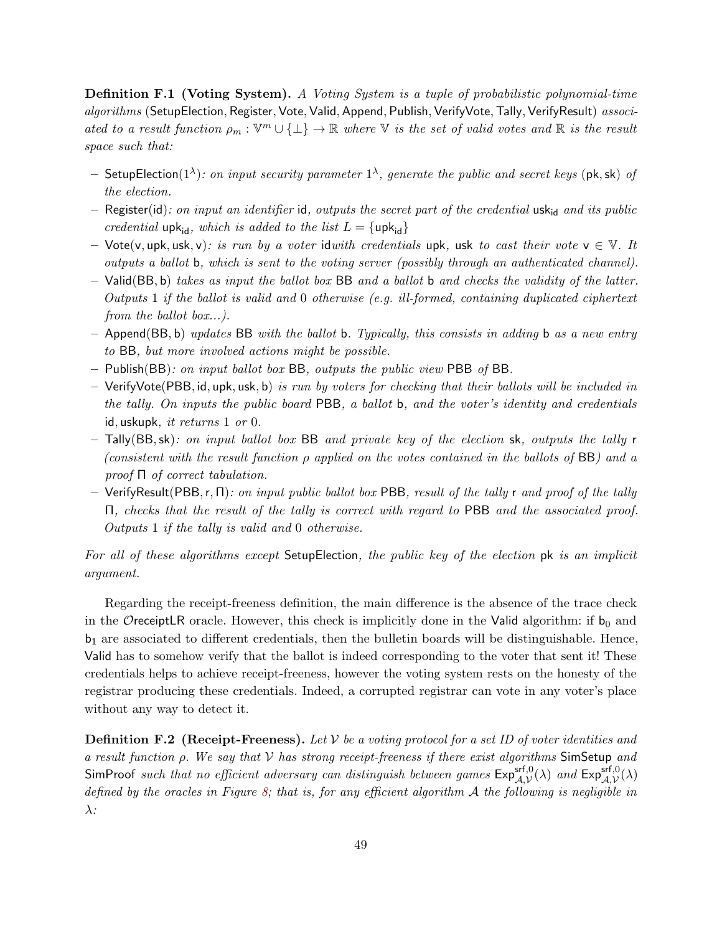Definition F.1 (Voting System). A Voting System is a tuple of probabilistic polynomial-time algorithms (SetupElection, Register, Vote, Valid, Append, Publish, VerifyVote, Tally, VerifyResult) associated to a result function  $\rho_m: \mathbb{V}^m \cup \{\perp\} \to \mathbb{R}$  where  $\mathbb {V}$  is the set of valid votes and  $\mathbb R$  is the result space such that:

- SetupElection(1<sup> $\lambda$ </sup>): on input security parameter 1<sup> $\lambda$ </sup>, generate the public and secret keys (pk, sk) of the election.
- Register(id): on input an identifier id, outputs the secret part of the credential usk<sub>id</sub> and its public credential upk<sub>id</sub>, which is added to the list  $L = \{upk_{id}\}\$
- Vote(v, upk, usk, v): is run by a voter idwith credentials upk, usk to cast their vote  $v \in V$ . It outputs a ballot b, which is sent to the voting server (possibly through an authenticated channel).
- $-$  Valid(BB, b) takes as input the ballot box BB and a ballot b and checks the validity of the latter. Outputs 1 if the ballot is valid and 0 otherwise (e.g. ill-formed, containing duplicated ciphertext from the ballot box...).
- $-$  Append(BB, b) updates BB with the ballot b. Typically, this consists in adding b as a new entry to BB, but more involved actions might be possible.
- Publish(BB): on input ballot box BB, outputs the public view PBB of BB.
- $-$  VerifyVote(PBB, id, upk, usk, b) is run by voters for checking that their ballots will be included in the tally. On inputs the public board PBB, a ballot b, and the voter's identity and credentials id, uskupk, it returns 1 or 0.
- $-$  Tally(BB, sk): on input ballot box BB and private key of the election sk, outputs the tally r (consistent with the result function  $\rho$  applied on the votes contained in the ballots of BB) and a  $proof$  Π *of correct tabulation*.
- VerifyResult(PBB, r,  $\Pi$ ): on input public ballot box PBB, result of the tally r and proof of the tally Π, checks that the result of the tally is correct with regard to PBB and the associated proof. Outputs 1 if the tally is valid and 0 otherwise.

# For all of these algorithms except SetupElection, the public key of the election pk is an implicit argument.

Regarding the receipt-freeness definition, the main difference is the absence of the trace check in the OreceiptLR oracle. However, this check is implicitly done in the Valid algorithm: if  $b_0$  and  $b_1$  are associated to different credentials, then the bulletin boards will be distinguishable. Hence, Valid has to somehow verify that the ballot is indeed corresponding to the voter that sent it! These credentials helps to achieve receipt-freeness, however the voting system rests on the honesty of the registrar producing these credentials. Indeed, a corrupted registrar can vote in any voter's place without any way to detect it.

<span id="page-50-0"></span>**Definition F.2 (Receipt-Freeness).** Let  $V$  be a voting protocol for a set ID of voter identities and a result function  $\rho$ . We say that  $\mathcal V$  has strong receipt-freeness if there exist algorithms SimSetup and SimProof such that no efficient adversary can distinguish between games  $\mathsf{Exp}_{\mathcal{A},\mathcal{V}}^{\mathsf{srf},0}(\lambda)$  and  $\mathsf{Exp}_{\mathcal{A},\mathcal{V}}^{\mathsf{srf},0}(\lambda)$ defined by the oracles in Figure [8;](#page-51-1) that is, for any efficient algorithm A the following is negligible in  $\lambda$ :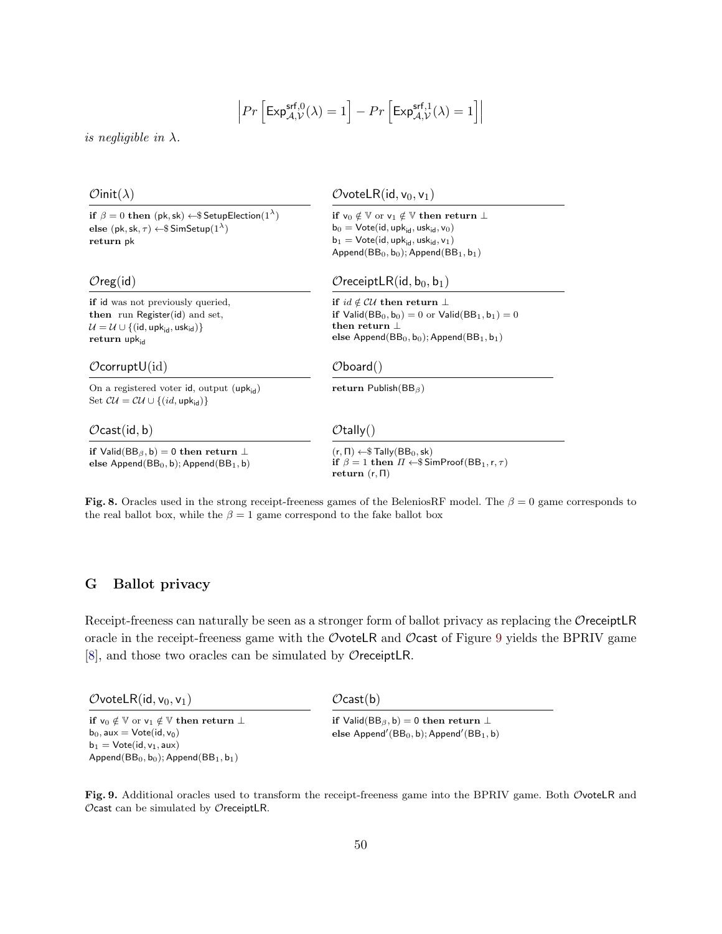$$
\left|Pr\left[\mathsf{Exp}_{\mathcal{A},\mathcal{V}}^{\mathsf{srf},0}(\lambda) = 1\right] - Pr\left[\mathsf{Exp}_{\mathcal{A},\mathcal{V}}^{\mathsf{srf},1}(\lambda) = 1\right]\right|
$$

is negligible in  $\lambda$ .

| $Oinit(\lambda)$                                                                                                                                                                                | $\mathcal{O}$ voteLR(id, v <sub>0</sub> , v <sub>1</sub> )                                                                                                                                                                                                                                             |  |
|-------------------------------------------------------------------------------------------------------------------------------------------------------------------------------------------------|--------------------------------------------------------------------------------------------------------------------------------------------------------------------------------------------------------------------------------------------------------------------------------------------------------|--|
| if $\beta = 0$ then $(\mathsf{pk}, \mathsf{sk}) \leftarrow \$$ SetupElection $(1^{\lambda})$<br>else (pk, sk, $\tau$ ) $\leftarrow$ \$SimSetup( $1^{\lambda}$ )<br>return pk                    | if $v_0 \notin V$ or $v_1 \notin V$ then return $\perp$<br>$b_0 = \text{Vote}(\text{id}, \text{upk}_{\text{id}}, \text{usk}_{\text{id}}, v_0)$<br>$b_1 = \text{Vote}(\text{id}, \text{upk}_{\text{id}}, \text{usk}_{\text{id}}, v_1)$<br>$Append(BB0, b0)$ ; Append(BB <sub>1</sub> , b <sub>1</sub> ) |  |
| Oreg(id)                                                                                                                                                                                        | $O$ receiptLR(id, b <sub>0</sub> , b <sub>1</sub> )                                                                                                                                                                                                                                                    |  |
| if id was not previously queried,<br>then run Register(id) and set,<br>$\mathcal{U} = \mathcal{U} \cup \{ (\text{id}, \text{upk}_{\text{id}}, \text{usk}_{\text{id}}) \}$<br>return up $k_{id}$ | if $id \notin \mathcal{CU}$ then return $\perp$<br>if $Valid(BB_0, b_0) = 0$ or $Valid(BB_1, b_1) = 0$<br>then return $\perp$<br>else Append( $BB_0, b_0$ ); Append( $BB_1, b_1$ )                                                                                                                     |  |
| $\mathcal{O}$ corrupt $U(id)$                                                                                                                                                                   | $\mathcal{O}$ board $()$                                                                                                                                                                                                                                                                               |  |
| On a registered voter id, output $(\text{upk}_{id})$<br>Set $\mathcal{CU} = \mathcal{CU} \cup \{(id, \mathsf{upk}_{id})\}$                                                                      | return Publish( $BB_\beta$ )                                                                                                                                                                                                                                                                           |  |
| $\mathcal{O}$ cast(id, b)                                                                                                                                                                       | $\mathcal{O}$ tally()                                                                                                                                                                                                                                                                                  |  |
| if $\mathsf{Valid}(\mathsf{BB}_{\beta},\mathsf{b})=0$ then return $\perp$<br>else $Append(BB_0, b)$ ; Append $(BB_1, b)$                                                                        | $(r, \Pi) \leftarrow \$$ Tally(BB <sub>0</sub> , sk)<br>if $\beta = 1$ then $\Pi \leftarrow \$\text{SimProof}(\text{BB}_1, r, \tau)$<br>return $(r, \Pi)$                                                                                                                                              |  |

<span id="page-51-1"></span>Fig. 8. Oracles used in the strong receipt-freeness games of the BeleniosRF model. The  $\beta = 0$  game corresponds to the real ballot box, while the  $\beta = 1$  game correspond to the fake ballot box

# <span id="page-51-0"></span>G Ballot privacy

Receipt-freeness can naturally be seen as a stronger form of ballot privacy as replacing the OreceiptLR oracle in the receipt-freeness game with the OvoteLR and Ocast of Figure [9](#page-51-2) yields the BPRIV game [\[8\]](#page-28-17), and those two oracles can be simulated by OreceiptLR.

 $\mathcal{O}$ voteLR(id, v<sub>0</sub>, v<sub>1</sub>)

 $\mathcal{O}$ cast(b)

if  $v_0 \notin V$  or  $v_1 \notin V$  then return  $\bot$  $b_0$ , aux =  $Vote(id, v_0)$  $b_1 = \text{Vote}(\text{id}, v_1, \text{aux})$  $Append(BB_0, b_0); Appendixcal(BB_1, b_1)$ 

if Valid $(BB_\beta, b) = 0$  then return  $\bot$ else  $\mathsf{Append}'(\mathsf{BB}_0,\mathsf{b});\mathsf{Append}'(\mathsf{BB}_1,\mathsf{b})$ 

<span id="page-51-2"></span>Fig. 9. Additional oracles used to transform the receipt-freeness game into the BPRIV game. Both OvoteLR and Ocast can be simulated by OreceiptLR.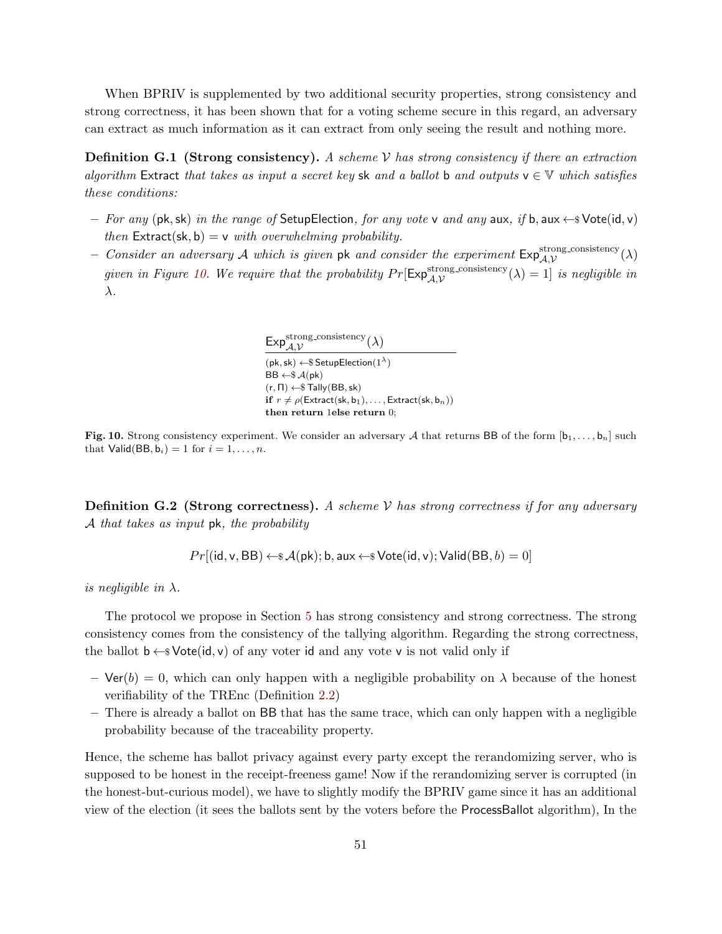When BPRIV is supplemented by two additional security properties, strong consistency and strong correctness, it has been shown that for a voting scheme secure in this regard, an adversary can extract as much information as it can extract from only seeing the result and nothing more.

**Definition G.1 (Strong consistency).** A scheme V has strong consistency if there an extraction algorithm Extract that takes as input a secret key sk and a ballot b and outputs  $v \in V$  which satisfies these conditions:

- For any (pk, sk) in the range of SetupElection, for any vote v and any aux, if b, aux  $\leftrightarrow$  SV ote(id, v) then  $Extract(sk, b) = v$  with overwhelming probability.
- Consider an adversary A which is given pk and consider the experiment  $Exp_{\mathcal{A},\mathcal{V}}^{\text{strong-consistency}}(\lambda)$ given in Figure [10.](#page-52-0) We require that the probability  $Pr[\text{Exp}_{\mathcal{A},\mathcal{V}}^{\text{strong-consistency}}(\lambda)=1]$  is negligible in λ.

 $\mathsf{Exp}_{\mathcal{A}, \mathcal{V}}^{\text{strong-consistency}}(\lambda)$  $(\mathsf{pk}, \mathsf{sk}) \leftarrow \$$  SetupElection $(1^{\lambda})$  $BB \leftarrow \$ \mathcal{A}(pk)$  $(r, \Pi) \leftarrow \$$  Tally(BB, sk) if  $r \neq \rho$ (Extract(sk, b<sub>1</sub>), . . . , Extract(sk, b<sub>n</sub>)) then return 1else return 0;

<span id="page-52-0"></span>Fig. 10. Strong consistency experiment. We consider an adversary A that returns BB of the form  $[b_1, \ldots, b_n]$  such that Valid(BB,  $b_i$ ) = 1 for  $i = 1, ..., n$ .

**Definition G.2 (Strong correctness).** A scheme V has strong correctness if for any adversary A that takes as input pk, the probability

$$
Pr[(\mathsf{id}, \mathsf{v}, \mathsf{BB}) \leftarrow \mathsf{\$} \mathcal{A}(\mathsf{pk}); \mathsf{b}, \mathsf{aux} \leftarrow \mathsf{\$ \mathsf{Vote}(\mathsf{id}, \mathsf{v})};\mathsf{Valid}(\mathsf{BB}, b) = 0]
$$

is negligible in  $\lambda$ .

The protocol we propose in Section [5](#page-20-1) has strong consistency and strong correctness. The strong consistency comes from the consistency of the tallying algorithm. Regarding the strong correctness, the ballot  $b \leftarrow s \text{Vote}(id, v)$  of any voter id and any vote v is not valid only if

- $\text{Ver}(b) = 0$ , which can only happen with a negligible probability on  $\lambda$  because of the honest verifiability of the TREnc (Definition [2.2\)](#page-7-1)
- There is already a ballot on BB that has the same trace, which can only happen with a negligible probability because of the traceability property.

Hence, the scheme has ballot privacy against every party except the rerandomizing server, who is supposed to be honest in the receipt-freeness game! Now if the rerandomizing server is corrupted (in the honest-but-curious model), we have to slightly modify the BPRIV game since it has an additional view of the election (it sees the ballots sent by the voters before the ProcessBallot algorithm), In the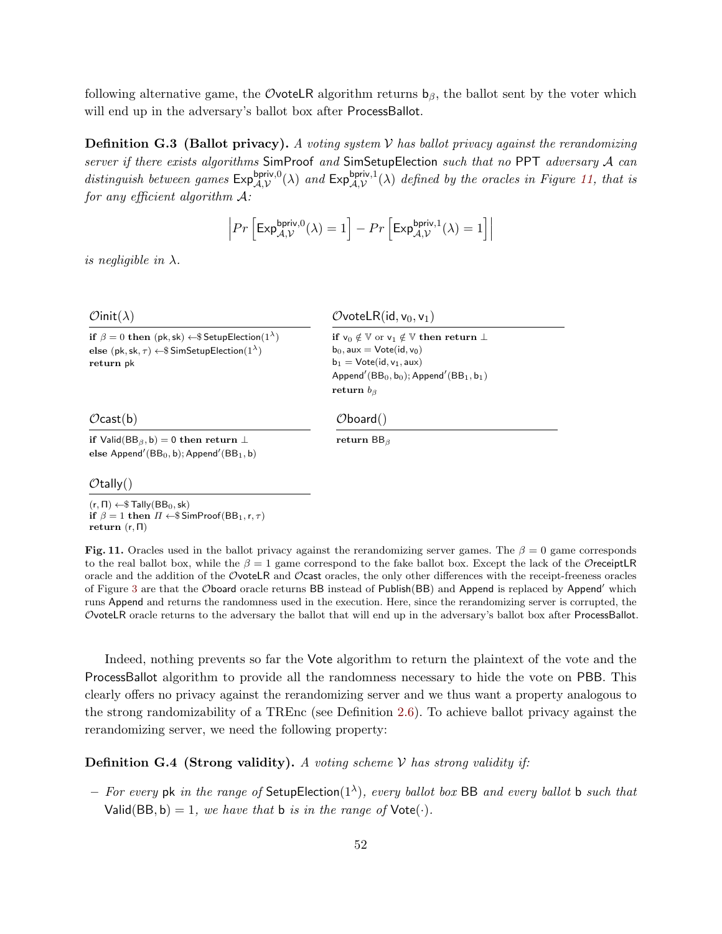following alternative game, the OvoteLR algorithm returns  $b_{\beta}$ , the ballot sent by the voter which will end up in the adversary's ballot box after ProcessBallot.

**Definition G.3** (Ballot privacy). A voting system V has ballot privacy against the rerandomizing server if there exists algorithms SimProof and SimSetupElection such that no PPT adversary A can distinguish between games  $Exp_{\mathcal{A},\mathcal{V}}^{\text{bpriv},0}(\lambda)$  and  $Exp_{\mathcal{A},\mathcal{V}}^{\text{bpriv},1}(\lambda)$  defined by the oracles in Figure [11,](#page-53-0) that is for any efficient algorithm  $A$ :

$$
\left|Pr\left[\text{Exp}_{\mathcal{A},\mathcal{V}}^{\text{bpriv},0}(\lambda)=1\right]-Pr\left[\text{Exp}_{\mathcal{A},\mathcal{V}}^{\text{bpriv},1}(\lambda)=1\right]\right|
$$

is negligible in  $\lambda$ .

 $O$ init $(\lambda)$ 

if  $\beta = 0$  then  $(\text{pk}, \text{sk}) \leftarrow \$$  SetupElection $(1^{\lambda})$ else  $(\mathsf{pk}, \mathsf{sk}, \tau) \leftarrow \$\mathsf{SimSetupElection}(1^\lambda)$ return pk

 $\mathcal{O}$ voteLR(id, v<sub>0</sub>, v<sub>1</sub>)

if  $v_0 \notin \mathbb{V}$  or  $v_1 \notin \mathbb{V}$  then return  $\bot$  $b_0$ , aux =  $Vote(id, v_0)$  $b_1 = \text{Vote}(\text{id}, v_1, \text{aux})$  $\mathsf{Append}'(\mathsf{BB}_0, \mathsf{b}_0); \mathsf{Append}'(\mathsf{BB}_1, \mathsf{b}_1)$ return  $b_{\beta}$ 

 $\mathcal O$ board $()$ 

return  $BB_B$ 

else  $\mathsf{Append}'(\mathsf{BB}_0,\mathsf{b});\mathsf{Append}'(\mathsf{BB}_1,\mathsf{b})$ 

if Valid( $BB_\beta$ , b) = 0 then return  $\perp$ 

 $\mathcal{O}$ tally()

 $\mathcal{O}$ cast(b)

 $(r, \Pi) \leftarrow \$$  Tally( $BB_0, sk$ ) if  $\beta = 1$  then  $\Pi \leftarrow \$\text{SimProof}(\text{BB}_1, r, \tau)$ return  $(r, \Pi)$ 

<span id="page-53-0"></span>Fig. 11. Oracles used in the ballot privacy against the rerandomizing server games. The  $\beta = 0$  game corresponds to the real ballot box, while the  $\beta = 1$  game correspond to the fake ballot box. Except the lack of the OreceiptLR oracle and the addition of the OvoteLR and Ocast oracles, the only other differences with the receipt-freeness oracles of Figure [3](#page-23-0) are that the Oboard oracle returns BB instead of Publish(BB) and Append is replaced by Append' which runs Append and returns the randomness used in the execution. Here, since the rerandomizing server is corrupted, the OvoteLR oracle returns to the adversary the ballot that will end up in the adversary's ballot box after ProcessBallot.

Indeed, nothing prevents so far the Vote algorithm to return the plaintext of the vote and the ProcessBallot algorithm to provide all the randomness necessary to hide the vote on PBB. This clearly offers no privacy against the rerandomizing server and we thus want a property analogous to the strong randomizability of a TREnc (see Definition [2.6\)](#page-10-0). To achieve ballot privacy against the rerandomizing server, we need the following property:

<span id="page-53-1"></span>**Definition G.4 (Strong validity).** A voting scheme  $\mathcal V$  has strong validity if:

– For every pk in the range of SetupElection(1<sup> $\lambda$ </sup>), every ballot box BB and every ballot b such that Valid(BB, b) = 1, we have that b is in the range of  $\text{Vote}(\cdot)$ .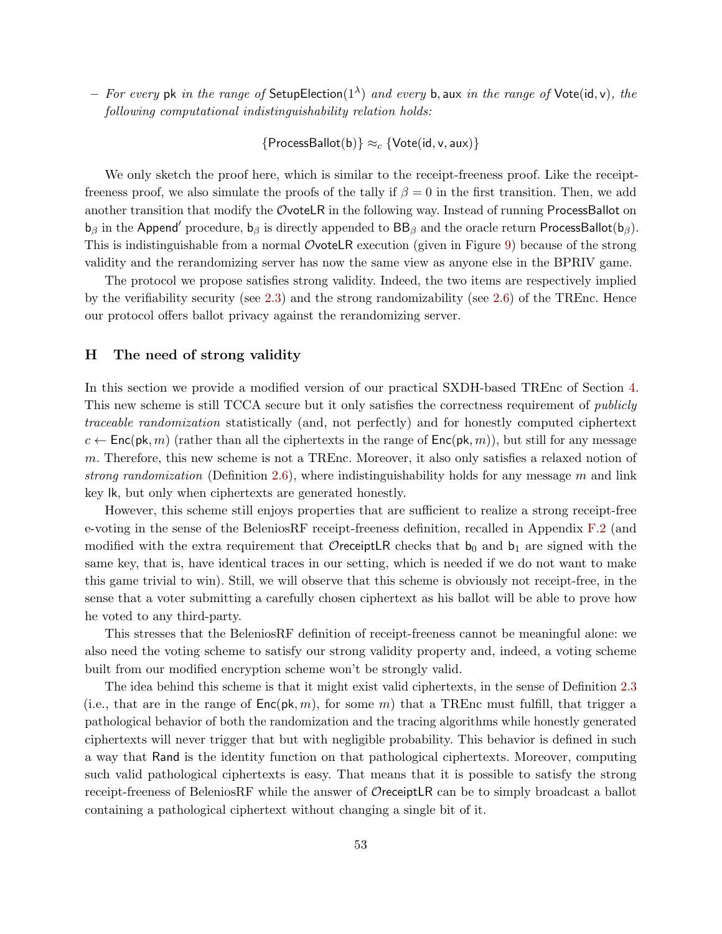- For every pk in the range of SetupElection(1<sup> $\lambda$ </sup>) and every b, aux in the range of Vote(id, v), the following computational indistinguishability relation holds:

 ${ProcessBallot(b)} \approx_c {Vote(id, v, aux)}$ 

We only sketch the proof here, which is similar to the receipt-freeness proof. Like the receiptfreeness proof, we also simulate the proofs of the tally if  $\beta = 0$  in the first transition. Then, we add another transition that modify the OvoteLR in the following way. Instead of running ProcessBallot on  $b_\beta$  in the Append<sup>'</sup> procedure,  $b_\beta$  is directly appended to BB<sub>β</sub> and the oracle return ProcessBallot(b<sub>β</sub>). This is indistinguishable from a normal OvoteLR execution (given in Figure [9\)](#page-51-2) because of the strong validity and the rerandomizing server has now the same view as anyone else in the BPRIV game.

The protocol we propose satisfies strong validity. Indeed, the two items are respectively implied by the verifiability security (see [2.3\)](#page-8-2) and the strong randomizability (see [2.6\)](#page-10-0) of the TREnc. Hence our protocol offers ballot privacy against the rerandomizing server.

# <span id="page-54-0"></span>H The need of strong validity

In this section we provide a modified version of our practical SXDH-based TREnc of Section [4.](#page-14-0) This new scheme is still TCCA secure but it only satisfies the correctness requirement of *publicly* traceable randomization statistically (and, not perfectly) and for honestly computed ciphertext  $c \leftarrow \mathsf{Enc}(\mathsf{pk}, m)$  (rather than all the ciphertexts in the range of  $\mathsf{Enc}(\mathsf{pk}, m)$ ), but still for any message m. Therefore, this new scheme is not a TREnc. Moreover, it also only satisfies a relaxed notion of strong randomization (Definition [2.6\)](#page-10-0), where indistinguishability holds for any message m and link key lk, but only when ciphertexts are generated honestly.

However, this scheme still enjoys properties that are sufficient to realize a strong receipt-free e-voting in the sense of the BeleniosRF receipt-freeness definition, recalled in Appendix [F.2](#page-50-0) (and modified with the extra requirement that OreceiptLR checks that  $b_0$  and  $b_1$  are signed with the same key, that is, have identical traces in our setting, which is needed if we do not want to make this game trivial to win). Still, we will observe that this scheme is obviously not receipt-free, in the sense that a voter submitting a carefully chosen ciphertext as his ballot will be able to prove how he voted to any third-party.

This stresses that the BeleniosRF definition of receipt-freeness cannot be meaningful alone: we also need the voting scheme to satisfy our strong validity property and, indeed, a voting scheme built from our modified encryption scheme won't be strongly valid.

The idea behind this scheme is that it might exist valid ciphertexts, in the sense of Definition [2.3](#page-8-2) (i.e., that are in the range of  $Enc(\mathsf{pk}, m)$ , for some m) that a TREnc must fulfill, that trigger a pathological behavior of both the randomization and the tracing algorithms while honestly generated ciphertexts will never trigger that but with negligible probability. This behavior is defined in such a way that Rand is the identity function on that pathological ciphertexts. Moreover, computing such valid pathological ciphertexts is easy. That means that it is possible to satisfy the strong receipt-freeness of BeleniosRF while the answer of OreceiptLR can be to simply broadcast a ballot containing a pathological ciphertext without changing a single bit of it.